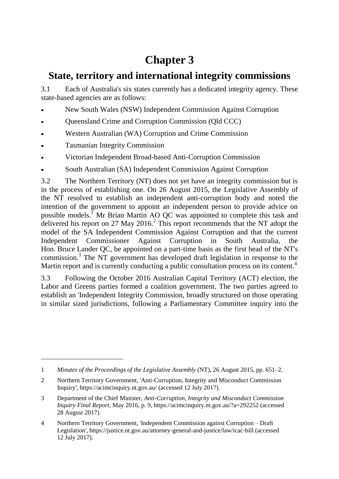# **Chapter 3**

# **State, territory and international integrity commissions**

3.1 Each of Australia's six states currently has a dedicated integrity agency. These state-based agencies are as follows:

- New South Wales (NSW) Independent Commission Against Corruption
- Queensland Crime and Corruption Commission (Qld CCC)
- Western Australian (WA) Corruption and Crime Commission
- Tasmanian Integrity Commission

 $\overline{a}$ 

- Victorian Independent Broad-based Anti-Corruption Commission
- South Australian (SA) Independent Commission Against Corruption

3.2 The Northern Territory (NT) does not yet have an integrity commission but is in the process of establishing one. On 26 August 2015, the Legislative Assembly of the NT resolved to establish an independent anti-corruption body and noted the intention of the government to appoint an independent person to provide advice on possible models.<sup>1</sup> Mr Brian Martin AO QC was appointed to complete this task and delivered his report on 27 May 2016.<sup>2</sup> This report recommends that the NT adopt the model of the SA Independent Commission Against Corruption and that the current Independent Commissioner Against Corruption in South Australia, the Hon. Bruce Lander QC, be appointed on a part-time basis as the first head of the NT's commission.<sup>3</sup> The NT government has developed draft legislation in response to the Martin report and is currently conducting a public consultation process on its content.<sup>4</sup>

3.3 Following the October 2016 Australian Capital Territory (ACT) election, the Labor and Greens parties formed a coalition government. The two parties agreed to establish an 'Independent Integrity Commission, broadly structured on those operating in similar sized jurisdictions, following a Parliamentary Committee inquiry into the

<sup>1</sup> *Minutes of the Proceedings of the Legislative Assembly* (NT), 26 August 2015, pp. 651–2.

<sup>2</sup> Northern Territory Government, 'Anti-Corruption, Integrity and Misconduct Commission Inquiry', https://acimcinquiry.nt.gov.au/ (accessed 12 July 2017).

<sup>3</sup> Department of the Chief Minister, *Anti-Corruption, Integrity and Misconduct Commission Inquiry Final Report*, May 2016, p. 9, https://acimcinquiry.nt.gov.au/?a=292252 (accessed 28 August 2017).

<sup>4</sup> Northern Territory Government, 'Independent Commission against Corruption – Draft Legislation', https://justice.nt.gov.au/attorney-general-and-justice/law/icac-bill (accessed 12 July 2017).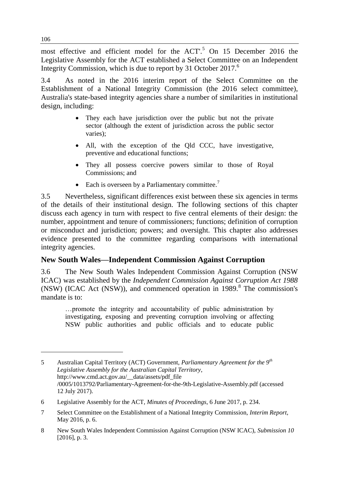most effective and efficient model for the ACT'.<sup>5</sup> On 15 December 2016 the Legislative Assembly for the ACT established a Select Committee on an Independent Integrity Commission, which is due to report by 31 October 2017.<sup>6</sup>

3.4 As noted in the 2016 interim report of the Select Committee on the Establishment of a National Integrity Commission (the 2016 select committee), Australia's state-based integrity agencies share a number of similarities in institutional design, including:

- They each have jurisdiction over the public but not the private sector (although the extent of jurisdiction across the public sector varies);
- All, with the exception of the Qld CCC, have investigative, preventive and educational functions;
- They all possess coercive powers similar to those of Royal Commissions; and
- Each is overseen by a Parliamentary committee.<sup>7</sup>

3.5 Nevertheless, significant differences exist between these six agencies in terms of the details of their institutional design. The following sections of this chapter discuss each agency in turn with respect to five central elements of their design: the number, appointment and tenure of commissioners; functions; definition of corruption or misconduct and jurisdiction; powers; and oversight. This chapter also addresses evidence presented to the committee regarding comparisons with international integrity agencies.

## **New South Wales—Independent Commission Against Corruption**

3.6 The New South Wales Independent Commission Against Corruption (NSW ICAC) was established by the *Independent Commission Against Corruption Act 1988*  $(NSW)$  (ICAC Act  $(NSW)$ ), and commenced operation in 1989.<sup>8</sup> The commission's mandate is to:

…promote the integrity and accountability of public administration by investigating, exposing and preventing corruption involving or affecting NSW public authorities and public officials and to educate public

<sup>5</sup> Australian Capital Territory (ACT) Government, *Parliamentary Agreement for the 9th Legislative Assembly for the Australian Capital Territory*, http://www.cmd.act.gov.au/\_\_data/assets/pdf\_file /0005/1013792/Parliamentary-Agreement-for-the-9th-Legislative-Assembly.pdf (accessed 12 July 2017).

<sup>6</sup> Legislative Assembly for the ACT, *Minutes of Proceedings*, 6 June 2017, p. 234.

<sup>7</sup> Select Committee on the Establishment of a National Integrity Commission, *Interim Report*, May 2016, p. 6.

<sup>8</sup> New South Wales Independent Commission Against Corruption (NSW ICAC), *Submission 10*  [2016], p. 3.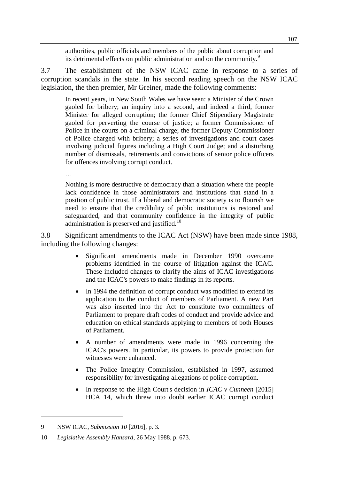authorities, public officials and members of the public about corruption and its detrimental effects on public administration and on the community.<sup>9</sup>

3.7 The establishment of the NSW ICAC came in response to a series of corruption scandals in the state. In his second reading speech on the NSW ICAC legislation, the then premier, Mr Greiner, made the following comments:

In recent years, in New South Wales we have seen: a Minister of the Crown gaoled for bribery; an inquiry into a second, and indeed a third, former Minister for alleged corruption; the former Chief Stipendiary Magistrate gaoled for perverting the course of justice; a former Commissioner of Police in the courts on a criminal charge; the former Deputy Commissioner of Police charged with bribery; a series of investigations and court cases involving judicial figures including a High Court Judge; and a disturbing number of dismissals, retirements and convictions of senior police officers for offences involving corrupt conduct.

Nothing is more destructive of democracy than a situation where the people lack confidence in those administrators and institutions that stand in a position of public trust. If a liberal and democratic society is to flourish we need to ensure that the credibility of public institutions is restored and safeguarded, and that community confidence in the integrity of public administration is preserved and justified.<sup>10</sup>

3.8 Significant amendments to the ICAC Act (NSW) have been made since 1988, including the following changes:

- Significant amendments made in December 1990 overcame problems identified in the course of litigation against the ICAC. These included changes to clarify the aims of ICAC investigations and the ICAC's powers to make findings in its reports.
- In 1994 the definition of corrupt conduct was modified to extend its application to the conduct of members of Parliament. A new Part was also inserted into the Act to constitute two committees of Parliament to prepare draft codes of conduct and provide advice and education on ethical standards applying to members of both Houses of Parliament.
- A number of amendments were made in 1996 concerning the ICAC's powers. In particular, its powers to provide protection for witnesses were enhanced.
- The Police Integrity Commission, established in 1997, assumed responsibility for investigating allegations of police corruption.
- In response to the High Court's decision in *ICAC v Cunneen* [2015] HCA 14, which threw into doubt earlier ICAC corrupt conduct

 $\overline{a}$ 

…

<sup>9</sup> NSW ICAC, *Submission 10* [2016], p. 3.

<sup>10</sup> *Legislative Assembly Hansard*, 26 May 1988, p. 673.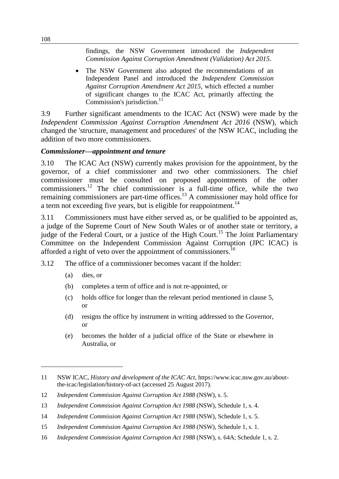findings, the NSW Government introduced the *Independent Commission Against Corruption Amendment (Validation) Act 2015*.

 The NSW Government also adopted the recommendations of an Independent Panel and introduced the *Independent Commission Against Corruption Amendment Act 2015*, which effected a number of significant changes to the ICAC Act, primarily affecting the Commission's jurisdiction.<sup>11</sup>

3.9 Further significant amendments to the ICAC Act (NSW) were made by the *Independent Commission Against Corruption Amendment Act 2016* (NSW), which changed the 'structure, management and procedures' of the NSW ICAC, including the addition of two more commissioners.

#### *Commissioner—appointment and tenure*

3.10 The ICAC Act (NSW) currently makes provision for the appointment, by the governor, of a chief commissioner and two other commissioners. The chief commissioner must be consulted on proposed appointments of the other commissioners.<sup>12</sup> The chief commissioner is a full-time office, while the two remaining commissioners are part-time offices.<sup>13</sup> A commissioner may hold office for a term not exceeding five years, but is eligible for reappointment.<sup>14</sup>

3.11 Commissioners must have either served as, or be qualified to be appointed as, a judge of the Supreme Court of New South Wales or of another state or territory, a judge of the Federal Court, or a justice of the High Court.<sup>15</sup> The Joint Parliamentary Committee on the Independent Commission Against Corruption (JPC ICAC) is afforded a right of veto over the appointment of commissioners.<sup>16</sup>

- 3.12 The office of a commissioner becomes vacant if the holder:
	- (a) dies, or

- (b) completes a term of office and is not re-appointed, or
- (c) holds office for longer than the relevant period mentioned in clause 5, or
- (d) resigns the office by instrument in writing addressed to the Governor, or
- (e) becomes the holder of a judicial office of the State or elsewhere in Australia, or

<sup>11</sup> NSW ICAC, *History and development of the ICAC Act*, https://www.icac.nsw.gov.au/aboutthe-icac/legislation/history-of-act (accessed 25 August 2017).

<sup>12</sup> *Independent Commission Against Corruption Act 1988* (NSW), s. 5.

<sup>13</sup> *Independent Commission Against Corruption Act 1988* (NSW), Schedule 1, s. 4.

<sup>14</sup> *Independent Commission Against Corruption Act 1988* (NSW), Schedule 1, s. 5.

<sup>15</sup> *Independent Commission Against Corruption Act 1988* (NSW), Schedule 1, s. 1.

<sup>16</sup> *Independent Commission Against Corruption Act 1988* (NSW), s. 64A; Schedule 1, s. 2.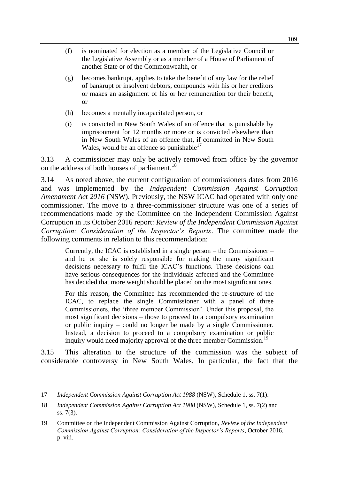- (f) is nominated for election as a member of the Legislative Council or the Legislative Assembly or as a member of a House of Parliament of another State or of the Commonwealth, or
- (g) becomes bankrupt, applies to take the benefit of any law for the relief of bankrupt or insolvent debtors, compounds with his or her creditors or makes an assignment of his or her remuneration for their benefit, or
- (h) becomes a mentally incapacitated person, or
- (i) is convicted in New South Wales of an offence that is punishable by imprisonment for 12 months or more or is convicted elsewhere than in New South Wales of an offence that, if committed in New South Wales, would be an offence so punishable<sup>17</sup>

3.13 A commissioner may only be actively removed from office by the governor on the address of both houses of parliament.<sup>18</sup>

3.14 As noted above, the current configuration of commissioners dates from 2016 and was implemented by the *Independent Commission Against Corruption Amendment Act 2016* (NSW). Previously, the NSW ICAC had operated with only one commissioner. The move to a three-commissioner structure was one of a series of recommendations made by the Committee on the Independent Commission Against Corruption in its October 2016 report: *Review of the Independent Commission Against Corruption: Consideration of the Inspector's Reports*. The committee made the following comments in relation to this recommendation:

Currently, the ICAC is established in a single person – the Commissioner – and he or she is solely responsible for making the many significant decisions necessary to fulfil the ICAC's functions. These decisions can have serious consequences for the individuals affected and the Committee has decided that more weight should be placed on the most significant ones.

For this reason, the Committee has recommended the re-structure of the ICAC, to replace the single Commissioner with a panel of three Commissioners, the 'three member Commission'. Under this proposal, the most significant decisions – those to proceed to a compulsory examination or public inquiry – could no longer be made by a single Commissioner. Instead, a decision to proceed to a compulsory examination or public inquiry would need majority approval of the three member Commission.<sup>19</sup>

3.15 This alteration to the structure of the commission was the subject of considerable controversy in New South Wales. In particular, the fact that the

<sup>17</sup> *Independent Commission Against Corruption Act 1988* (NSW), Schedule 1, ss. 7(1).

<sup>18</sup> *Independent Commission Against Corruption Act 1988* (NSW), Schedule 1, ss. 7(2) and ss. 7(3).

<sup>19</sup> Committee on the Independent Commission Against Corruption, *Review of the Independent Commission Against Corruption: Consideration of the Inspector's Reports*, October 2016, p. viii.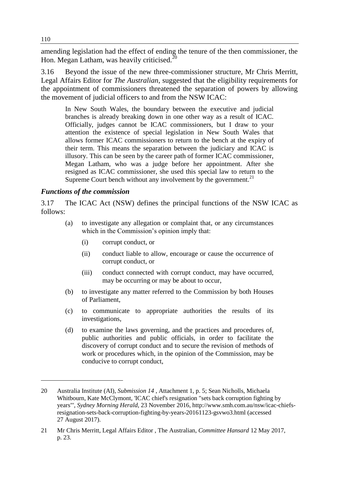amending legislation had the effect of ending the tenure of the then commissioner, the Hon. Megan Latham, was heavily criticised.<sup>20</sup>

3.16 Beyond the issue of the new three-commissioner structure, Mr Chris Merritt, Legal Affairs Editor for *The Australian*, suggested that the eligibility requirements for the appointment of commissioners threatened the separation of powers by allowing the movement of judicial officers to and from the NSW ICAC:

In New South Wales, the boundary between the executive and judicial branches is already breaking down in one other way as a result of ICAC. Officially, judges cannot be ICAC commissioners, but I draw to your attention the existence of special legislation in New South Wales that allows former ICAC commissioners to return to the bench at the expiry of their term. This means the separation between the judiciary and ICAC is illusory. This can be seen by the career path of former ICAC commissioner, Megan Latham, who was a judge before her appointment. After she resigned as ICAC commissioner, she used this special law to return to the Supreme Court bench without any involvement by the government. $2<sup>1</sup>$ 

#### *Functions of the commission*

3.17 The ICAC Act (NSW) defines the principal functions of the NSW ICAC as follows:

- (a) to investigate any allegation or complaint that, or any circumstances which in the Commission's opinion imply that:
	- (i) corrupt conduct, or
	- (ii) conduct liable to allow, encourage or cause the occurrence of corrupt conduct, or
	- (iii) conduct connected with corrupt conduct, may have occurred, may be occurring or may be about to occur,
- (b) to investigate any matter referred to the Commission by both Houses of Parliament,
- (c) to communicate to appropriate authorities the results of its investigations,
- (d) to examine the laws governing, and the practices and procedures of, public authorities and public officials, in order to facilitate the discovery of corrupt conduct and to secure the revision of methods of work or procedures which, in the opinion of the Commission, may be conducive to corrupt conduct,

<sup>20</sup> Australia Institute (AI), *Submission 14* , Attachment 1, p. 5; Sean Nicholls, Michaela Whitbourn, Kate McClymont, 'ICAC chief's resignation "sets back corruption fighting by years"', *Sydney Morning Herald*, 23 November 2016, http://www.smh.com.au/nsw/icac-chiefsresignation-sets-back-corruption-fighting-by-years-20161123-gsvwo3.html (accessed 27 August 2017).

<sup>21</sup> Mr Chris Merritt, Legal Affairs Editor , The Australian, *Committee Hansard* 12 May 2017, p. 23.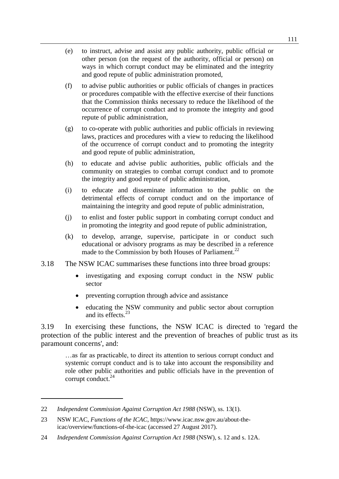- (e) to instruct, advise and assist any public authority, public official or other person (on the request of the authority, official or person) on ways in which corrupt conduct may be eliminated and the integrity and good repute of public administration promoted,
- (f) to advise public authorities or public officials of changes in practices or procedures compatible with the effective exercise of their functions that the Commission thinks necessary to reduce the likelihood of the occurrence of corrupt conduct and to promote the integrity and good repute of public administration,
- (g) to co-operate with public authorities and public officials in reviewing laws, practices and procedures with a view to reducing the likelihood of the occurrence of corrupt conduct and to promoting the integrity and good repute of public administration,
- (h) to educate and advise public authorities, public officials and the community on strategies to combat corrupt conduct and to promote the integrity and good repute of public administration,
- (i) to educate and disseminate information to the public on the detrimental effects of corrupt conduct and on the importance of maintaining the integrity and good repute of public administration,
- (j) to enlist and foster public support in combating corrupt conduct and in promoting the integrity and good repute of public administration,
- (k) to develop, arrange, supervise, participate in or conduct such educational or advisory programs as may be described in a reference made to the Commission by both Houses of Parliament.<sup>22</sup>
- 3.18 The NSW ICAC summarises these functions into three broad groups:
	- investigating and exposing corrupt conduct in the NSW public sector
	- preventing corruption through advice and assistance
	- educating the NSW community and public sector about corruption and its effects.<sup>23</sup>

3.19 In exercising these functions, the NSW ICAC is directed to 'regard the protection of the public interest and the prevention of breaches of public trust as its paramount concerns', and:

…as far as practicable, to direct its attention to serious corrupt conduct and systemic corrupt conduct and is to take into account the responsibility and role other public authorities and public officials have in the prevention of corrupt conduct.<sup>24</sup>

<sup>22</sup> *Independent Commission Against Corruption Act 1988* (NSW), ss. 13(1).

<sup>23</sup> NSW ICAC, *Functions of the ICAC*, https://www.icac.nsw.gov.au/about-theicac/overview/functions-of-the-icac (accessed 27 August 2017).

<sup>24</sup> *Independent Commission Against Corruption Act 1988* (NSW), s. 12 and s. 12A.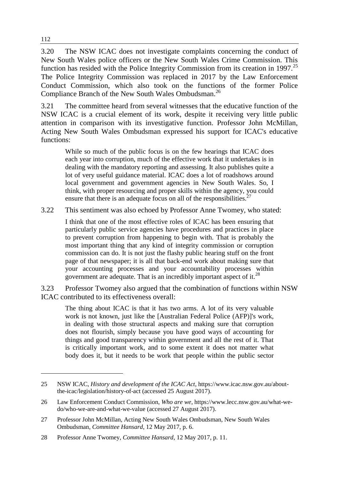3.20 The NSW ICAC does not investigate complaints concerning the conduct of New South Wales police officers or the New South Wales Crime Commission. This function has resided with the Police Integrity Commission from its creation in 1997.<sup>25</sup> The Police Integrity Commission was replaced in 2017 by the Law Enforcement Conduct Commission, which also took on the functions of the former Police Compliance Branch of the New South Wales Ombudsman.<sup>26</sup>

3.21 The committee heard from several witnesses that the educative function of the NSW ICAC is a crucial element of its work, despite it receiving very little public attention in comparison with its investigative function. Professor John McMillan, Acting New South Wales Ombudsman expressed his support for ICAC's educative functions:

While so much of the public focus is on the few hearings that ICAC does each year into corruption, much of the effective work that it undertakes is in dealing with the mandatory reporting and assessing. It also publishes quite a lot of very useful guidance material. ICAC does a lot of roadshows around local government and government agencies in New South Wales. So, I think, with proper resourcing and proper skills within the agency, you could ensure that there is an adequate focus on all of the responsibilities.<sup>2</sup>

3.22 This sentiment was also echoed by Professor Anne Twomey, who stated:

I think that one of the most effective roles of ICAC has been ensuring that particularly public service agencies have procedures and practices in place to prevent corruption from happening to begin with. That is probably the most important thing that any kind of integrity commission or corruption commission can do. It is not just the flashy public hearing stuff on the front page of that newspaper; it is all that back-end work about making sure that your accounting processes and your accountability processes within government are adequate. That is an incredibly important aspect of it.<sup>28</sup>

3.23 Professor Twomey also argued that the combination of functions within NSW ICAC contributed to its effectiveness overall:

The thing about ICAC is that it has two arms. A lot of its very valuable work is not known, just like the [Australian Federal Police (AFP)]'s work, in dealing with those structural aspects and making sure that corruption does not flourish, simply because you have good ways of accounting for things and good transparency within government and all the rest of it. That is critically important work, and to some extent it does not matter what body does it, but it needs to be work that people within the public sector

<sup>25</sup> NSW ICAC, *History and development of the ICAC Act*, https://www.icac.nsw.gov.au/aboutthe-icac/legislation/history-of-act (accessed 25 August 2017).

<sup>26</sup> Law Enforcement Conduct Commission, *Who are we*, https://www.lecc.nsw.gov.au/what-wedo/who-we-are-and-what-we-value (accessed 27 August 2017).

<sup>27</sup> Professor John McMillan, Acting New South Wales Ombudsman, New South Wales Ombudsman, *Committee Hansard*, 12 May 2017, p. 6.

<sup>28</sup> Professor Anne Twomey, *Committee Hansard*, 12 May 2017, p. 11.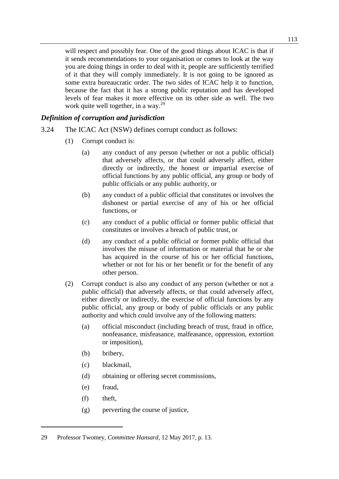will respect and possibly fear. One of the good things about ICAC is that if it sends recommendations to your organisation or comes to look at the way you are doing things in order to deal with it, people are sufficiently terrified of it that they will comply immediately. It is not going to be ignored as some extra bureaucratic order. The two sides of ICAC help it to function, because the fact that it has a strong public reputation and has developed levels of fear makes it more effective on its other side as well. The two work quite well together, in a way. $^{29}$ 

#### *Definition of corruption and jurisdiction*

- 3.24 The ICAC Act (NSW) defines corrupt conduct as follows:
	- (1) Corrupt conduct is:
		- (a) any conduct of any person (whether or not a public official) that adversely affects, or that could adversely affect, either directly or indirectly, the honest or impartial exercise of official functions by any public official, any group or body of public officials or any public authority, or
		- (b) any conduct of a public official that constitutes or involves the dishonest or partial exercise of any of his or her official functions, or
		- (c) any conduct of a public official or former public official that constitutes or involves a breach of public trust, or
		- (d) any conduct of a public official or former public official that involves the misuse of information or material that he or she has acquired in the course of his or her official functions, whether or not for his or her benefit or for the benefit of any other person.
	- (2) Corrupt conduct is also any conduct of any person (whether or not a public official) that adversely affects, or that could adversely affect, either directly or indirectly, the exercise of official functions by any public official, any group or body of public officials or any public authority and which could involve any of the following matters:
		- (a) official misconduct (including breach of trust, fraud in office, nonfeasance, misfeasance, malfeasance, oppression, extortion or imposition),
		- (b) bribery,
		- (c) blackmail,
		- (d) obtaining or offering secret commissions,
		- (e) fraud,
		- (f) theft,

 $\overline{a}$ 

(g) perverting the course of justice,

<sup>29</sup> Professor Twomey, *Committee Hansard*, 12 May 2017, p. 13.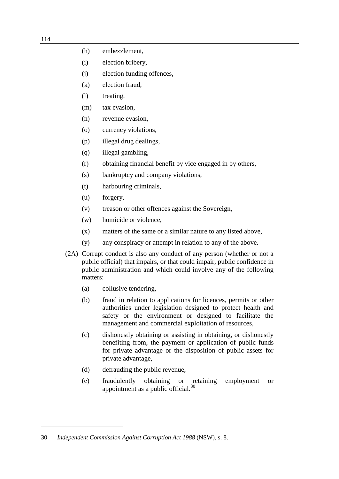- (h) embezzlement,
- (i) election bribery,
- (j) election funding offences,
- (k) election fraud,
- (l) treating,
- (m) tax evasion,
- (n) revenue evasion,
- (o) currency violations,
- (p) illegal drug dealings,
- (q) illegal gambling,
- (r) obtaining financial benefit by vice engaged in by others,
- (s) bankruptcy and company violations,
- (t) harbouring criminals,
- (u) forgery,
- (v) treason or other offences against the Sovereign,
- (w) homicide or violence,
- (x) matters of the same or a similar nature to any listed above,
- (y) any conspiracy or attempt in relation to any of the above.
- (2A) Corrupt conduct is also any conduct of any person (whether or not a public official) that impairs, or that could impair, public confidence in public administration and which could involve any of the following matters:
	- (a) collusive tendering,
	- (b) fraud in relation to applications for licences, permits or other authorities under legislation designed to protect health and safety or the environment or designed to facilitate the management and commercial exploitation of resources,
	- (c) dishonestly obtaining or assisting in obtaining, or dishonestly benefiting from, the payment or application of public funds for private advantage or the disposition of public assets for private advantage,
	- (d) defrauding the public revenue,
	- (e) fraudulently obtaining or retaining employment or appointment as a public official. $30$

<sup>30</sup> *Independent Commission Against Corruption Act 1988* (NSW), s. 8.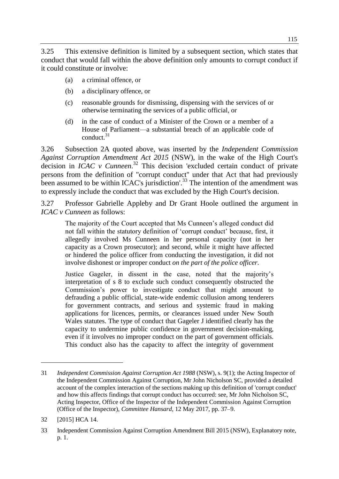3.25 This extensive definition is limited by a subsequent section, which states that conduct that would fall within the above definition only amounts to corrupt conduct if it could constitute or involve:

- (a) a criminal offence, or
- (b) a disciplinary offence, or
- (c) reasonable grounds for dismissing, dispensing with the services of or otherwise terminating the services of a public official, or
- (d) in the case of conduct of a Minister of the Crown or a member of a House of Parliament—a substantial breach of an applicable code of conduct.<sup>31</sup>

3.26 Subsection 2A quoted above, was inserted by the *Independent Commission Against Corruption Amendment Act 2015* (NSW), in the wake of the High Court's decision in *ICAC v Cunneen*. <sup>32</sup> This decision 'excluded certain conduct of private persons from the definition of "corrupt conduct" under that Act that had previously been assumed to be within ICAC's jurisdiction'.<sup>33</sup> The intention of the amendment was to expressly include the conduct that was excluded by the High Court's decision.

3.27 Professor Gabrielle Appleby and Dr Grant Hoole outlined the argument in *ICAC v Cunneen* as follows:

The majority of the Court accepted that Ms Cunneen's alleged conduct did not fall within the statutory definition of 'corrupt conduct' because, first, it allegedly involved Ms Cunneen in her personal capacity (not in her capacity as a Crown prosecutor); and second, while it might have affected or hindered the police officer from conducting the investigation, it did not involve dishonest or improper conduct *on the part of the police officer*.

Justice Gageler, in dissent in the case, noted that the majority's interpretation of s 8 to exclude such conduct consequently obstructed the Commission's power to investigate conduct that might amount to defrauding a public official, state-wide endemic collusion among tenderers for government contracts, and serious and systemic fraud in making applications for licences, permits, or clearances issued under New South Wales statutes. The type of conduct that Gageler J identified clearly has the capacity to undermine public confidence in government decision-making, even if it involves no improper conduct on the part of government officials. This conduct also has the capacity to affect the integrity of government

<sup>31</sup> *Independent Commission Against Corruption Act 1988* (NSW), s. 9(1); the Acting Inspector of the Independent Commission Against Corruption, Mr John Nicholson SC, provided a detailed account of the complex interaction of the sections making up this definition of 'corrupt conduct' and how this affects findings that corrupt conduct has occurred: see, Mr John Nicholson SC, Acting Inspector, Office of the Inspector of the Independent Commission Against Corruption (Office of the Inspector), *Committee Hansard*, 12 May 2017, pp. 37–9.

<sup>32</sup> [2015] HCA 14.

<sup>33</sup> Independent Commission Against Corruption Amendment Bill 2015 (NSW), Explanatory note, p. 1.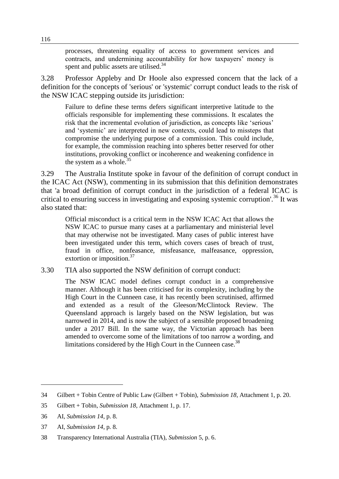processes, threatening equality of access to government services and contracts, and undermining accountability for how taxpayers' money is spent and public assets are utilised.<sup>34</sup>

3.28 Professor Appleby and Dr Hoole also expressed concern that the lack of a definition for the concepts of 'serious' or 'systemic' corrupt conduct leads to the risk of the NSW ICAC stepping outside its jurisdiction:

Failure to define these terms defers significant interpretive latitude to the officials responsible for implementing these commissions. It escalates the risk that the incremental evolution of jurisdiction, as concepts like 'serious' and 'systemic' are interpreted in new contexts, could lead to missteps that compromise the underlying purpose of a commission. This could include, for example, the commission reaching into spheres better reserved for other institutions, provoking conflict or incoherence and weakening confidence in the system as a whole. $35$ 

3.29 The Australia Institute spoke in favour of the definition of corrupt conduct in the ICAC Act (NSW), commenting in its submission that this definition demonstrates that 'a broad definition of corrupt conduct in the jurisdiction of a federal ICAC is critical to ensuring success in investigating and exposing systemic corruption'.<sup>36</sup> It was also stated that:

Official misconduct is a critical term in the NSW ICAC Act that allows the NSW ICAC to pursue many cases at a parliamentary and ministerial level that may otherwise not be investigated. Many cases of public interest have been investigated under this term, which covers cases of breach of trust, fraud in office, nonfeasance, misfeasance, malfeasance, oppression, extortion or imposition.<sup>37</sup>

3.30 TIA also supported the NSW definition of corrupt conduct:

The NSW ICAC model defines corrupt conduct in a comprehensive manner. Although it has been criticised for its complexity, including by the High Court in the Cunneen case, it has recently been scrutinised, affirmed and extended as a result of the Gleeson/McClintock Review. The Queensland approach is largely based on the NSW legislation, but was narrowed in 2014, and is now the subject of a sensible proposed broadening under a 2017 Bill. In the same way, the Victorian approach has been amended to overcome some of the limitations of too narrow a wording, and limitations considered by the High Court in the Cunneen case.<sup>38</sup>

<sup>34</sup> Gilbert + Tobin Centre of Public Law (Gilbert + Tobin), *Submission 18*, Attachment 1, p. 20.

<sup>35</sup> Gilbert + Tobin, *Submission 18*, Attachment 1, p. 17.

<sup>36</sup> AI, *Submission 14*, p. 8.

<sup>37</sup> AI, *Submission 14*, p. 8.

<sup>38</sup> Transparency International Australia (TIA), *Submission* 5, p. 6.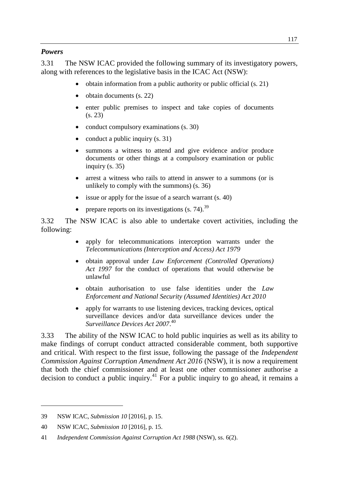#### *Powers*

3.31 The NSW ICAC provided the following summary of its investigatory powers, along with references to the legislative basis in the ICAC Act (NSW):

- obtain information from a public authority or public official (s. 21)
- $\bullet$  obtain documents (s. 22)
- enter public premises to inspect and take copies of documents (s. 23)
- conduct compulsory examinations (s. 30)
- conduct a public inquiry  $(s, 31)$
- summons a witness to attend and give evidence and/or produce documents or other things at a compulsory examination or public inquiry (s. 35)
- arrest a witness who rails to attend in answer to a summons (or is unlikely to comply with the summons) (s. 36)
- issue or apply for the issue of a search warrant (s. 40)
- prepare reports on its investigations  $(s, 74)$ .<sup>39</sup>

3.32 The NSW ICAC is also able to undertake covert activities, including the following:

- apply for telecommunications interception warrants under the *Telecommunications (Interception and Access) Act 1979*
- obtain approval under *Law Enforcement (Controlled Operations) Act 1997* for the conduct of operations that would otherwise be unlawful
- obtain authorisation to use false identities under the *Law Enforcement and National Security (Assumed Identities) Act 2010*
- apply for warrants to use listening devices, tracking devices, optical surveillance devices and/or data surveillance devices under the *Surveillance Devices Act 2007*. 40

3.33 The ability of the NSW ICAC to hold public inquiries as well as its ability to make findings of corrupt conduct attracted considerable comment, both supportive and critical. With respect to the first issue, following the passage of the *Independent Commission Against Corruption Amendment Act 2016* (NSW), it is now a requirement that both the chief commissioner and at least one other commissioner authorise a decision to conduct a public inquiry.<sup>41</sup> For a public inquiry to go ahead, it remains a

<sup>39</sup> NSW ICAC, *Submission 10* [2016], p. 15.

<sup>40</sup> NSW ICAC, *Submission 10* [2016], p. 15.

<sup>41</sup> *Independent Commission Against Corruption Act 1988* (NSW), ss. 6(2).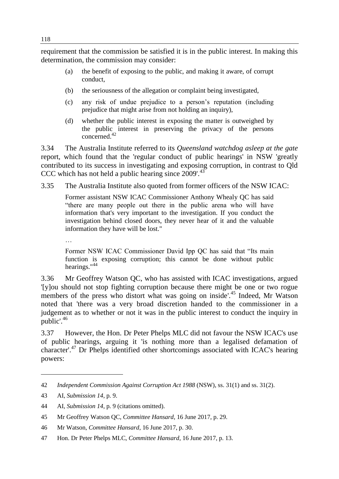requirement that the commission be satisfied it is in the public interest. In making this determination, the commission may consider:

- (a) the benefit of exposing to the public, and making it aware, of corrupt conduct,
- (b) the seriousness of the allegation or complaint being investigated,
- (c) any risk of undue prejudice to a person's reputation (including prejudice that might arise from not holding an inquiry),
- (d) whether the public interest in exposing the matter is outweighed by the public interest in preserving the privacy of the persons concerned.<sup>42</sup>

3.34 The Australia Institute referred to its *Queensland watchdog asleep at the gate*  report, which found that the 'regular conduct of public hearings' in NSW 'greatly contributed to its success in investigating and exposing corruption, in contrast to Qld CCC which has not held a public hearing since  $2009'$ .<sup>43</sup>

3.35 The Australia Institute also quoted from former officers of the NSW ICAC:

Former assistant NSW ICAC Commissioner Anthony Whealy QC has said "there are many people out there in the public arena who will have information that's very important to the investigation. If you conduct the investigation behind closed doors, they never hear of it and the valuable information they have will be lost."

…

Former NSW ICAC Commissioner David Ipp QC has said that "Its main function is exposing corruption; this cannot be done without public hearings."<sup>44</sup>

3.36 Mr Geoffrey Watson QC, who has assisted with ICAC investigations, argued '[y]ou should not stop fighting corruption because there might be one or two rogue members of the press who distort what was going on inside<sup>'45</sup> Indeed, Mr Watson noted that 'there was a very broad discretion handed to the commissioner in a judgement as to whether or not it was in the public interest to conduct the inquiry in public'<sup>46</sup>

3.37 However, the Hon. Dr Peter Phelps MLC did not favour the NSW ICAC's use of public hearings, arguing it 'is nothing more than a legalised defamation of character'. <sup>47</sup> Dr Phelps identified other shortcomings associated with ICAC's hearing powers:

<sup>42</sup> *Independent Commission Against Corruption Act 1988* (NSW), ss. 31(1) and ss. 31(2).

<sup>43</sup> AI, *Submission 14*, p. 9.

<sup>44</sup> AI, *Submission 14*, p. 9 (citations omitted).

<sup>45</sup> Mr Geoffrey Watson QC, *Committee Hansard*, 16 June 2017, p. 29.

<sup>46</sup> Mr Watson, *Committee Hansard*, 16 June 2017, p. 30.

<sup>47</sup> Hon. Dr Peter Phelps MLC, *Committee Hansard*, 16 June 2017*,* p. 13.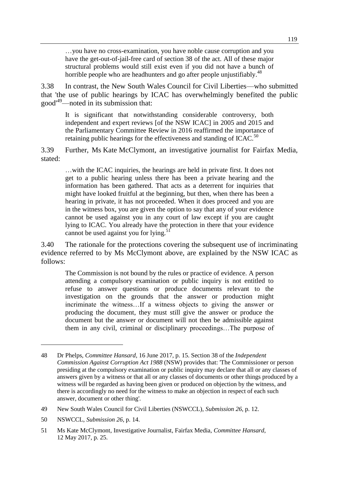…you have no cross-examination, you have noble cause corruption and you have the get-out-of-jail-free card of section 38 of the act. All of these major structural problems would still exist even if you did not have a bunch of horrible people who are headhunters and go after people unjustifiably.<sup>48</sup>

3.38 In contrast, the New South Wales Council for Civil Liberties—who submitted that 'the use of public hearings by ICAC has overwhelmingly benefited the public good' <sup>49</sup>—noted in its submission that:

It is significant that notwithstanding considerable controversy, both independent and expert reviews [of the NSW ICAC] in 2005 and 2015 and the Parliamentary Committee Review in 2016 reaffirmed the importance of retaining public hearings for the effectiveness and standing of ICAC.<sup>50</sup>

3.39 Further, Ms Kate McClymont, an investigative journalist for Fairfax Media, stated:

…with the ICAC inquiries, the hearings are held in private first. It does not get to a public hearing unless there has been a private hearing and the information has been gathered. That acts as a deterrent for inquiries that might have looked fruitful at the beginning, but then, when there has been a hearing in private, it has not proceeded. When it does proceed and you are in the witness box, you are given the option to say that any of your evidence cannot be used against you in any court of law except if you are caught lying to ICAC. You already have the protection in there that your evidence cannot be used against you for lying. $51$ 

3.40 The rationale for the protections covering the subsequent use of incriminating evidence referred to by Ms McClymont above, are explained by the NSW ICAC as follows:

The Commission is not bound by the rules or practice of evidence. A person attending a compulsory examination or public inquiry is not entitled to refuse to answer questions or produce documents relevant to the investigation on the grounds that the answer or production might incriminate the witness…If a witness objects to giving the answer or producing the document, they must still give the answer or produce the document but the answer or document will not then be admissible against them in any civil, criminal or disciplinary proceedings…The purpose of

<sup>48</sup> Dr Phelps, *Committee Hansard*, 16 June 2017*,* p. 15. Section 38 of the *Independent Commission Against Corruption Act 1988* (NSW) provides that: 'The Commissioner or person presiding at the compulsory examination or public inquiry may declare that all or any classes of answers given by a witness or that all or any classes of documents or other things produced by a witness will be regarded as having been given or produced on objection by the witness, and there is accordingly no need for the witness to make an objection in respect of each such answer, document or other thing'.

<sup>49</sup> New South Wales Council for Civil Liberties (NSWCCL), *Submission 26*, p. 12.

<sup>50</sup> NSWCCL, *Submission 26*, p. 14.

<sup>51</sup> Ms Kate McClymont, Investigative Journalist, Fairfax Media, *Committee Hansard*, 12 May 2017, p. 25.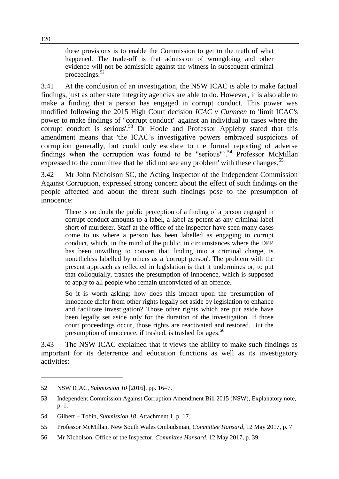these provisions is to enable the Commission to get to the truth of what happened. The trade-off is that admission of wrongdoing and other evidence will not be admissible against the witness in subsequent criminal proceedings.<sup>52</sup>

3.41 At the conclusion of an investigation, the NSW ICAC is able to make factual findings, just as other state integrity agencies are able to do. However, it is also able to make a finding that a person has engaged in corrupt conduct. This power was modified following the 2015 High Court decision *ICAC v Cunneen* to 'limit ICAC's power to make findings of "corrupt conduct" against an individual to cases where the corrupt conduct is serious'.<sup>53</sup> Dr Hoole and Professor Appleby stated that this amendment means that 'the ICAC's investigative powers embraced suspicions of corruption generally, but could only escalate to the formal reporting of adverse findings when the corruption was found to be "serious".<sup>54</sup> Professor McMillan expressed to the committee that he 'did not see any problem' with these changes.<sup>55</sup>

3.42 Mr John Nicholson SC, the Acting Inspector of the Independent Commission Against Corruption, expressed strong concern about the effect of such findings on the people affected and about the threat such findings pose to the presumption of innocence:

There is no doubt the public perception of a finding of a person engaged in corrupt conduct amounts to a label, a label as potent as any criminal label short of murderer. Staff at the office of the inspector have seen many cases come to us where a person has been labelled as engaging in corrupt conduct, which, in the mind of the public, in circumstances where the DPP has been unwilling to convert that finding into a criminal charge, is nonetheless labelled by others as a 'corrupt person'. The problem with the present approach as reflected in legislation is that it undermines or, to put that colloquially, trashes the presumption of innocence, which is supposed to apply to all people who remain unconvicted of an offence.

So it is worth asking: how does this impact upon the presumption of innocence differ from other rights legally set aside by legislation to enhance and facilitate investigation? Those other rights which are put aside have been legally set aside only for the duration of the investigation. If those court proceedings occur, those rights are reactivated and restored. But the presumption of innocence, if trashed, is trashed for ages.<sup>56</sup>

3.43 The NSW ICAC explained that it views the ability to make such findings as important for its deterrence and education functions as well as its investigatory activities:

<sup>52</sup> NSW ICAC, *Submission 10* [2016], pp. 16–7.

<sup>53</sup> Independent Commission Against Corruption Amendment Bill 2015 (NSW), Explanatory note, p. 1.

<sup>54</sup> Gilbert + Tobin, *Submission 18*, Attachment 1, p. 17.

<sup>55</sup> Professor McMillan, New South Wales Ombudsman, *Committee Hansard*, 12 May 2017, p. 7.

<sup>56</sup> Mr Nicholson, Office of the Inspector, *Committee Hansard*, 12 May 2017, p. 39.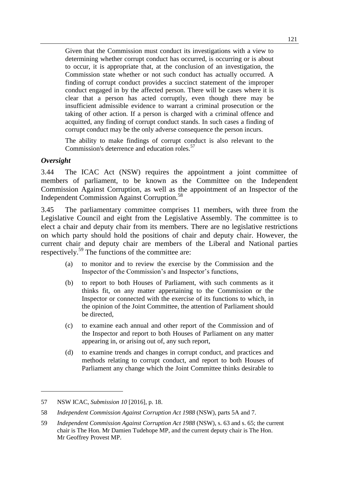Given that the Commission must conduct its investigations with a view to determining whether corrupt conduct has occurred, is occurring or is about to occur, it is appropriate that, at the conclusion of an investigation, the Commission state whether or not such conduct has actually occurred. A finding of corrupt conduct provides a succinct statement of the improper conduct engaged in by the affected person. There will be cases where it is clear that a person has acted corruptly, even though there may be insufficient admissible evidence to warrant a criminal prosecution or the taking of other action. If a person is charged with a criminal offence and acquitted, any finding of corrupt conduct stands. In such cases a finding of corrupt conduct may be the only adverse consequence the person incurs.

The ability to make findings of corrupt conduct is also relevant to the Commission's deterrence and education roles.<sup>57</sup>

#### *Oversight*

 $\overline{a}$ 

3.44 The ICAC Act (NSW) requires the appointment a joint committee of members of parliament, to be known as the Committee on the Independent Commission Against Corruption, as well as the appointment of an Inspector of the Independent Commission Against Corruption.<sup>58</sup>

3.45 The parliamentary committee comprises 11 members, with three from the Legislative Council and eight from the Legislative Assembly. The committee is to elect a chair and deputy chair from its members. There are no legislative restrictions on which party should hold the positions of chair and deputy chair. However, the current chair and deputy chair are members of the Liberal and National parties respectively.<sup>59</sup> The functions of the committee are:

- (a) to monitor and to review the exercise by the Commission and the Inspector of the Commission's and Inspector's functions,
- (b) to report to both Houses of Parliament, with such comments as it thinks fit, on any matter appertaining to the Commission or the Inspector or connected with the exercise of its functions to which, in the opinion of the Joint Committee, the attention of Parliament should be directed,
- (c) to examine each annual and other report of the Commission and of the Inspector and report to both Houses of Parliament on any matter appearing in, or arising out of, any such report,
- (d) to examine trends and changes in corrupt conduct, and practices and methods relating to corrupt conduct, and report to both Houses of Parliament any change which the Joint Committee thinks desirable to

<sup>57</sup> NSW ICAC, *Submission 10* [2016], p. 18.

<sup>58</sup> *Independent Commission Against Corruption Act 1988* (NSW), parts 5A and 7.

<sup>59</sup> *Independent Commission Against Corruption Act 1988* (NSW), s. 63 and s. 65; the current chair is The Hon. Mr Damien Tudehope MP, and the current deputy chair is The Hon. Mr Geoffrey Provest MP.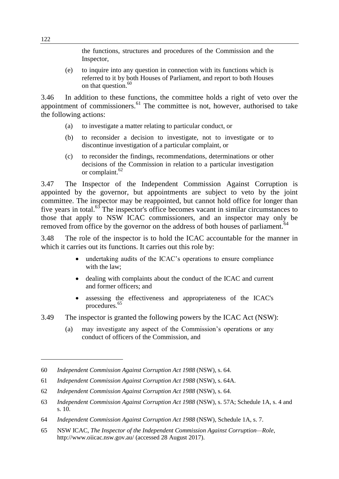the functions, structures and procedures of the Commission and the Inspector,

(e) to inquire into any question in connection with its functions which is referred to it by both Houses of Parliament, and report to both Houses on that question.<sup>60</sup>

3.46 In addition to these functions, the committee holds a right of veto over the appointment of commissioners. $61$  The committee is not, however, authorised to take the following actions:

- (a) to investigate a matter relating to particular conduct, or
- (b) to reconsider a decision to investigate, not to investigate or to discontinue investigation of a particular complaint, or
- (c) to reconsider the findings, recommendations, determinations or other decisions of the Commission in relation to a particular investigation or complaint.<sup>62</sup>

3.47 The Inspector of the Independent Commission Against Corruption is appointed by the governor, but appointments are subject to veto by the joint committee. The inspector may be reappointed, but cannot hold office for longer than five years in total.<sup>63</sup> The inspector's office becomes vacant in similar circumstances to those that apply to NSW ICAC commissioners, and an inspector may only be removed from office by the governor on the address of both houses of parliament.<sup>64</sup>

3.48 The role of the inspector is to hold the ICAC accountable for the manner in which it carries out its functions. It carries out this role by:

- undertaking audits of the ICAC's operations to ensure compliance with the law;
- dealing with complaints about the conduct of the ICAC and current and former officers; and
- assessing the effectiveness and appropriateness of the ICAC's procedures.<sup>65</sup>
- 3.49 The inspector is granted the following powers by the ICAC Act (NSW):
	- (a) may investigate any aspect of the Commission's operations or any conduct of officers of the Commission, and

<sup>60</sup> *Independent Commission Against Corruption Act 1988* (NSW), s. 64.

<sup>61</sup> *Independent Commission Against Corruption Act 1988* (NSW), s. 64A.

<sup>62</sup> *Independent Commission Against Corruption Act 1988* (NSW), s. 64.

<sup>63</sup> *Independent Commission Against Corruption Act 1988* (NSW), s. 57A; Schedule 1A, s. 4 and s. 10.

<sup>64</sup> *Independent Commission Against Corruption Act 1988* (NSW), Schedule 1A, s. 7.

<sup>65</sup> NSW ICAC, *The Inspector of the Independent Commission Against Corruption—Role*, http://www.oiicac.nsw.gov.au/ (accessed 28 August 2017).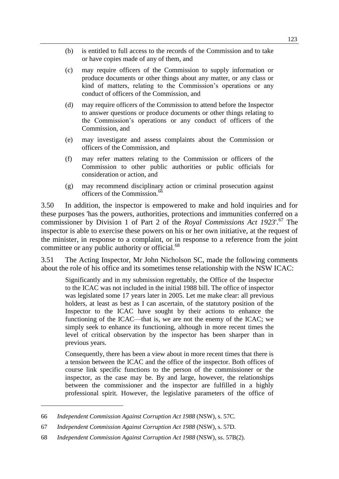- (b) is entitled to full access to the records of the Commission and to take or have copies made of any of them, and
- (c) may require officers of the Commission to supply information or produce documents or other things about any matter, or any class or kind of matters, relating to the Commission's operations or any conduct of officers of the Commission, and
- (d) may require officers of the Commission to attend before the Inspector to answer questions or produce documents or other things relating to the Commission's operations or any conduct of officers of the Commission, and
- (e) may investigate and assess complaints about the Commission or officers of the Commission, and
- (f) may refer matters relating to the Commission or officers of the Commission to other public authorities or public officials for consideration or action, and
- (g) may recommend disciplinary action or criminal prosecution against officers of the Commission.<sup>66</sup>

3.50 In addition, the inspector is empowered to make and hold inquiries and for these purposes 'has the powers, authorities, protections and immunities conferred on a commissioner by Division 1 of Part 2 of the *Royal Commissions Act 1923*'.<sup>67</sup> The inspector is able to exercise these powers on his or her own initiative, at the request of the minister, in response to a complaint, or in response to a reference from the joint committee or any public authority or official.<sup>68</sup>

3.51 The Acting Inspector, Mr John Nicholson SC, made the following comments about the role of his office and its sometimes tense relationship with the NSW ICAC:

Significantly and in my submission regrettably, the Office of the Inspector to the ICAC was not included in the initial 1988 bill. The office of inspector was legislated some 17 years later in 2005. Let me make clear: all previous holders, at least as best as I can ascertain, of the statutory position of the Inspector to the ICAC have sought by their actions to enhance the functioning of the ICAC—that is, we are not the enemy of the ICAC; we simply seek to enhance its functioning, although in more recent times the level of critical observation by the inspector has been sharper than in previous years.

Consequently, there has been a view about in more recent times that there is a tension between the ICAC and the office of the inspector. Both offices of course link specific functions to the person of the commissioner or the inspector, as the case may be. By and large, however, the relationships between the commissioner and the inspector are fulfilled in a highly professional spirit. However, the legislative parameters of the office of

<sup>66</sup> *Independent Commission Against Corruption Act 1988* (NSW), s. 57C.

<sup>67</sup> *Independent Commission Against Corruption Act 1988* (NSW), s. 57D.

<sup>68</sup> *Independent Commission Against Corruption Act 1988* (NSW), ss. 57B(2).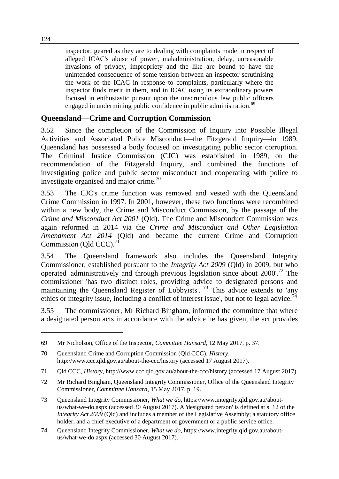inspector, geared as they are to dealing with complaints made in respect of alleged ICAC's abuse of power, maladministration, delay, unreasonable invasions of privacy, impropriety and the like are bound to have the unintended consequence of some tension between an inspector scrutinising the work of the ICAC in response to complaints, particularly where the inspector finds merit in them, and in ICAC using its extraordinary powers focused in enthusiastic pursuit upon the unscrupulous few public officers engaged in undermining public confidence in public administration.<sup>69</sup>

### **Queensland—Crime and Corruption Commission**

3.52 Since the completion of the Commission of Inquiry into Possible Illegal Activities and Associated Police Misconduct—the Fitzgerald Inquiry—in 1989, Queensland has possessed a body focused on investigating public sector corruption. The Criminal Justice Commission (CJC) was established in 1989, on the recommendation of the Fitzgerald Inquiry, and combined the functions of investigating police and public sector misconduct and cooperating with police to investigate organised and major crime.<sup>70</sup>

3.53 The CJC's crime function was removed and vested with the Queensland Crime Commission in 1997. In 2001, however, these two functions were recombined within a new body, the Crime and Misconduct Commission, by the passage of the *Crime and Misconduct Act 2001* (Qld). The Crime and Misconduct Commission was again reformed in 2014 via the *Crime and Misconduct and Other Legislation Amendment Act 2014* (Qld) and became the current Crime and Corruption Commission (Qld CCC). $71$ 

3.54 The Queensland framework also includes the Queensland Integrity Commissioner, established pursuant to the *Integrity Act 2009* (Qld) in 2009, but who operated 'administratively and through previous legislation since about 2000'.<sup>72</sup> The commissioner 'has two distinct roles, providing advice to designated persons and maintaining the Queensland Register of Lobbyists'.<sup>73</sup> This advice extends to 'any ethics or integrity issue, including a conflict of interest issue', but not to legal advice.<sup>74</sup>

3.55 The commissioner, Mr Richard Bingham, informed the committee that where a designated person acts in accordance with the advice he has given, the act provides

<sup>69</sup> Mr Nicholson, Office of the Inspector, *Committee Hansard*, 12 May 2017, p. 37.

<sup>70</sup> Queensland Crime and Corruption Commission (Qld CCC), *History*, http://www.ccc.qld.gov.au/about-the-ccc/history (accessed 17 August 2017).

<sup>71</sup> Qld CCC, *History*, http://www.ccc.qld.gov.au/about-the-ccc/history (accessed 17 August 2017).

<sup>72</sup> Mr Richard Bingham, Queensland Integrity Commissioner, Office of the Queensland Integrity Commissioner, *Committee Hansard*, 15 May 2017, p. 19.

<sup>73</sup> Queensland Integrity Commissioner, *What we do*, https://www.integrity.qld.gov.au/aboutus/what-we-do.aspx (accessed 30 August 2017). A 'designated person' is defined at s. 12 of the *Integrity Act 2009* (Old) and includes a member of the Legislative Assembly; a statutory office holder; and a chief executive of a department of government or a public service office.

<sup>74</sup> Queensland Integrity Commissioner, *What we do*, https://www.integrity.qld.gov.au/aboutus/what-we-do.aspx (accessed 30 August 2017).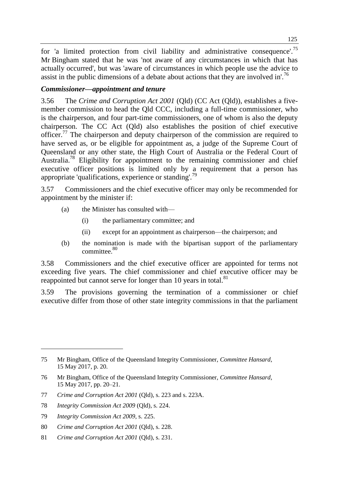for 'a limited protection from civil liability and administrative consequence'.<sup>75</sup> Mr Bingham stated that he was 'not aware of any circumstances in which that has actually occurred', but was 'aware of circumstances in which people use the advice to assist in the public dimensions of a debate about actions that they are involved in'.<sup>76</sup>

#### *Commissioner—appointment and tenure*

3.56 The *Crime and Corruption Act 2001* (Qld) (CC Act (Qld)), establishes a fivemember commission to head the Qld CCC, including a full-time commissioner, who is the chairperson, and four part-time commissioners, one of whom is also the deputy chairperson. The CC Act (Qld) also establishes the position of chief executive officer.<sup>77</sup> The chairperson and deputy chairperson of the commission are required to have served as, or be eligible for appointment as, a judge of the Supreme Court of Queensland or any other state, the High Court of Australia or the Federal Court of Australia.<sup>78</sup> Eligibility for appointment to the remaining commissioner and chief executive officer positions is limited only by a requirement that a person has appropriate 'qualifications, experience or standing'.<sup>79</sup>

3.57 Commissioners and the chief executive officer may only be recommended for appointment by the minister if:

- (a) the Minister has consulted with—
	- (i) the parliamentary committee; and
	- (ii) except for an appointment as chairperson—the chairperson; and
- (b) the nomination is made with the bipartisan support of the parliamentary committee.<sup>80</sup>

3.58 Commissioners and the chief executive officer are appointed for terms not exceeding five years. The chief commissioner and chief executive officer may be reappointed but cannot serve for longer than 10 years in total.<sup>81</sup>

3.59 The provisions governing the termination of a commissioner or chief executive differ from those of other state integrity commissions in that the parliament

<sup>75</sup> Mr Bingham, Office of the Queensland Integrity Commissioner, *Committee Hansard*, 15 May 2017, p. 20.

<sup>76</sup> Mr Bingham, Office of the Queensland Integrity Commissioner, *Committee Hansard*, 15 May 2017, pp. 20–21.

<sup>77</sup> *Crime and Corruption Act 2001* (Qld), s. 223 and s. 223A.

<sup>78</sup> *Integrity Commission Act 2009* (Qld), s. 224.

<sup>79</sup> *Integrity Commission Act 2009*, s. 225.

<sup>80</sup> *Crime and Corruption Act 2001* (Qld), s. 228.

<sup>81</sup> *Crime and Corruption Act 2001* (Qld), s. 231.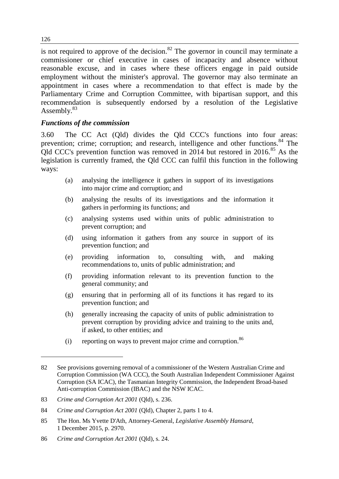is not required to approve of the decision. $82$  The governor in council may terminate a commissioner or chief executive in cases of incapacity and absence without reasonable excuse, and in cases where these officers engage in paid outside employment without the minister's approval. The governor may also terminate an appointment in cases where a recommendation to that effect is made by the Parliamentary Crime and Corruption Committee, with bipartisan support, and this recommendation is subsequently endorsed by a resolution of the Legislative Assembly.<sup>83</sup>

#### *Functions of the commission*

3.60 The CC Act (Qld) divides the Qld CCC's functions into four areas: prevention; crime; corruption; and research, intelligence and other functions.<sup>84</sup> The Qld CCC's prevention function was removed in 2014 but restored in 2016.<sup>85</sup> As the legislation is currently framed, the Qld CCC can fulfil this function in the following ways:

- (a) analysing the intelligence it gathers in support of its investigations into major crime and corruption; and
- (b) analysing the results of its investigations and the information it gathers in performing its functions; and
- (c) analysing systems used within units of public administration to prevent corruption; and
- (d) using information it gathers from any source in support of its prevention function; and
- (e) providing information to, consulting with, and making recommendations to, units of public administration; and
- (f) providing information relevant to its prevention function to the general community; and
- (g) ensuring that in performing all of its functions it has regard to its prevention function; and
- (h) generally increasing the capacity of units of public administration to prevent corruption by providing advice and training to the units and, if asked, to other entities; and
- (i) reporting on ways to prevent major crime and corruption. $86$

86 *Crime and Corruption Act 2001* (Qld), s. 24.

126

<sup>82</sup> See provisions governing removal of a commissioner of the Western Australian Crime and Corruption Commission (WA CCC), the South Australian Independent Commissioner Against Corruption (SA ICAC), the Tasmanian Integrity Commission, the Independent Broad-based Anti-corruption Commission (IBAC) and the NSW ICAC.

<sup>83</sup> *Crime and Corruption Act 2001* (Qld), s. 236.

<sup>84</sup> *Crime and Corruption Act 2001* (Qld), Chapter 2, parts 1 to 4.

<sup>85</sup> The Hon. Ms Yvette D'Ath, Attorney-General, *Legislative Assembly Hansard*, 1 December 2015, p. 2970.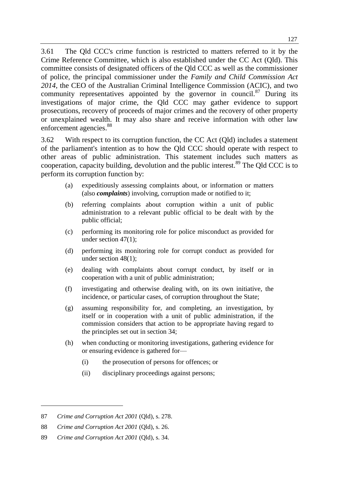3.61 The Qld CCC's crime function is restricted to matters referred to it by the Crime Reference Committee, which is also established under the CC Act (Qld). This committee consists of designated officers of the Qld CCC as well as the commissioner of police, the principal commissioner under the *Family and Child Commission Act 2014*, the CEO of the Australian Criminal Intelligence Commission (ACIC), and two community representatives appointed by the governor in council.<sup>87</sup> During its investigations of major crime, the Qld CCC may gather evidence to support prosecutions, recovery of proceeds of major crimes and the recovery of other property or unexplained wealth. It may also share and receive information with other law enforcement agencies.<sup>88</sup>

3.62 With respect to its corruption function, the CC Act (Qld) includes a statement of the parliament's intention as to how the Qld CCC should operate with respect to other areas of public administration. This statement includes such matters as cooperation, capacity building, devolution and the public interest.<sup>89</sup> The Qld CCC is to perform its corruption function by:

- (a) expeditiously assessing complaints about, or information or matters (also *complaints*) involving, corruption made or notified to it;
- (b) referring complaints about corruption within a unit of public administration to a relevant public official to be dealt with by the public official;
- (c) performing its monitoring role for police misconduct as provided for under section 47(1);
- (d) performing its monitoring role for corrupt conduct as provided for under section 48(1);
- (e) dealing with complaints about corrupt conduct, by itself or in cooperation with a unit of public administration;
- (f) investigating and otherwise dealing with, on its own initiative, the incidence, or particular cases, of corruption throughout the State;
- (g) assuming responsibility for, and completing, an investigation, by itself or in cooperation with a unit of public administration, if the commission considers that action to be appropriate having regard to the principles set out in section 34;
- (h) when conducting or monitoring investigations, gathering evidence for or ensuring evidence is gathered for—
	- (i) the prosecution of persons for offences; or
	- (ii) disciplinary proceedings against persons;

<sup>87</sup> *Crime and Corruption Act 2001* (Qld), s. 278.

<sup>88</sup> *Crime and Corruption Act 2001* (Qld), s. 26.

<sup>89</sup> *Crime and Corruption Act 2001* (Qld), s. 34.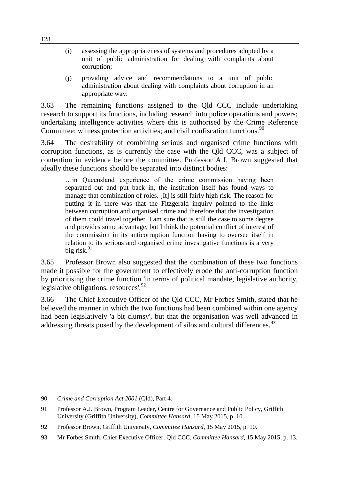- (i) assessing the appropriateness of systems and procedures adopted by a unit of public administration for dealing with complaints about corruption;
- (j) providing advice and recommendations to a unit of public administration about dealing with complaints about corruption in an appropriate way.

3.63 The remaining functions assigned to the Qld CCC include undertaking research to support its functions, including research into police operations and powers; undertaking intelligence activities where this is authorised by the Crime Reference Committee; witness protection activities; and civil confiscation functions.<sup>90</sup>

3.64 The desirability of combining serious and organised crime functions with corruption functions, as is currently the case with the Qld CCC, was a subject of contention in evidence before the committee. Professor A.J. Brown suggested that ideally these functions should be separated into distinct bodies:

…in Queensland experience of the crime commission having been separated out and put back in, the institution itself has found ways to manage that combination of roles. [It] is still fairly high risk. The reason for putting it in there was that the Fitzgerald inquiry pointed to the links between corruption and organised crime and therefore that the investigation of them could travel together. I am sure that is still the case to some degree and provides some advantage, but I think the potential conflict of interest of the commission in its anticorruption function having to oversee itself in relation to its serious and organised crime investigative functions is a very big risk. $91$ 

3.65 Professor Brown also suggested that the combination of these two functions made it possible for the government to effectively erode the anti-corruption function by prioritising the crime function 'in terms of political mandate, legislative authority, legislative obligations, resources'. $92$ 

3.66 The Chief Executive Officer of the Qld CCC, Mr Forbes Smith, stated that he believed the manner in which the two functions had been combined within one agency had been legislatively 'a bit clumsy', but that the organisation was well advanced in addressing threats posed by the development of silos and cultural differences.<sup>93</sup>

<sup>90</sup> *Crime and Corruption Act 2001* (Qld), Part 4.

<sup>91</sup> Professor A.J. Brown, Program Leader, Centre for Governance and Public Policy, Griffith University (Griffith University), *Committee Hansard*, 15 May 2015, p. 10.

<sup>92</sup> Professor Brown, Griffith University, *Committee Hansard*, 15 May 2015, p. 10.

<sup>93</sup> Mr Forbes Smith, Chief Executive Officer, Qld CCC, *Committee Hansard*, 15 May 2015, p. 13.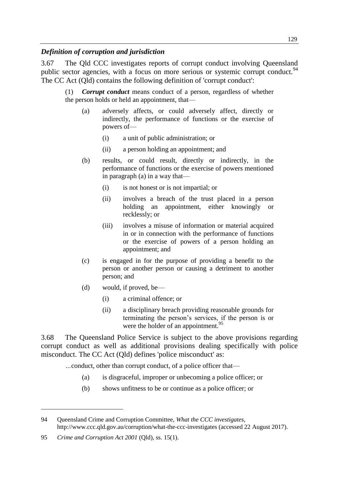#### *Definition of corruption and jurisdiction*

3.67 The Qld CCC investigates reports of corrupt conduct involving Queensland public sector agencies, with a focus on more serious or systemic corrupt conduct.<sup>94</sup> The CC Act (Qld) contains the following definition of 'corrupt conduct':

(1) *Corrupt conduct* means conduct of a person, regardless of whether the person holds or held an appointment, that—

- (a) adversely affects, or could adversely affect, directly or indirectly, the performance of functions or the exercise of powers of—
	- (i) a unit of public administration; or
	- (ii) a person holding an appointment; and
- (b) results, or could result, directly or indirectly, in the performance of functions or the exercise of powers mentioned in paragraph (a) in a way that—
	- (i) is not honest or is not impartial; or
	- (ii) involves a breach of the trust placed in a person holding an appointment, either knowingly or recklessly; or
	- (iii) involves a misuse of information or material acquired in or in connection with the performance of functions or the exercise of powers of a person holding an appointment; and
- (c) is engaged in for the purpose of providing a benefit to the person or another person or causing a detriment to another person; and
- (d) would, if proved, be—
	- (i) a criminal offence; or
	- (ii) a disciplinary breach providing reasonable grounds for terminating the person's services, if the person is or were the holder of an appointment.<sup>95</sup>

3.68 The Queensland Police Service is subject to the above provisions regarding corrupt conduct as well as additional provisions dealing specifically with police misconduct. The CC Act (Qld) defines 'police misconduct' as:

*…*conduct, other than corrupt conduct, of a police officer that—

- (a) is disgraceful, improper or unbecoming a police officer; or
- (b) shows unfitness to be or continue as a police officer; or

<sup>94</sup> Queensland Crime and Corruption Committee, *What the CCC investigates*, http://www.ccc.qld.gov.au/corruption/what-the-ccc-investigates (accessed 22 August 2017).

<sup>95</sup> *Crime and Corruption Act 2001* (Qld), ss. 15(1).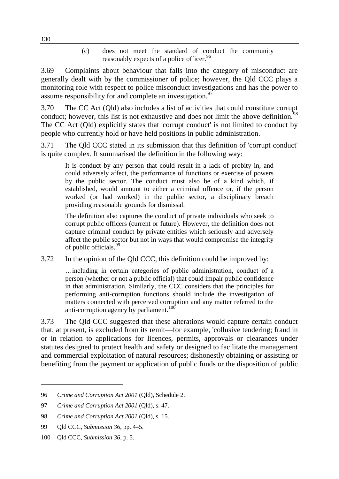(c) does not meet the standard of conduct the community reasonably expects of a police officer.<sup>96</sup>

3.69 Complaints about behaviour that falls into the category of misconduct are generally dealt with by the commissioner of police; however, the Qld CCC plays a monitoring role with respect to police misconduct investigations and has the power to assume responsibility for and complete an investigation.<sup>97</sup>

3.70 The CC Act (Qld) also includes a list of activities that could constitute corrupt conduct; however, this list is not exhaustive and does not limit the above definition.<sup>98</sup> The CC Act (Qld) explicitly states that 'corrupt conduct' is not limited to conduct by people who currently hold or have held positions in public administration.

3.71 The Qld CCC stated in its submission that this definition of 'corrupt conduct' is quite complex. It summarised the definition in the following way:

It is conduct by any person that could result in a lack of probity in, and could adversely affect, the performance of functions or exercise of powers by the public sector. The conduct must also be of a kind which, if established, would amount to either a criminal offence or, if the person worked (or had worked) in the public sector, a disciplinary breach providing reasonable grounds for dismissal.

The definition also captures the conduct of private individuals who seek to corrupt public officers (current or future). However, the definition does not capture criminal conduct by private entities which seriously and adversely affect the public sector but not in ways that would compromise the integrity of public officials.<sup>99</sup>

3.72 In the opinion of the Qld CCC, this definition could be improved by:

…including in certain categories of public administration, conduct of a person (whether or not a public official) that could impair public confidence in that administration. Similarly, the CCC considers that the principles for performing anti-corruption functions should include the investigation of matters connected with perceived corruption and any matter referred to the anti-corruption agency by parliament.<sup>100</sup>

3.73 The Qld CCC suggested that these alterations would capture certain conduct that, at present, is excluded from its remit—for example, 'collusive tendering; fraud in or in relation to applications for licences, permits, approvals or clearances under statutes designed to protect health and safety or designed to facilitate the management and commercial exploitation of natural resources; dishonestly obtaining or assisting or benefiting from the payment or application of public funds or the disposition of public

<sup>96</sup> *Crime and Corruption Act 2001* (Qld), Schedule 2.

<sup>97</sup> *Crime and Corruption Act 2001* (Qld), s. 47.

<sup>98</sup> *Crime and Corruption Act 2001* (Qld), s. 15.

<sup>99</sup> Qld CCC, *Submission 36*, pp. 4–5.

<sup>100</sup> Qld CCC, *Submission 36*, p. 5.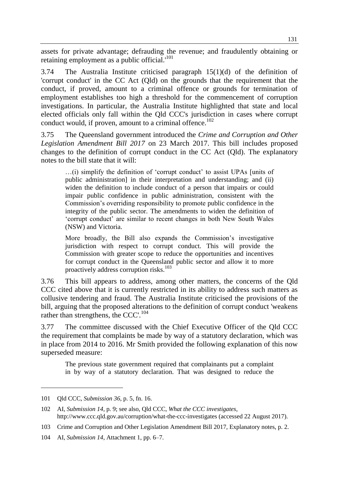assets for private advantage; defrauding the revenue; and fraudulently obtaining or retaining employment as a public official.'<sup>101</sup>

3.74 The Australia Institute criticised paragraph 15(1)(d) of the definition of 'corrupt conduct' in the CC Act (Qld) on the grounds that the requirement that the conduct, if proved, amount to a criminal offence or grounds for termination of employment establishes too high a threshold for the commencement of corruption investigations. In particular, the Australia Institute highlighted that state and local elected officials only fall within the Qld CCC's jurisdiction in cases where corrupt conduct would, if proven, amount to a criminal offence.<sup>102</sup>

3.75 The Queensland government introduced the *Crime and Corruption and Other Legislation Amendment Bill 2017* on 23 March 2017. This bill includes proposed changes to the definition of corrupt conduct in the CC Act (Qld). The explanatory notes to the bill state that it will:

…(i) simplify the definition of 'corrupt conduct' to assist UPAs [units of public administration] in their interpretation and understanding; and (ii) widen the definition to include conduct of a person that impairs or could impair public confidence in public administration, consistent with the Commission's overriding responsibility to promote public confidence in the integrity of the public sector. The amendments to widen the definition of 'corrupt conduct' are similar to recent changes in both New South Wales (NSW) and Victoria.

More broadly, the Bill also expands the Commission's investigative jurisdiction with respect to corrupt conduct. This will provide the Commission with greater scope to reduce the opportunities and incentives for corrupt conduct in the Queensland public sector and allow it to more proactively address corruption risks.<sup>103</sup>

3.76 This bill appears to address, among other matters, the concerns of the Qld CCC cited above that it is currently restricted in its ability to address such matters as collusive tendering and fraud. The Australia Institute criticised the provisions of the bill, arguing that the proposed alterations to the definition of corrupt conduct 'weakens rather than strengthens, the CCC'.<sup>104</sup>

3.77 The committee discussed with the Chief Executive Officer of the Qld CCC the requirement that complaints be made by way of a statutory declaration, which was in place from 2014 to 2016. Mr Smith provided the following explanation of this now superseded measure:

The previous state government required that complainants put a complaint in by way of a statutory declaration. That was designed to reduce the

<sup>101</sup> Qld CCC, *Submission 36*, p. 5, fn. 16.

<sup>102</sup> AI, *Submission 14*, p. 9; see also, Qld CCC, *What the CCC investigates*, http://www.ccc.qld.gov.au/corruption/what-the-ccc-investigates (accessed 22 August 2017).

<sup>103</sup> Crime and Corruption and Other Legislation Amendment Bill 2017, Explanatory notes, p. 2.

<sup>104</sup> AI, *Submission 14*, Attachment 1, pp. 6–7.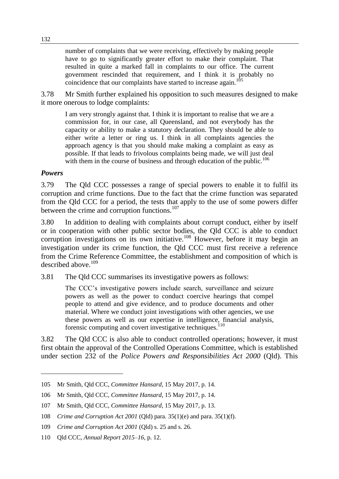number of complaints that we were receiving, effectively by making people have to go to significantly greater effort to make their complaint. That resulted in quite a marked fall in complaints to our office. The current government rescinded that requirement, and I think it is probably no coincidence that our complaints have started to increase again.<sup>10</sup>

3.78 Mr Smith further explained his opposition to such measures designed to make it more onerous to lodge complaints:

I am very strongly against that. I think it is important to realise that we are a commission for, in our case, all Queensland, and not everybody has the capacity or ability to make a statutory declaration. They should be able to either write a letter or ring us. I think in all complaints agencies the approach agency is that you should make making a complaint as easy as possible. If that leads to frivolous complaints being made, we will just deal with them in the course of business and through education of the public.<sup>106</sup>

#### *Powers*

 $\overline{a}$ 

3.79 The Qld CCC possesses a range of special powers to enable it to fulfil its corruption and crime functions. Due to the fact that the crime function was separated from the Qld CCC for a period, the tests that apply to the use of some powers differ between the crime and corruption functions.<sup>107</sup>

3.80 In addition to dealing with complaints about corrupt conduct, either by itself or in cooperation with other public sector bodies, the Qld CCC is able to conduct corruption investigations on its own initiative.<sup>108</sup> However, before it may begin an investigation under its crime function, the Qld CCC must first receive a reference from the Crime Reference Committee, the establishment and composition of which is described above.<sup>109</sup>

3.81 The Qld CCC summarises its investigative powers as follows:

The CCC's investigative powers include search, surveillance and seizure powers as well as the power to conduct coercive hearings that compel people to attend and give evidence, and to produce documents and other material. Where we conduct joint investigations with other agencies, we use these powers as well as our expertise in intelligence, financial analysis, forensic computing and covert investigative techniques.<sup>110</sup>

3.82 The Qld CCC is also able to conduct controlled operations; however, it must first obtain the approval of the Controlled Operations Committee, which is established under section 232 of the *Police Powers and Responsibilities Act 2000* (Qld). This

<sup>105</sup> Mr Smith, Qld CCC, *Committee Hansard*, 15 May 2017, p. 14.

<sup>106</sup> Mr Smith, Qld CCC, *Committee Hansard*, 15 May 2017, p. 14.

<sup>107</sup> Mr Smith, Qld CCC, *Committee Hansard*, 15 May 2017, p. 13.

<sup>108</sup> *Crime and Corruption Act 2001* (Qld) para. 35(1)(e) and para. 35(1)(f).

<sup>109</sup> *Crime and Corruption Act 2001* (Qld) s. 25 and s. 26.

<sup>110</sup> Qld CCC, *Annual Report 2015–16*, p. 12.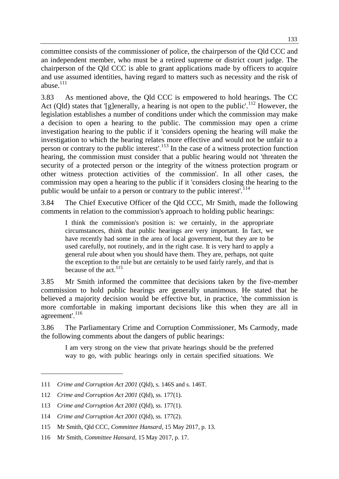committee consists of the commissioner of police, the chairperson of the Qld CCC and an independent member, who must be a retired supreme or district court judge. The chairperson of the Qld CCC is able to grant applications made by officers to acquire and use assumed identities, having regard to matters such as necessity and the risk of abuse $^{111}$ 

3.83 As mentioned above, the Qld CCC is empowered to hold hearings. The CC Act (Qld) states that '[g]enerally, a hearing is not open to the public'.<sup>112</sup> However, the legislation establishes a number of conditions under which the commission may make a decision to open a hearing to the public. The commission may open a crime investigation hearing to the public if it 'considers opening the hearing will make the investigation to which the hearing relates more effective and would not be unfair to a person or contrary to the public interest'.<sup>113</sup> In the case of a witness protection function hearing, the commission must consider that a public hearing would not 'threaten the security of a protected person or the integrity of the witness protection program or other witness protection activities of the commission'. In all other cases, the commission may open a hearing to the public if it 'considers closing the hearing to the public would be unfair to a person or contrary to the public interest'.<sup>114</sup>

3.84 The Chief Executive Officer of the Qld CCC, Mr Smith, made the following comments in relation to the commission's approach to holding public hearings:

I think the commission's position is: we certainly, in the appropriate circumstances, think that public hearings are very important. In fact, we have recently had some in the area of local government, but they are to be used carefully, not routinely, and in the right case. It is very hard to apply a general rule about when you should have them. They are, perhaps, not quite the exception to the rule but are certainly to be used fairly rarely, and that is because of the act.<sup>115</sup>

3.85 Mr Smith informed the committee that decisions taken by the five-member commission to hold public hearings are generally unanimous. He stated that he believed a majority decision would be effective but, in practice, 'the commission is more comfortable in making important decisions like this when they are all in agreement'.<sup>116</sup>

3.86 The Parliamentary Crime and Corruption Commissioner, Ms Carmody, made the following comments about the dangers of public hearings:

I am very strong on the view that private hearings should be the preferred way to go, with public hearings only in certain specified situations. We

<sup>111</sup> *Crime and Corruption Act 2001* (Qld), s. 146S and s. 146T.

<sup>112</sup> *Crime and Corruption Act 2001* (Qld), ss. 177(1).

<sup>113</sup> *Crime and Corruption Act 2001* (Qld), ss. 177(1).

<sup>114</sup> *Crime and Corruption Act 2001* (Qld), ss. 177(2).

<sup>115</sup> Mr Smith, Qld CCC, *Committee Hansard*, 15 May 2017, p. 13.

<sup>116</sup> Mr Smith, *Committee Hansard*, 15 May 2017, p. 17.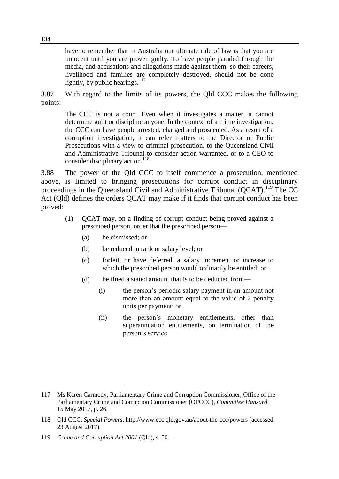have to remember that in Australia our ultimate rule of law is that you are innocent until you are proven guilty. To have people paraded through the media, and accusations and allegations made against them, so their careers, livelihood and families are completely destroyed, should not be done lightly, by public hearings. $^{117}$ 

3.87 With regard to the limits of its powers, the Qld CCC makes the following points:

The CCC is not a court. Even when it investigates a matter, it cannot determine guilt or discipline anyone. In the context of a crime investigation, the CCC can have people arrested, charged and prosecuted. As a result of a corruption investigation, it can refer matters to the Director of Public Prosecutions with a view to criminal prosecution, to the Queensland Civil and Administrative Tribunal to consider action warranted, or to a CEO to consider disciplinary action.<sup>118</sup>

3.88 The power of the Qld CCC to itself commence a prosecution, mentioned above, is limited to bringing prosecutions for corrupt conduct in disciplinary proceedings in the Queensland Civil and Administrative Tribunal (QCAT).<sup>119</sup> The CC Act (Qld) defines the orders QCAT may make if it finds that corrupt conduct has been proved:

- (1) QCAT may, on a finding of corrupt conduct being proved against a prescribed person, order that the prescribed person—
	- (a) be dismissed; or
	- (b) be reduced in rank or salary level; or
	- (c) forfeit, or have deferred, a salary increment or increase to which the prescribed person would ordinarily be entitled; or
	- (d) be fined a stated amount that is to be deducted from—
		- (i) the person's periodic salary payment in an amount not more than an amount equal to the value of 2 penalty units per payment; or
		- (ii) the person's monetary entitlements, other than superannuation entitlements, on termination of the person's service.

<sup>117</sup> Ms Karen Carmody, Parliamentary Crime and Corruption Commissioner, Office of the Parliamentary Crime and Corruption Commissioner (OPCCC), *Committee Hansard*, 15 May 2017, p. 26.

<sup>118</sup> Qld CCC, *Special Powers*, http://www.ccc.qld.gov.au/about-the-ccc/powers (accessed 23 August 2017).

<sup>119</sup> *Crime and Corruption Act 2001* (Qld), s. 50.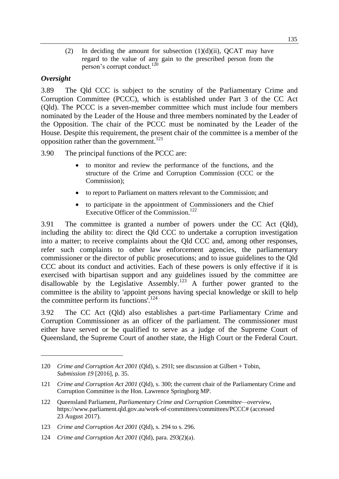(2) In deciding the amount for subsection  $(1)(d)(ii)$ , QCAT may have regard to the value of any gain to the prescribed person from the person's corrupt conduct.<sup>120</sup>

#### *Oversight*

 $\overline{a}$ 

3.89 The Qld CCC is subject to the scrutiny of the Parliamentary Crime and Corruption Committee (PCCC), which is established under Part 3 of the CC Act (Qld). The PCCC is a seven-member committee which must include four members nominated by the Leader of the House and three members nominated by the Leader of the Opposition. The chair of the PCCC must be nominated by the Leader of the House. Despite this requirement, the present chair of the committee is a member of the opposition rather than the government.<sup>121</sup>

3.90 The principal functions of the PCCC are:

- to monitor and review the performance of the functions, and the structure of the Crime and Corruption Commission (CCC or the Commission);
- to report to Parliament on matters relevant to the Commission; and
- to participate in the appointment of Commissioners and the Chief Executive Officer of the Commission.<sup>122</sup>

3.91 The committee is granted a number of powers under the CC Act (Qld), including the ability to: direct the Qld CCC to undertake a corruption investigation into a matter; to receive complaints about the Qld CCC and, among other responses, refer such complaints to other law enforcement agencies, the parliamentary commissioner or the director of public prosecutions; and to issue guidelines to the Qld CCC about its conduct and activities. Each of these powers is only effective if it is exercised with bipartisan support and any guidelines issued by the committee are disallowable by the Legislative Assembly.<sup>123</sup> A further power granted to the committee is the ability to 'appoint persons having special knowledge or skill to help the committee perform its functions'.<sup>124</sup>

3.92 The CC Act (Qld) also establishes a part-time Parliamentary Crime and Corruption Commissioner as an officer of the parliament. The commissioner must either have served or be qualified to serve as a judge of the Supreme Court of Queensland, the Supreme Court of another state, the High Court or the Federal Court.

<sup>120</sup> *Crime and Corruption Act 2001* (Qld), s. 291I; see discussion at Gilbert + Tobin, *Submission 19* [2016], p. 35.

<sup>121</sup> *Crime and Corruption Act 2001* (Qld), s. 300; the current chair of the Parliamentary Crime and Corruption Committee is the Hon. Lawrence Springborg MP.

<sup>122</sup> Queensland Parliament, *Parliamentary Crime and Corruption Committee—overview*, https://www.parliament.qld.gov.au/work-of-committees/committees/PCCC# (accessed 23 August 2017).

<sup>123</sup> *Crime and Corruption Act 2001* (Qld), s. 294 to s. 296.

<sup>124</sup> *Crime and Corruption Act 2001* (Qld), para. 293(2)(a).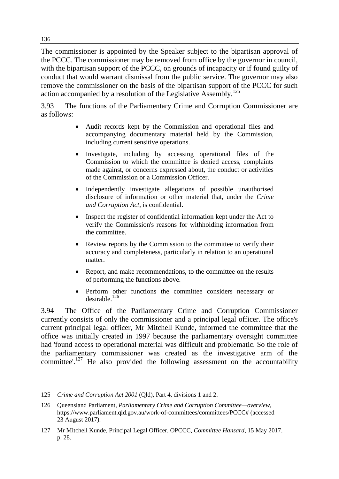The commissioner is appointed by the Speaker subject to the bipartisan approval of the PCCC. The commissioner may be removed from office by the governor in council, with the bipartisan support of the PCCC, on grounds of incapacity or if found guilty of conduct that would warrant dismissal from the public service. The governor may also remove the commissioner on the basis of the bipartisan support of the PCCC for such action accompanied by a resolution of the Legislative Assembly.<sup>125</sup>

3.93 The functions of the Parliamentary Crime and Corruption Commissioner are as follows:

- Audit records kept by the Commission and operational files and accompanying documentary material held by the Commission, including current sensitive operations.
- Investigate, including by accessing operational files of the Commission to which the committee is denied access, complaints made against, or concerns expressed about, the conduct or activities of the Commission or a Commission Officer.
- Independently investigate allegations of possible unauthorised disclosure of information or other material that, under the *Crime and Corruption Act*, is confidential.
- Inspect the register of confidential information kept under the Act to verify the Commission's reasons for withholding information from the committee.
- Review reports by the Commission to the committee to verify their accuracy and completeness, particularly in relation to an operational matter.
- Report, and make recommendations, to the committee on the results of performing the functions above.
- Perform other functions the committee considers necessary or  $desirable.<sup>126</sup>$

3.94 The Office of the Parliamentary Crime and Corruption Commissioner currently consists of only the commissioner and a principal legal officer. The office's current principal legal officer, Mr Mitchell Kunde, informed the committee that the office was initially created in 1997 because the parliamentary oversight committee had 'found access to operational material was difficult and problematic. So the role of the parliamentary commissioner was created as the investigative arm of the committee'.<sup>127</sup> He also provided the following assessment on the accountability

<sup>125</sup> *Crime and Corruption Act 2001* (Qld), Part 4, divisions 1 and 2.

<sup>126</sup> Queensland Parliament, *Parliamentary Crime and Corruption Committee—overview*, https://www.parliament.qld.gov.au/work-of-committees/committees/PCCC# (accessed 23 August 2017).

<sup>127</sup> Mr Mitchell Kunde, Principal Legal Officer, OPCCC, *Committee Hansard*, 15 May 2017, p. 28.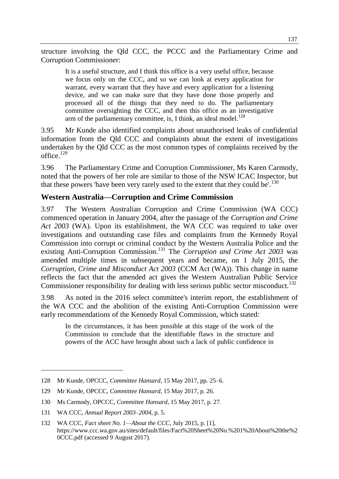structure involving the Qld CCC, the PCCC and the Parliamentary Crime and Corruption Commissioner:

It is a useful structure, and I think this office is a very useful office, because we focus only on the CCC, and so we can look at every application for warrant, every warrant that they have and every application for a listening device, and we can make sure that they have done those properly and processed all of the things that they need to do. The parliamentary committee oversighting the CCC, and then this office as an investigative arm of the parliamentary committee, is, I think, an ideal model.<sup>128</sup>

3.95 Mr Kunde also identified complaints about unauthorised leaks of confidential information from the Qld CCC and complaints about the extent of investigations undertaken by the Qld CCC as the most common types of complaints received by the office.<sup>129</sup>

3.96 The Parliamentary Crime and Corruption Commissioner, Ms Karen Carmody, noted that the powers of her role are similar to those of the NSW ICAC Inspector, but that these powers 'have been very rarely used to the extent that they could be'.<sup>130</sup>

#### **Western Australia—Corruption and Crime Commission**

3.97 The Western Australian Corruption and Crime Commission (WA CCC) commenced operation in January 2004, after the passage of the *Corruption and Crime Act 2003* (WA). Upon its establishment, the WA CCC was required to take over investigations and outstanding case files and complaints from the Kennedy Royal Commission into corrupt or criminal conduct by the Western Australia Police and the existing Anti-Corruption Commission.<sup>131</sup> The *Corruption and Crime Act 2003* was amended multiple times in subsequent years and became, on 1 July 2015, the *Corruption, Crime and Misconduct Act 2003* (CCM Act (WA)). This change in name reflects the fact that the amended act gives the Western Australian Public Service Commissioner responsibility for dealing with less serious public sector misconduct.<sup>132</sup>

3.98 As noted in the 2016 select committee's interim report, the establishment of the WA CCC and the abolition of the existing Anti-Corruption Commission were early recommendations of the Kennedy Royal Commission, which stated:

In the circumstances, it has been possible at this stage of the work of the Commission to conclude that the identifiable flaws in the structure and powers of the ACC have brought about such a lack of public confidence in

<sup>128</sup> Mr Kunde, OPCCC, *Committee Hansard*, 15 May 2017, pp. 25–6.

<sup>129</sup> Mr Kunde, OPCCC, *Committee Hansard*, 15 May 2017, p. 26.

<sup>130</sup> Ms Carmody, OPCCC, *Committee Hansard*, 15 May 2017, p. 27.

<sup>131</sup> WA CCC, *Annual Report 2003–2004*, p. 5.

<sup>132</sup> WA CCC, *Fact sheet No. 1—About the CCC*, July 2015, p. [1], https://www.ccc.wa.gov.au/sites/default/files/Fact%20Sheet%20No.%201%20About%20the%2 0CCC.pdf (accessed 9 August 2017).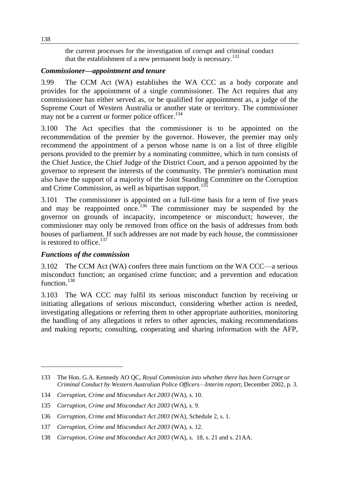the current processes for the investigation of corrupt and criminal conduct that the establishment of a new permanent body is necessary.<sup>133</sup>

#### *Commissioner—appointment and tenure*

3.99 The CCM Act (WA) establishes the WA CCC as a body corporate and provides for the appointment of a single commissioner. The Act requires that any commissioner has either served as, or be qualified for appointment as, a judge of the Supreme Court of Western Australia or another state or territory. The commissioner may not be a current or former police officer.<sup>134</sup>

3.100 The Act specifies that the commissioner is to be appointed on the recommendation of the premier by the governor. However, the premier may only recommend the appointment of a person whose name is on a list of three eligible persons provided to the premier by a nominating committee, which in turn consists of the Chief Justice, the Chief Judge of the District Court, and a person appointed by the governor to represent the interests of the community. The premier's nomination must also have the support of a majority of the Joint Standing Committee on the Corruption and Crime Commission, as well as bipartisan support.<sup>135</sup>

3.101 The commissioner is appointed on a full-time basis for a term of five years and may be reappointed once.<sup>136</sup> The commissioner may be suspended by the governor on grounds of incapacity, incompetence or misconduct; however, the commissioner may only be removed from office on the basis of addresses from both houses of parliament. If such addresses are not made by each house, the commissioner is restored to office.<sup>137</sup>

#### *Functions of the commission*

 $\overline{a}$ 

3.102 The CCM Act (WA) confers three main functions on the WA CCC—a serious misconduct function; an organised crime function; and a prevention and education function.<sup>138</sup>

3.103 The WA CCC may fulfil its serious misconduct function by receiving or initiating allegations of serious misconduct, considering whether action is needed, investigating allegations or referring them to other appropriate authorities, monitoring the handling of any allegations it refers to other agencies, making recommendations and making reports; consulting, cooperating and sharing information with the AFP,

<sup>133</sup> The Hon. G.A. Kennedy AO QC, *Royal Commission into whether there has been Corrupt or Criminal Conduct by Western Australian Police Officers—Interim report*, December 2002, p. 3.

<sup>134</sup> *Corruption, Crime and Misconduct Act 2003* (WA), s. 10.

<sup>135</sup> *Corruption, Crime and Misconduct Act 2003* (WA), s. 9.

<sup>136</sup> *Corruption, Crime and Misconduct Act 2003* (WA), Schedule 2, s. 1.

<sup>137</sup> *Corruption, Crime and Misconduct Act 2003* (WA), s. 12.

<sup>138</sup> *Corruption, Crime and Misconduct Act 2003* (WA), s. 18, s. 21 and s. 21AA.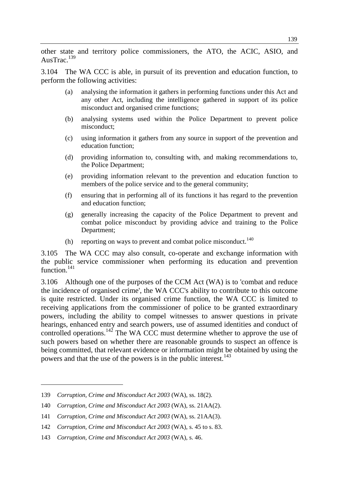other state and territory police commissioners, the ATO, the ACIC, ASIO, and AusTrac.<sup>139</sup>

3.104 The WA CCC is able, in pursuit of its prevention and education function, to perform the following activities:

- (a) analysing the information it gathers in performing functions under this Act and any other Act, including the intelligence gathered in support of its police misconduct and organised crime functions;
- (b) analysing systems used within the Police Department to prevent police misconduct;
- (c) using information it gathers from any source in support of the prevention and education function;
- (d) providing information to, consulting with, and making recommendations to, the Police Department;
- (e) providing information relevant to the prevention and education function to members of the police service and to the general community;
- (f) ensuring that in performing all of its functions it has regard to the prevention and education function;
- (g) generally increasing the capacity of the Police Department to prevent and combat police misconduct by providing advice and training to the Police Department;
- (h) reporting on ways to prevent and combat police misconduct.<sup>140</sup>

3.105 The WA CCC may also consult, co-operate and exchange information with the public service commissioner when performing its education and prevention function.<sup>141</sup>

3.106 Although one of the purposes of the CCM Act (WA) is to 'combat and reduce the incidence of organised crime', the WA CCC's ability to contribute to this outcome is quite restricted. Under its organised crime function, the WA CCC is limited to receiving applications from the commissioner of police to be granted extraordinary powers, including the ability to compel witnesses to answer questions in private hearings, enhanced entry and search powers, use of assumed identities and conduct of controlled operations.<sup>142</sup> The WA CCC must determine whether to approve the use of such powers based on whether there are reasonable grounds to suspect an offence is being committed, that relevant evidence or information might be obtained by using the powers and that the use of the powers is in the public interest.<sup>143</sup>

<sup>139</sup> *Corruption, Crime and Misconduct Act 2003* (WA), ss. 18(2).

<sup>140</sup> *Corruption, Crime and Misconduct Act 2003* (WA), ss. 21AA(2).

<sup>141</sup> *Corruption, Crime and Misconduct Act 2003* (WA), ss. 21AA(3).

<sup>142</sup> *Corruption, Crime and Misconduct Act 2003* (WA), s. 45 to s. 83.

<sup>143</sup> *Corruption, Crime and Misconduct Act 2003* (WA), s. 46.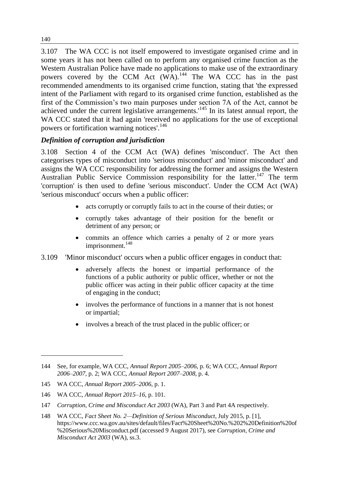3.107 The WA CCC is not itself empowered to investigate organised crime and in some years it has not been called on to perform any organised crime function as the Western Australian Police have made no applications to make use of the extraordinary powers covered by the CCM Act (WA).<sup>144</sup> The WA CCC has in the past recommended amendments to its organised crime function, stating that 'the expressed intent of the Parliament with regard to its organised crime function, established as the first of the Commission's two main purposes under section 7A of the Act, cannot be achieved under the current legislative arrangements.'<sup>145</sup> In its latest annual report, the WA CCC stated that it had again 'received no applications for the use of exceptional powers or fortification warning notices'.<sup>146</sup>

#### *Definition of corruption and jurisdiction*

3.108 Section 4 of the CCM Act (WA) defines 'misconduct'. The Act then categorises types of misconduct into 'serious misconduct' and 'minor misconduct' and assigns the WA CCC responsibility for addressing the former and assigns the Western Australian Public Service Commission responsibility for the latter.<sup>147</sup> The term 'corruption' is then used to define 'serious misconduct'. Under the CCM Act (WA) 'serious misconduct' occurs when a public officer:

- acts corruptly or corruptly fails to act in the course of their duties; or
- corruptly takes advantage of their position for the benefit or detriment of any person; or
- commits an offence which carries a penalty of 2 or more years imprisonment.<sup>148</sup>
- 3.109 'Minor misconduct' occurs when a public officer engages in conduct that:
	- adversely affects the honest or impartial performance of the functions of a public authority or public officer, whether or not the public officer was acting in their public officer capacity at the time of engaging in the conduct;
	- involves the performance of functions in a manner that is not honest or impartial;
	- involves a breach of the trust placed in the public officer; or

140

<sup>144</sup> See, for example, WA CCC, *Annual Report 2005–2006*, p. 6; WA CCC, *Annual Report 2006–2007*, p. 2; WA CCC, *Annual Report 2007–2008*, p. 4.

<sup>145</sup> WA CCC, *Annual Report 2005–2006*, p. 1.

<sup>146</sup> WA CCC, *Annual Report 2015–16*, p. 101.

<sup>147</sup> *Corruption, Crime and Misconduct Act 2003* (WA), Part 3 and Part 4A respectively.

<sup>148</sup> WA CCC, *Fact Sheet No. 2—Definition of Serious Misconduct*, July 2015, p. [1], https://www.ccc.wa.gov.au/sites/default/files/Fact%20Sheet%20No.%202%20Definition%20of %20Serious%20Misconduct.pdf (accessed 9 August 2017), see *Corruption, Crime and Misconduct Act 2003* (WA), ss.3.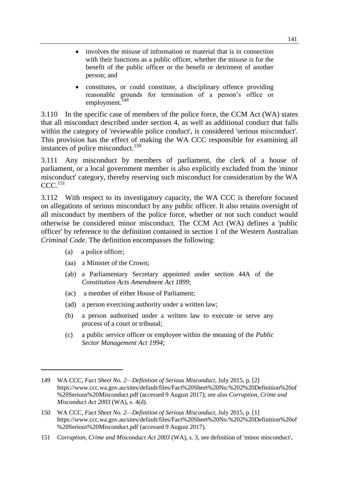- involves the misuse of information or material that is in connection with their functions as a public officer, whether the misuse is for the benefit of the public officer or the benefit or detriment of another person; and
- constitutes, or could constitute, a disciplinary offence providing reasonable grounds for termination of a person's office or employment.<sup>149</sup>

3.110 In the specific case of members of the police force, the CCM Act (WA) states that all misconduct described under section 4, as well as additional conduct that falls within the category of 'reviewable police conduct', is considered 'serious misconduct'. This provision has the effect of making the WA CCC responsible for examining all instances of police misconduct.<sup>150</sup>

3.111 Any misconduct by members of parliament, the clerk of a house of parliament, or a local government member is also explicitly excluded from the 'minor misconduct' category, thereby reserving such misconduct for consideration by the WA  $CCC.$ <sup>151</sup>

3.112 With respect to its investigatory capacity, the WA CCC is therefore focused on allegations of serious misconduct by any public officer. It also retains oversight of all misconduct by members of the police force, whether or not such conduct would otherwise be considered minor misconduct. The CCM Act (WA) defines a 'public officer' by reference to the definition contained in section 1 of the Western Australian *Criminal Code*. The definition encompasses the following:

(a) a police officer;

- (aa) a Minister of the Crown;
- (ab) a Parliamentary Secretary appointed under section 44A of the *Constitution Acts Amendment Act 1899*;
- (ac) a member of either House of Parliament;
- (ad) a person exercising authority under a written law;
- (b) a person authorised under a written law to execute or serve any process of a court or tribunal;
- (c) a public service officer or employee within the meaning of the *Public Sector Management Act 1994*;

<sup>149</sup> WA CCC, *Fact Sheet No. 2—Definition of Serious Misconduct*, July 2015, p. [2] https://www.ccc.wa.gov.au/sites/default/files/Fact%20Sheet%20No.%202%20Definition%20of %20Serious%20Misconduct.pdf (accessed 9 August 2017); see also *Corruption, Crime and Misconduct Act 2003* (WA), s. 4(d).

<sup>150</sup> WA CCC, *Fact Sheet No. 2—Definition of Serious Misconduct*, July 2015, p. [1] https://www.ccc.wa.gov.au/sites/default/files/Fact%20Sheet%20No.%202%20Definition%20of %20Serious%20Misconduct.pdf (accessed 9 August 2017).

<sup>151</sup> *Corruption, Crime and Misconduct Act 2003* (WA), s. 3, see definition of 'minor misconduct'**.**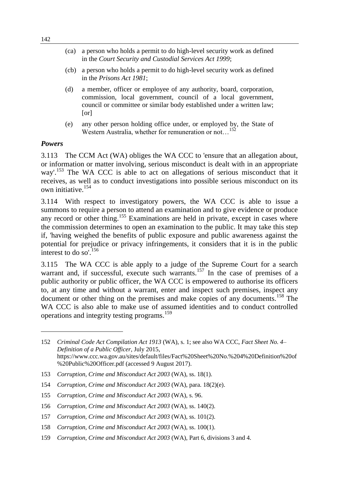- (ca) a person who holds a permit to do high-level security work as defined in the *Court Security and Custodial Services Act 1999*;
- (cb) a person who holds a permit to do high-level security work as defined in the *Prisons Act 1981*;
- (d) a member, officer or employee of any authority, board, corporation, commission, local government, council of a local government, council or committee or similar body established under a written law; [or]
- (e) any other person holding office under, or employed by, the State of Western Australia, whether for remuneration or not...<sup>152</sup>

#### *Powers*

 $\overline{a}$ 

3.113 The CCM Act (WA) obliges the WA CCC to 'ensure that an allegation about, or information or matter involving, serious misconduct is dealt with in an appropriate way'<sup>153</sup>. The WA CCC is able to act on allegations of serious misconduct that it receives, as well as to conduct investigations into possible serious misconduct on its own initiative.<sup>154</sup>

3.114 With respect to investigatory powers, the WA CCC is able to issue a summons to require a person to attend an examination and to give evidence or produce any record or other thing.<sup>155</sup> Examinations are held in private, except in cases where the commission determines to open an examination to the public. It may take this step if, 'having weighed the benefits of public exposure and public awareness against the potential for prejudice or privacy infringements, it considers that it is in the public interest to do so'.<sup>156</sup>

3.115 The WA CCC is able apply to a judge of the Supreme Court for a search warrant and, if successful, execute such warrants.<sup>157</sup> In the case of premises of a public authority or public officer, the WA CCC is empowered to authorise its officers to, at any time and without a warrant, enter and inspect such premises, inspect any document or other thing on the premises and make copies of any documents.<sup>158</sup> The WA CCC is also able to make use of assumed identities and to conduct controlled operations and integrity testing programs.<sup>159</sup>

- 153 *Corruption, Crime and Misconduct Act 2003* (WA), ss. 18(1).
- 154 *Corruption, Crime and Misconduct Act 2003* (WA), para. 18(2)(e).

159 *Corruption, Crime and Misconduct Act 2003* (WA), Part 6, divisions 3 and 4.

<sup>152</sup> *Criminal Code Act Compilation Act 1913* (WA), s. 1; see also WA CCC, *Fact Sheet No. 4*– *Definition of a Public Officer*, July 2015, https://www.ccc.wa.gov.au/sites/default/files/Fact%20Sheet%20No.%204%20Definition%20of %20Public%20Officer.pdf (accessed 9 August 2017).

<sup>155</sup> *Corruption, Crime and Misconduct Act 2003* (WA), s. 96.

<sup>156</sup> *Corruption, Crime and Misconduct Act 2003* (WA), ss. 140(2).

<sup>157</sup> *Corruption, Crime and Misconduct Act 2003* (WA), ss. 101(2).

<sup>158</sup> *Corruption, Crime and Misconduct Act 2003* (WA), ss. 100(1).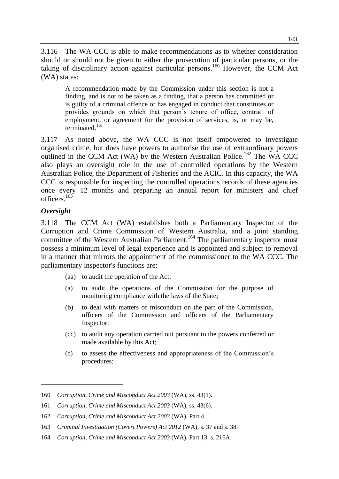3.116 The WA CCC is able to make recommendations as to whether consideration should or should not be given to either the prosecution of particular persons, or the taking of disciplinary action against particular persons.<sup>160</sup> However, the CCM Act (WA) states:

A recommendation made by the Commission under this section is not a finding, and is not to be taken as a finding, that a person has committed or is guilty of a criminal offence or has engaged in conduct that constitutes or provides grounds on which that person's tenure of office, contract of employment, or agreement for the provision of services, is, or may be, terminated.<sup>161</sup>

3.117 As noted above, the WA CCC is not itself empowered to investigate organised crime, but does have powers to authorise the use of extraordinary powers outlined in the CCM Act (WA) by the Western Australian Police.<sup>162</sup> The WA CCC also plays an oversight role in the use of controlled operations by the Western Australian Police, the Department of Fisheries and the ACIC. In this capacity, the WA CCC is responsible for inspecting the controlled operations records of these agencies once every 12 months and preparing an annual report for ministers and chief officers.<sup>163</sup>

## *Oversight*

 $\overline{a}$ 

3.118 The CCM Act (WA) establishes both a Parliamentary Inspector of the Corruption and Crime Commission of Western Australia, and a joint standing committee of the Western Australian Parliament. <sup>164</sup> The parliamentary inspector must possess a minimum level of legal experience and is appointed and subject to removal in a manner that mirrors the appointment of the commissioner to the WA CCC. The parliamentary inspector's functions are:

- (aa) to audit the operation of the Act;
- (a) to audit the operations of the Commission for the purpose of monitoring compliance with the laws of the State;
- (b) to deal with matters of misconduct on the part of the Commission, officers of the Commission and officers of the Parliamentary Inspector;
- (cc) to audit any operation carried out pursuant to the powers conferred or made available by this Act;
- (c) to assess the effectiveness and appropriateness of the Commission's procedures;

<sup>160</sup> *Corruption, Crime and Misconduct Act 2003* (WA), ss. 43(1).

<sup>161</sup> *Corruption, Crime and Misconduct Act 2003* (WA), ss. 43(6).

<sup>162</sup> *Corruption, Crime and Misconduct Act 2003* (WA), Part 4.

<sup>163</sup> *Criminal Investigation (Covert Powers) Act 2012* (WA), s. 37 and s. 38.

<sup>164</sup> *Corruption, Crime and Misconduct Act 2003* (WA), Part 13; s. 216A.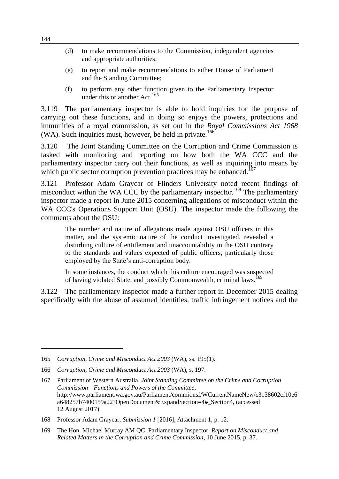- (d) to make recommendations to the Commission, independent agencies and appropriate authorities;
- (e) to report and make recommendations to either House of Parliament and the Standing Committee;
- (f) to perform any other function given to the Parliamentary Inspector under this or another  $Act.<sup>165</sup>$

3.119 The parliamentary inspector is able to hold inquiries for the purpose of carrying out these functions, and in doing so enjoys the powers, protections and immunities of a royal commission, as set out in the *Royal Commissions Act 1968*  (WA). Such inquiries must, however, be held in private.<sup>166</sup>

3.120 The Joint Standing Committee on the Corruption and Crime Commission is tasked with monitoring and reporting on how both the WA CCC and the parliamentary inspector carry out their functions, as well as inquiring into means by which public sector corruption prevention practices may be enhanced.<sup>167</sup>

3.121 Professor Adam Graycar of Flinders University noted recent findings of misconduct within the WA CCC by the parliamentary inspector.<sup>168</sup> The parliamentary inspector made a report in June 2015 concerning allegations of misconduct within the WA CCC's Operations Support Unit (OSU). The inspector made the following the comments about the OSU:

The number and nature of allegations made against OSU officers in this matter, and the systemic nature of the conduct investigated, revealed a disturbing culture of entitlement and unaccountability in the OSU contrary to the standards and values expected of public officers, particularly those employed by the State's anti-corruption body.

In some instances, the conduct which this culture encouraged was suspected of having violated State, and possibly Commonwealth, criminal laws.<sup>169</sup>

3.122 The parliamentary inspector made a further report in December 2015 dealing specifically with the abuse of assumed identities, traffic infringement notices and the

<sup>165</sup> *Corruption, Crime and Misconduct Act 2003* (WA), ss. 195(1).

<sup>166</sup> *Corruption, Crime and Misconduct Act 2003* (WA), s. 197.

<sup>167</sup> Parliament of Western Australia, *Joint Standing Committee on the Crime and Corruption Commission—Functions and Powers of the Committee*, http://www.parliament.wa.gov.au/Parliament/commit.nsf/WCurrentNameNew/c3138602cf10e6 a648257b7400159a22?OpenDocument&ExpandSection=4#\_Section4, (accessed 12 August 2017).

<sup>168</sup> Professor Adam Graycar, *Submission 1* [2016], Attachment 1, p. 12.

<sup>169</sup> The Hon. Michael Murray AM QC, Parliamentary Inspector, *Report on Misconduct and Related Matters in the Corruption and Crime Commission*, 10 June 2015, p. 37.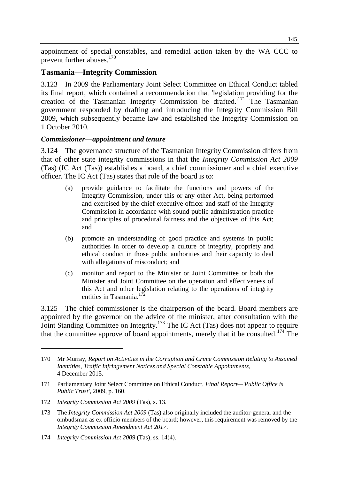appointment of special constables, and remedial action taken by the WA CCC to prevent further abuses.<sup>170</sup>

## **Tasmania—Integrity Commission**

3.123 In 2009 the Parliamentary Joint Select Committee on Ethical Conduct tabled its final report, which contained a recommendation that 'legislation providing for the creation of the Tasmanian Integrity Commission be drafted.'<sup>171</sup> The Tasmanian government responded by drafting and introducing the Integrity Commission Bill 2009, which subsequently became law and established the Integrity Commission on 1 October 2010.

#### *Commissioner—appointment and tenure*

3.124 The governance structure of the Tasmanian Integrity Commission differs from that of other state integrity commissions in that the *Integrity Commission Act 2009* (Tas) (IC Act (Tas)) establishes a board, a chief commissioner and a chief executive officer. The IC Act (Tas) states that role of the board is to:

- (a) provide guidance to facilitate the functions and powers of the Integrity Commission, under this or any other Act, being performed and exercised by the chief executive officer and staff of the Integrity Commission in accordance with sound public administration practice and principles of procedural fairness and the objectives of this Act; and
- (b) promote an understanding of good practice and systems in public authorities in order to develop a culture of integrity, propriety and ethical conduct in those public authorities and their capacity to deal with allegations of misconduct; and
- (c) monitor and report to the Minister or Joint Committee or both the Minister and Joint Committee on the operation and effectiveness of this Act and other legislation relating to the operations of integrity entities in Tasmania. $172$

3.125 The chief commissioner is the chairperson of the board. Board members are appointed by the governor on the advice of the minister, after consultation with the Joint Standing Committee on Integrity.<sup>173</sup> The IC Act (Tas) does not appear to require that the committee approve of board appointments, merely that it be consulted.<sup>174</sup> The

<sup>170</sup> Mr Murray, *Report on Activities in the Corruption and Crime Commission Relating to Assumed Identities, Traffic Infringement Notices and Special Constable Appointments*, 4 December 2015.

<sup>171</sup> Parliamentary Joint Select Committee on Ethical Conduct, *Final Report—'Public Office is Public Trust'*, 2009, p. 160.

<sup>172</sup> *Integrity Commission Act 2009* (Tas), s. 13.

<sup>173</sup> The *Integrity Commission Act 2009* (Tas) also originally included the auditor-general and the ombudsman as ex officio members of the board; however, this requirement was removed by the *Integrity Commission Amendment Act 2017*.

<sup>174</sup> *Integrity Commission Act 2009* (Tas), ss. 14(4).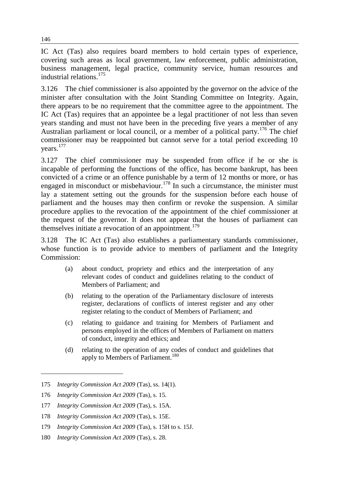IC Act (Tas) also requires board members to hold certain types of experience, covering such areas as local government, law enforcement, public administration, business management, legal practice, community service, human resources and industrial relations.<sup>175</sup>

3.126 The chief commissioner is also appointed by the governor on the advice of the minister after consultation with the Joint Standing Committee on Integrity. Again, there appears to be no requirement that the committee agree to the appointment. The IC Act (Tas) requires that an appointee be a legal practitioner of not less than seven years standing and must not have been in the preceding five years a member of any Australian parliament or local council, or a member of a political party.<sup>176</sup> The chief commissioner may be reappointed but cannot serve for a total period exceeding 10 years. 177

3.127 The chief commissioner may be suspended from office if he or she is incapable of performing the functions of the office, has become bankrupt, has been convicted of a crime or an offence punishable by a term of 12 months or more, or has engaged in misconduct or misbehaviour.<sup>178</sup> In such a circumstance, the minister must lay a statement setting out the grounds for the suspension before each house of parliament and the houses may then confirm or revoke the suspension. A similar procedure applies to the revocation of the appointment of the chief commissioner at the request of the governor. It does not appear that the houses of parliament can themselves initiate a revocation of an appointment.<sup>179</sup>

3.128 The IC Act (Tas) also establishes a parliamentary standards commissioner, whose function is to provide advice to members of parliament and the Integrity Commission:

- (a) about conduct, propriety and ethics and the interpretation of any relevant codes of conduct and guidelines relating to the conduct of Members of Parliament; and
- (b) relating to the operation of the Parliamentary disclosure of interests register, declarations of conflicts of interest register and any other register relating to the conduct of Members of Parliament; and
- (c) relating to guidance and training for Members of Parliament and persons employed in the offices of Members of Parliament on matters of conduct, integrity and ethics; and
- (d) relating to the operation of any codes of conduct and guidelines that apply to Members of Parliament.<sup>180</sup>

<sup>175</sup> *Integrity Commission Act 2009* (Tas), ss. 14(1).

<sup>176</sup> *Integrity Commission Act 2009* (Tas), s. 15.

<sup>177</sup> *Integrity Commission Act 2009* (Tas), s. 15A.

<sup>178</sup> *Integrity Commission Act 2009* (Tas), s. 15E.

<sup>179</sup> *Integrity Commission Act 2009* (Tas), s. 15H to s. 15J.

<sup>180</sup> *Integrity Commission Act 2009* (Tas), s. 28.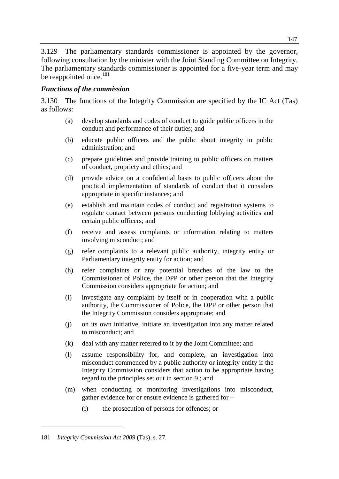3.129 The parliamentary standards commissioner is appointed by the governor, following consultation by the minister with the Joint Standing Committee on Integrity. The parliamentary standards commissioner is appointed for a five-year term and may be reappointed once.<sup>181</sup>

#### *Functions of the commission*

3.130 The functions of the Integrity Commission are specified by the IC Act (Tas) as follows:

- (a) develop standards and codes of conduct to guide public officers in the conduct and performance of their duties; and
- (b) educate public officers and the public about integrity in public administration; and
- (c) prepare guidelines and provide training to public officers on matters of conduct, propriety and ethics; and
- (d) provide advice on a confidential basis to public officers about the practical implementation of standards of conduct that it considers appropriate in specific instances; and
- (e) establish and maintain codes of conduct and registration systems to regulate contact between persons conducting lobbying activities and certain public officers; and
- (f) receive and assess complaints or information relating to matters involving misconduct; and
- (g) refer complaints to a relevant public authority, integrity entity or Parliamentary integrity entity for action; and
- (h) refer complaints or any potential breaches of the law to the Commissioner of Police, the DPP or other person that the Integrity Commission considers appropriate for action; and
- (i) investigate any complaint by itself or in cooperation with a public authority, the Commissioner of Police, the DPP or other person that the Integrity Commission considers appropriate; and
- (j) on its own initiative, initiate an investigation into any matter related to misconduct; and
- (k) deal with any matter referred to it by the Joint Committee; and
- (l) assume responsibility for, and complete, an investigation into misconduct commenced by a public authority or integrity entity if the Integrity Commission considers that action to be appropriate having regard to the principles set out in section 9 ; and
- (m) when conducting or monitoring investigations into misconduct, gather evidence for or ensure evidence is gathered for –
	- (i) the prosecution of persons for offences; or

<sup>181</sup> *Integrity Commission Act 2009* (Tas), s. 27.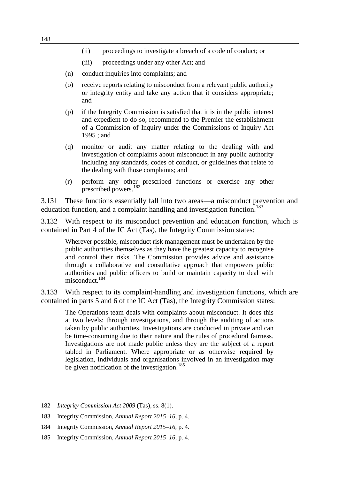- (ii) proceedings to investigate a breach of a code of conduct; or
- (iii) proceedings under any other Act; and
- (n) conduct inquiries into complaints; and
- (o) receive reports relating to misconduct from a relevant public authority or integrity entity and take any action that it considers appropriate; and
- (p) if the Integrity Commission is satisfied that it is in the public interest and expedient to do so, recommend to the Premier the establishment of a Commission of Inquiry under the Commissions of Inquiry Act 1995 ; and
- (q) monitor or audit any matter relating to the dealing with and investigation of complaints about misconduct in any public authority including any standards, codes of conduct, or guidelines that relate to the dealing with those complaints; and
- (r) perform any other prescribed functions or exercise any other prescribed powers.<sup>182</sup>

3.131 These functions essentially fall into two areas—a misconduct prevention and education function, and a complaint handling and investigation function.<sup>183</sup>

3.132 With respect to its misconduct prevention and education function, which is contained in Part 4 of the IC Act (Tas), the Integrity Commission states:

Wherever possible, misconduct risk management must be undertaken by the public authorities themselves as they have the greatest capacity to recognise and control their risks. The Commission provides advice and assistance through a collaborative and consultative approach that empowers public authorities and public officers to build or maintain capacity to deal with misconduct.<sup>184</sup>

3.133 With respect to its complaint-handling and investigation functions, which are contained in parts 5 and 6 of the IC Act (Tas), the Integrity Commission states:

The Operations team deals with complaints about misconduct. It does this at two levels: through investigations, and through the auditing of actions taken by public authorities. Investigations are conducted in private and can be time-consuming due to their nature and the rules of procedural fairness. Investigations are not made public unless they are the subject of a report tabled in Parliament. Where appropriate or as otherwise required by legislation, individuals and organisations involved in an investigation may be given notification of the investigation.<sup>185</sup>

<sup>182</sup> *Integrity Commission Act 2009* (Tas), ss. 8(1).

<sup>183</sup> Integrity Commission, *Annual Report 2015–16*, p. 4.

<sup>184</sup> Integrity Commission, *Annual Report 2015–16*, p. 4.

<sup>185</sup> Integrity Commission, *Annual Report 2015–16*, p. 4.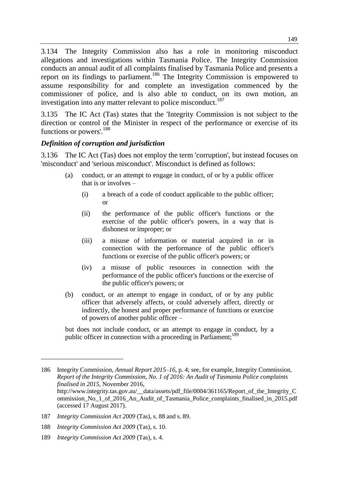3.134 The Integrity Commission also has a role in monitoring misconduct allegations and investigations within Tasmania Police. The Integrity Commission conducts an annual audit of all complaints finalised by Tasmania Police and presents a report on its findings to parliament.<sup>186</sup> The Integrity Commission is empowered to assume responsibility for and complete an investigation commenced by the commissioner of police, and is also able to conduct, on its own motion, an investigation into any matter relevant to police misconduct.<sup>187</sup>

3.135 The IC Act (Tas) states that the 'Integrity Commission is not subject to the direction or control of the Minister in respect of the performance or exercise of its functions or powers'.<sup>188</sup>

## *Definition of corruption and jurisdiction*

3.136 The IC Act (Tas) does not employ the term 'corruption', but instead focuses on 'misconduct' and 'serious misconduct'. Misconduct is defined as follows:

- (a) conduct, or an attempt to engage in conduct, of or by a public officer that is or involves –
	- (i) a breach of a code of conduct applicable to the public officer; or
	- (ii) the performance of the public officer's functions or the exercise of the public officer's powers, in a way that is dishonest or improper; or
	- (iii) a misuse of information or material acquired in or in connection with the performance of the public officer's functions or exercise of the public officer's powers; or
	- (iv) a misuse of public resources in connection with the performance of the public officer's functions or the exercise of the public officer's powers; or
- (b) conduct, or an attempt to engage in conduct, of or by any public officer that adversely affects, or could adversely affect, directly or indirectly, the honest and proper performance of functions or exercise of powers of another public officer –

but does not include conduct, or an attempt to engage in conduct, by a public officer in connection with a proceeding in Parliament;<sup>189</sup>

<sup>186</sup> Integrity Commission, *Annual Report 2015–16*, p. 4; see, for example, Integrity Commission, *Report of the Integrity Commission, No. 1 of 2016: An Audit of Tasmania Police complaints finalised in 2015*, November 2016, http://www.integrity.tas.gov.au/\_\_data/assets/pdf\_file/0004/361165/Report\_of\_the\_Integrity\_C ommission\_No\_1\_of\_2016\_An\_Audit\_of\_Tasmania\_Police\_complaints\_finalised\_in\_2015.pdf

<sup>(</sup>accessed 17 August 2017). 187 *Integrity Commission Act 2009* (Tas), s. 88 and s. 89.

<sup>188</sup> *Integrity Commission Act 2009* (Tas), s. 10.

<sup>189</sup> *Integrity Commission Act 2009* (Tas), s. 4.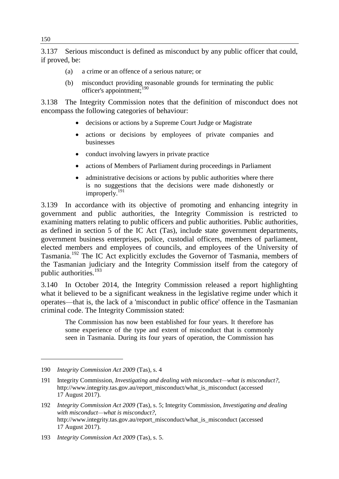3.137 Serious misconduct is defined as misconduct by any public officer that could, if proved, be:

- (a) a crime or an offence of a serious nature; or
- (b) misconduct providing reasonable grounds for terminating the public officer's appointment;<sup>190</sup>

3.138 The Integrity Commission notes that the definition of misconduct does not encompass the following categories of behaviour:

- decisions or actions by a Supreme Court Judge or Magistrate
- actions or decisions by employees of private companies and businesses
- conduct involving lawyers in private practice
- actions of Members of Parliament during proceedings in Parliament
- administrative decisions or actions by public authorities where there is no suggestions that the decisions were made dishonestly or improperly.<sup>191</sup>

3.139 In accordance with its objective of promoting and enhancing integrity in government and public authorities, the Integrity Commission is restricted to examining matters relating to public officers and public authorities. Public authorities, as defined in section 5 of the IC Act (Tas), include state government departments, government business enterprises, police, custodial officers, members of parliament, elected members and employees of councils, and employees of the University of Tasmania.<sup>192</sup> The IC Act explicitly excludes the Governor of Tasmania, members of the Tasmanian judiciary and the Integrity Commission itself from the category of public authorities.<sup>193</sup>

3.140 In October 2014, the Integrity Commission released a report highlighting what it believed to be a significant weakness in the legislative regime under which it operates—that is, the lack of a 'misconduct in public office' offence in the Tasmanian criminal code. The Integrity Commission stated:

The Commission has now been established for four years. It therefore has some experience of the type and extent of misconduct that is commonly seen in Tasmania. During its four years of operation, the Commission has

<sup>190</sup> *Integrity Commission Act 2009* (Tas), s. 4

<sup>191</sup> Integrity Commission, *Investigating and dealing with misconduct—what is misconduct?*, http://www.integrity.tas.gov.au/report\_misconduct/what\_is\_misconduct (accessed 17 August 2017).

<sup>192</sup> *Integrity Commission Act 2009* (Tas), s. 5; Integrity Commission, *Investigating and dealing with misconduct—what is misconduct?*, http://www.integrity.tas.gov.au/report\_misconduct/what\_is\_misconduct (accessed 17 August 2017).

<sup>193</sup> *Integrity Commission Act 2009* (Tas), s. 5.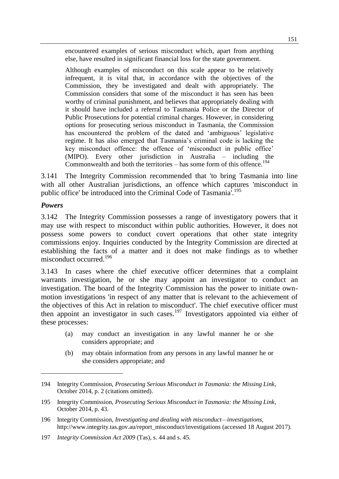encountered examples of serious misconduct which, apart from anything else, have resulted in significant financial loss for the state government.

Although examples of misconduct on this scale appear to be relatively infrequent, it is vital that, in accordance with the objectives of the Commission, they be investigated and dealt with appropriately. The Commission considers that some of the misconduct it has seen has been worthy of criminal punishment, and believes that appropriately dealing with it should have included a referral to Tasmania Police or the Director of Public Prosecutions for potential criminal charges. However, in considering options for prosecuting serious misconduct in Tasmania, the Commission has encountered the problem of the dated and 'ambiguous' legislative regime. It has also emerged that Tasmania's criminal code is lacking the key misconduct offence: the offence of 'misconduct in public office' (MIPO). Every other jurisdiction in Australia – including the Commonwealth and both the territories – has some form of this offence.<sup>194</sup>

3.141 The Integrity Commission recommended that 'to bring Tasmania into line with all other Australian jurisdictions, an offence which captures 'misconduct in public office' be introduced into the Criminal Code of Tasmania<sup>7.195</sup>

#### *Powers*

 $\overline{a}$ 

3.142 The Integrity Commission possesses a range of investigatory powers that it may use with respect to misconduct within public authorities. However, it does not possess some powers to conduct covert operations that other state integrity commissions enjoy. Inquiries conducted by the Integrity Commission are directed at establishing the facts of a matter and it does not make findings as to whether misconduct occurred<sup>196</sup>

3.143 In cases where the chief executive officer determines that a complaint warrants investigation, he or she may appoint an investigator to conduct an investigation. The board of the Integrity Commission has the power to initiate ownmotion investigations 'in respect of any matter that is relevant to the achievement of the objectives of this Act in relation to misconduct'. The chief executive officer must then appoint an investigator in such cases.<sup>197</sup> Investigators appointed via either of these processes:

- (a) may conduct an investigation in any lawful manner he or she considers appropriate; and
- (b) may obtain information from any persons in any lawful manner he or she considers appropriate; and

<sup>194</sup> Integrity Commission, *Prosecuting Serious Misconduct in Tasmania: the Missing Link*, October 2014, p. 2 (citations omitted).

<sup>195</sup> Integrity Commission, *Prosecuting Serious Misconduct in Tasmania: the Missing Link*, October 2014, p. 43.

<sup>196</sup> Integrity Commission, *Investigating and dealing with misconduct—investigations*, http://www.integrity.tas.gov.au/report\_misconduct/investigations (accessed 18 August 2017).

<sup>197</sup> *Integrity Commission Act 2009* (Tas), s. 44 and s. 45.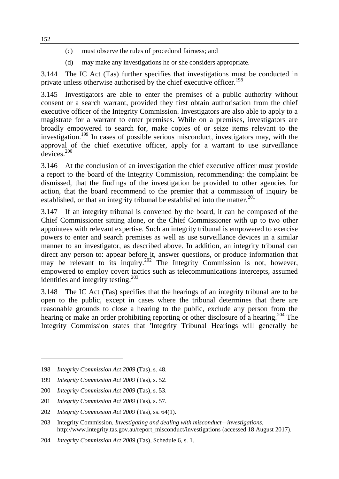- (c) must observe the rules of procedural fairness; and
- (d) may make any investigations he or she considers appropriate.

3.144 The IC Act (Tas) further specifies that investigations must be conducted in private unless otherwise authorised by the chief executive officer.<sup>198</sup>

3.145 Investigators are able to enter the premises of a public authority without consent or a search warrant, provided they first obtain authorisation from the chief executive officer of the Integrity Commission. Investigators are also able to apply to a magistrate for a warrant to enter premises. While on a premises, investigators are broadly empowered to search for, make copies of or seize items relevant to the investigation.<sup>199</sup> In cases of possible serious misconduct, investigators may, with the approval of the chief executive officer, apply for a warrant to use surveillance devices.<sup>200</sup>

3.146 At the conclusion of an investigation the chief executive officer must provide a report to the board of the Integrity Commission, recommending: the complaint be dismissed, that the findings of the investigation be provided to other agencies for action, that the board recommend to the premier that a commission of inquiry be established, or that an integrity tribunal be established into the matter.<sup>201</sup>

3.147 If an integrity tribunal is convened by the board, it can be composed of the Chief Commissioner sitting alone, or the Chief Commissioner with up to two other appointees with relevant expertise. Such an integrity tribunal is empowered to exercise powers to enter and search premises as well as use surveillance devices in a similar manner to an investigator, as described above. In addition, an integrity tribunal can direct any person to: appear before it, answer questions, or produce information that may be relevant to its inquiry.<sup>202</sup> The Integrity Commission is not, however, empowered to employ covert tactics such as telecommunications intercepts, assumed identities and integrity testing.<sup>203</sup>

3.148 The IC Act (Tas) specifies that the hearings of an integrity tribunal are to be open to the public, except in cases where the tribunal determines that there are reasonable grounds to close a hearing to the public, exclude any person from the hearing or make an order prohibiting reporting or other disclosure of a hearing.<sup>204</sup> The Integrity Commission states that 'Integrity Tribunal Hearings will generally be

<sup>198</sup> *Integrity Commission Act 2009* (Tas), s. 48.

<sup>199</sup> *Integrity Commission Act 2009* (Tas), s. 52.

<sup>200</sup> *Integrity Commission Act 2009* (Tas), s. 53.

<sup>201</sup> *Integrity Commission Act 2009* (Tas), s. 57.

<sup>202</sup> *Integrity Commission Act 2009* (Tas), ss. 64(1).

<sup>203</sup> Integrity Commission, *Investigating and dealing with misconduct—investigations*, http://www.integrity.tas.gov.au/report\_misconduct/investigations (accessed 18 August 2017).

<sup>204</sup> *Integrity Commission Act 2009* (Tas), Schedule 6, s. 1.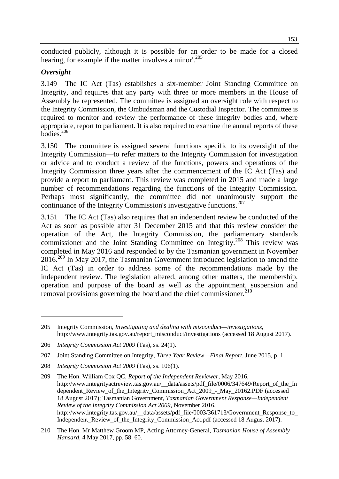conducted publicly, although it is possible for an order to be made for a closed hearing, for example if the matter involves a minor'. 205

## *Oversight*

 $\overline{a}$ 

3.149 The IC Act (Tas) establishes a six-member Joint Standing Committee on Integrity, and requires that any party with three or more members in the House of Assembly be represented. The committee is assigned an oversight role with respect to the Integrity Commission, the Ombudsman and the Custodial Inspector. The committee is required to monitor and review the performance of these integrity bodies and, where appropriate, report to parliament. It is also required to examine the annual reports of these bodies.<sup>206</sup>

3.150 The committee is assigned several functions specific to its oversight of the Integrity Commission—to refer matters to the Integrity Commission for investigation or advice and to conduct a review of the functions, powers and operations of the Integrity Commission three years after the commencement of the IC Act (Tas) and provide a report to parliament. This review was completed in 2015 and made a large number of recommendations regarding the functions of the Integrity Commission. Perhaps most significantly, the committee did not unanimously support the continuance of the Integrity Commission's investigative functions.<sup>207</sup>

3.151 The IC Act (Tas) also requires that an independent review be conducted of the Act as soon as possible after 31 December 2015 and that this review consider the operation of the Act, the Integrity Commission, the parliamentary standards commissioner and the Joint Standing Committee on Integrity.<sup>208</sup> This review was completed in May 2016 and responded to by the Tasmanian government in November  $2016.<sup>209</sup>$  In May 2017, the Tasmanian Government introduced legislation to amend the IC Act (Tas) in order to address some of the recommendations made by the independent review. The legislation altered, among other matters, the membership, operation and purpose of the board as well as the appointment, suspension and removal provisions governing the board and the chief commissioner. $^{210}$ 

<sup>205</sup> Integrity Commission, *Investigating and dealing with misconduct—investigations*, http://www.integrity.tas.gov.au/report\_misconduct/investigations (accessed 18 August 2017).

<sup>206</sup> *Integrity Commission Act 2009* (Tas), ss. 24(1).

<sup>207</sup> Joint Standing Committee on Integrity, *Three Year Review—Final Report*, June 2015, p. 1.

<sup>208</sup> *Integrity Commission Act 2009* (Tas), ss. 106(1).

<sup>209</sup> The Hon. William Cox QC, *Report of the Independent Reviewer*, May 2016, http://www.integrityactreview.tas.gov.au/\_data/assets/pdf\_file/0006/347649/Report\_of\_the\_In dependent Review of the Integrity Commission Act 2009 - May 20162.PDF (accessed 18 August 2017); Tasmanian Government, *Tasmanian Government Response—Independent Review of the Integrity Commission Act 2009*, November 2016, http://www.integrity.tas.gov.au/\_\_data/assets/pdf\_file/0003/361713/Government\_Response\_to\_ Independent\_Review\_of\_the\_Integrity\_Commission\_Act.pdf (accessed 18 August 2017).

<sup>210</sup> The Hon. Mr Matthew Groom MP, Acting Attorney-General, *Tasmanian House of Assembly Hansard*, 4 May 2017, pp. 58–60.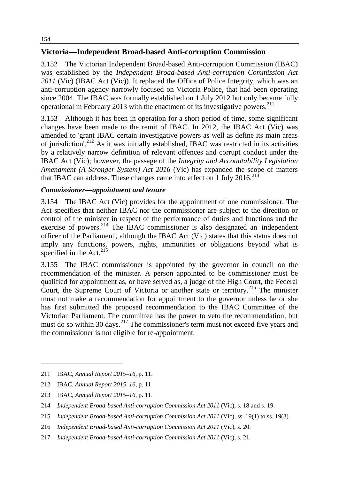# **Victoria—Independent Broad-based Anti-corruption Commission**

3.152 The Victorian Independent Broad-based Anti-corruption Commission (IBAC) was established by the *Independent Broad-based Anti-corruption Commission Act 2011* (Vic) (IBAC Act (Vic)). It replaced the Office of Police Integrity, which was an anti-corruption agency narrowly focused on Victoria Police, that had been operating since 2004. The IBAC was formally established on 1 July 2012 but only became fully operational in February 2013 with the enactment of its investigative powers.<sup>211</sup>

3.153 Although it has been in operation for a short period of time, some significant changes have been made to the remit of IBAC. In 2012, the IBAC Act (Vic) was amended to 'grant IBAC certain investigative powers as well as define its main areas of jurisdiction'.<sup>212</sup> As it was initially established, IBAC was restricted in its activities by a relatively narrow definition of relevant offences and corrupt conduct under the IBAC Act (Vic); however, the passage of the *Integrity and Accountability Legislation Amendment (A Stronger System) Act 2016* (Vic) has expanded the scope of matters that IBAC can address. These changes came into effect on 1 July  $2016$ <sup>213</sup>

## *Commissioner—appointment and tenure*

3.154 The IBAC Act (Vic) provides for the appointment of one commissioner. The Act specifies that neither IBAC nor the commissioner are subject to the direction or control of the minister in respect of the performance of duties and functions and the exercise of powers.<sup>214</sup> The IBAC commissioner is also designated an 'independent officer of the Parliament', although the IBAC Act (Vic) states that this status does not imply any functions, powers, rights, immunities or obligations beyond what is specified in the Act. $^{215}$ 

3.155 The IBAC commissioner is appointed by the governor in council on the recommendation of the minister. A person appointed to be commissioner must be qualified for appointment as, or have served as, a judge of the High Court, the Federal Court, the Supreme Court of Victoria or another state or territory.<sup>216</sup> The minister must not make a recommendation for appointment to the governor unless he or she has first submitted the proposed recommendation to the IBAC Committee of the Victorian Parliament. The committee has the power to veto the recommendation, but must do so within 30 days.<sup>217</sup> The commissioner's term must not exceed five years and the commissioner is not eligible for re-appointment.

<sup>211</sup> IBAC, *Annual Report 2015–16*, p. 11.

<sup>212</sup> IBAC, *Annual Report 2015–16*, p. 11.

<sup>213</sup> IBAC, *Annual Report 2015–16*, p. 11.

<sup>214</sup> *Independent Broad-based Anti-corruption Commission Act 2011* (Vic), s. 18 and s. 19.

<sup>215</sup> *Independent Broad-based Anti-corruption Commission Act 2011* (Vic), ss. 19(1) to ss. 19(3).

<sup>216</sup> *Independent Broad-based Anti-corruption Commission Act 2011* (Vic), s. 20.

<sup>217</sup> *Independent Broad-based Anti-corruption Commission Act 2011* (Vic), s. 21.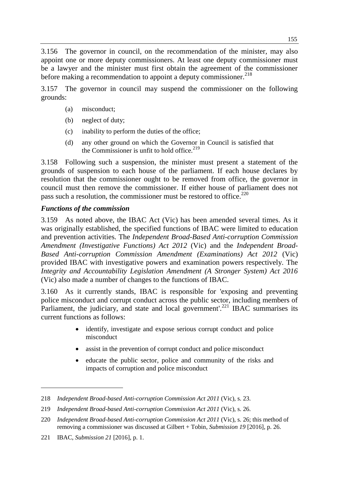3.156 The governor in council, on the recommendation of the minister, may also appoint one or more deputy commissioners. At least one deputy commissioner must be a lawyer and the minister must first obtain the agreement of the commissioner before making a recommendation to appoint a deputy commissioner.<sup>218</sup>

3.157 The governor in council may suspend the commissioner on the following grounds:

- (a) misconduct;
- (b) neglect of duty;
- (c) inability to perform the duties of the office;
- (d) any other ground on which the Governor in Council is satisfied that the Commissioner is unfit to hold office. $219$

3.158 Following such a suspension, the minister must present a statement of the grounds of suspension to each house of the parliament. If each house declares by resolution that the commissioner ought to be removed from office, the governor in council must then remove the commissioner. If either house of parliament does not pass such a resolution, the commissioner must be restored to office.<sup>220</sup>

## *Functions of the commission*

3.159 As noted above, the IBAC Act (Vic) has been amended several times. As it was originally established, the specified functions of IBAC were limited to education and prevention activities. The *Independent Broad-Based Anti-corruption Commission Amendment (Investigative Functions) Act 2012* (Vic) and the *Independent Broad-Based Anti-corruption Commission Amendment (Examinations) Act 2012* (Vic) provided IBAC with investigative powers and examination powers respectively. The *Integrity and Accountability Legislation Amendment (A Stronger System) Act 2016* (Vic) also made a number of changes to the functions of IBAC.

3.160 As it currently stands, IBAC is responsible for 'exposing and preventing police misconduct and corrupt conduct across the public sector, including members of Parliament, the judiciary, and state and local government'.<sup>221</sup> IBAC summarises its current functions as follows:

- identify, investigate and expose serious corrupt conduct and police misconduct
- assist in the prevention of corrupt conduct and police misconduct
- educate the public sector, police and community of the risks and impacts of corruption and police misconduct

<sup>218</sup> *Independent Broad-based Anti-corruption Commission Act 2011* (Vic), s. 23.

<sup>219</sup> *Independent Broad-based Anti-corruption Commission Act 2011* (Vic), s. 26.

<sup>220</sup> *Independent Broad-based Anti-corruption Commission Act 2011* (Vic), s. 26; this method of removing a commissioner was discussed at Gilbert + Tobin, *Submission 19* [2016], p. 26.

<sup>221</sup> IBAC, *Submission 21* [2016], p. 1.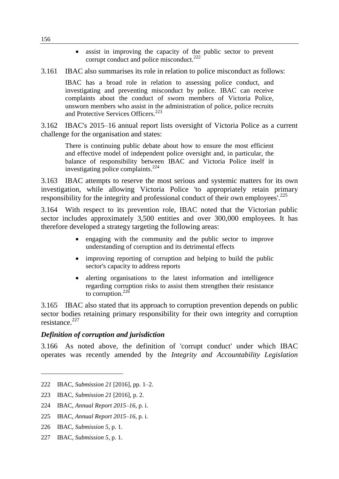assist in improving the capacity of the public sector to prevent corrupt conduct and police misconduct. $222$ 

3.161 IBAC also summarises its role in relation to police misconduct as follows:

IBAC has a broad role in relation to assessing police conduct, and investigating and preventing misconduct by police. IBAC can receive complaints about the conduct of sworn members of Victoria Police, unsworn members who assist in the administration of police, police recruits and Protective Services Officers.<sup>223</sup>

3.162 IBAC's 2015–16 annual report lists oversight of Victoria Police as a current challenge for the organisation and states:

There is continuing public debate about how to ensure the most efficient and effective model of independent police oversight and, in particular, the balance of responsibility between IBAC and Victoria Police itself in investigating police complaints. $^{224}$ 

3.163 IBAC attempts to reserve the most serious and systemic matters for its own investigation, while allowing Victoria Police 'to appropriately retain primary responsibility for the integrity and professional conduct of their own employees'.<sup>225</sup>

3.164 With respect to its prevention role, IBAC noted that the Victorian public sector includes approximately 3,500 entities and over 300,000 employees. It has therefore developed a strategy targeting the following areas:

- engaging with the community and the public sector to improve understanding of corruption and its detrimental effects
- improving reporting of corruption and helping to build the public sector's capacity to address reports
- alerting organisations to the latest information and intelligence regarding corruption risks to assist them strengthen their resistance to corruption. $^{226}$

3.165 IBAC also stated that its approach to corruption prevention depends on public sector bodies retaining primary responsibility for their own integrity and corruption resistance.<sup>227</sup>

## *Definition of corruption and jurisdiction*

3.166 As noted above, the definition of 'corrupt conduct' under which IBAC operates was recently amended by the *Integrity and Accountability Legislation* 

 $\overline{a}$ 

227 IBAC, *Submission 5*, p. 1.

<sup>222</sup> IBAC, *Submission 21* [2016], pp. 1–2.

<sup>223</sup> IBAC, *Submission 21* [2016], p. 2.

<sup>224</sup> IBAC, *Annual Report 2015–16*, p. i.

<sup>225</sup> IBAC, *Annual Report 2015–16*, p. i.

<sup>226</sup> IBAC, *Submission 5*, p. 1.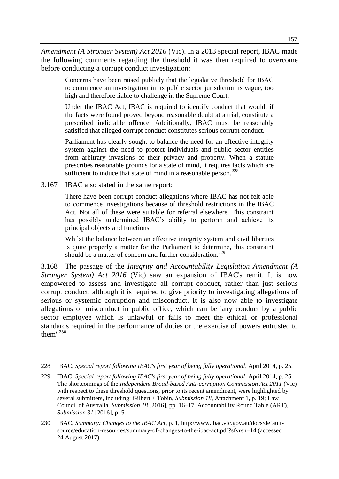*Amendment (A Stronger System) Act 2016* (Vic). In a 2013 special report, IBAC made the following comments regarding the threshold it was then required to overcome before conducting a corrupt conduct investigation:

Concerns have been raised publicly that the legislative threshold for IBAC to commence an investigation in its public sector jurisdiction is vague, too high and therefore liable to challenge in the Supreme Court.

Under the IBAC Act, IBAC is required to identify conduct that would, if the facts were found proved beyond reasonable doubt at a trial, constitute a prescribed indictable offence. Additionally, IBAC must be reasonably satisfied that alleged corrupt conduct constitutes serious corrupt conduct.

Parliament has clearly sought to balance the need for an effective integrity system against the need to protect individuals and public sector entities from arbitrary invasions of their privacy and property. When a statute prescribes reasonable grounds for a state of mind, it requires facts which are sufficient to induce that state of mind in a reasonable person. $228$ 

3.167 IBAC also stated in the same report:

 $\overline{a}$ 

There have been corrupt conduct allegations where IBAC has not felt able to commence investigations because of threshold restrictions in the IBAC Act. Not all of these were suitable for referral elsewhere. This constraint has possibly undermined IBAC's ability to perform and achieve its principal objects and functions.

Whilst the balance between an effective integrity system and civil liberties is quite properly a matter for the Parliament to determine, this constraint should be a matter of concern and further consideration.<sup>229</sup>

3.168 The passage of the *Integrity and Accountability Legislation Amendment (A Stronger System) Act 2016* (Vic) saw an expansion of IBAC's remit. It is now empowered to assess and investigate all corrupt conduct, rather than just serious corrupt conduct, although it is required to give priority to investigating allegations of serious or systemic corruption and misconduct. It is also now able to investigate allegations of misconduct in public office, which can be 'any conduct by a public sector employee which is unlawful or fails to meet the ethical or professional standards required in the performance of duties or the exercise of powers entrusted to them'. 230

<sup>228</sup> IBAC, *Special report following IBAC's first year of being fully operational*, April 2014, p. 25.

<sup>229</sup> IBAC, *Special report following IBAC's first year of being fully operational*, April 2014, p. 25. The shortcomings of the *Independent Broad-based Anti-corruption Commission Act 2011* (Vic) with respect to these threshold questions, prior to its recent amendment, were highlighted by several submitters, including: Gilbert + Tobin, *Submission 18*, Attachment 1, p. 19; Law Council of Australia, *Submission 18* [2016], pp. 16–17, Accountability Round Table (ART), *Submission 31* [2016], p. 5.

<sup>230</sup> IBAC, *Summary: Changes to the IBAC Act*, p. 1, http://www.ibac.vic.gov.au/docs/defaultsource/education-resources/summary-of-changes-to-the-ibac-act.pdf?sfvrsn=14 (accessed 24 August 2017).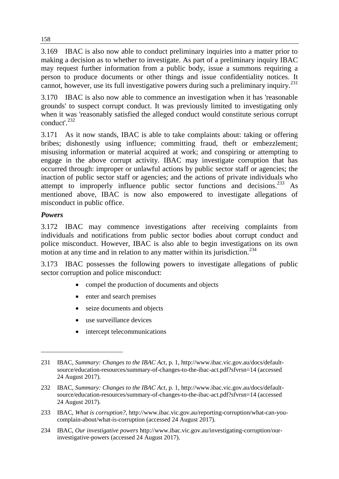3.169 IBAC is also now able to conduct preliminary inquiries into a matter prior to making a decision as to whether to investigate. As part of a preliminary inquiry IBAC may request further information from a public body, issue a summons requiring a person to produce documents or other things and issue confidentiality notices. It cannot, however, use its full investigative powers during such a preliminary inquiry.<sup>231</sup>

3.170 IBAC is also now able to commence an investigation when it has 'reasonable grounds' to suspect corrupt conduct. It was previously limited to investigating only when it was 'reasonably satisfied the alleged conduct would constitute serious corrupt conduct'.<sup>232</sup>

3.171 As it now stands, IBAC is able to take complaints about: taking or offering bribes; dishonestly using influence; committing fraud, theft or embezzlement; misusing information or material acquired at work; and conspiring or attempting to engage in the above corrupt activity. IBAC may investigate corruption that has occurred through: improper or unlawful actions by public sector staff or agencies; the inaction of public sector staff or agencies; and the actions of private individuals who attempt to improperly influence public sector functions and decisions.<sup>233</sup> As mentioned above, IBAC is now also empowered to investigate allegations of misconduct in public office.

# *Powers*

 $\overline{a}$ 

3.172 IBAC may commence investigations after receiving complaints from individuals and notifications from public sector bodies about corrupt conduct and police misconduct. However, IBAC is also able to begin investigations on its own motion at any time and in relation to any matter within its jurisdiction.<sup>234</sup>

3.173 IBAC possesses the following powers to investigate allegations of public sector corruption and police misconduct:

- compel the production of documents and objects
- enter and search premises
- seize documents and objects
- use surveillance devices
- intercept telecommunications

<sup>231</sup> IBAC, *Summary: Changes to the IBAC Act*, p. 1, http://www.ibac.vic.gov.au/docs/defaultsource/education-resources/summary-of-changes-to-the-ibac-act.pdf?sfvrsn=14 (accessed 24 August 2017).

<sup>232</sup> IBAC, *Summary: Changes to the IBAC Act*, p. 1, http://www.ibac.vic.gov.au/docs/defaultsource/education-resources/summary-of-changes-to-the-ibac-act.pdf?sfvrsn=14 (accessed 24 August 2017).

<sup>233</sup> IBAC, *What is corruption?*, http://www.ibac.vic.gov.au/reporting-corruption/what-can-youcomplain-about/what-is-corruption (accessed 24 August 2017).

<sup>234</sup> IBAC, *Our investigative powers* http://www.ibac.vic.gov.au/investigating-corruption/ourinvestigative-powers (accessed 24 August 2017).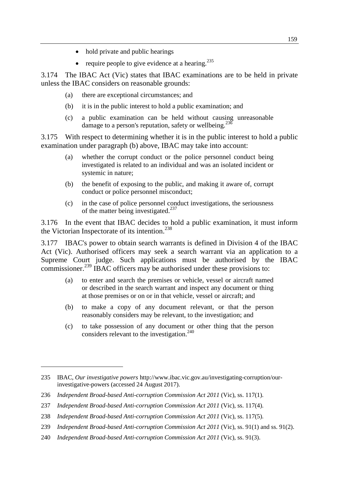- hold private and public hearings
- require people to give evidence at a hearing.<sup>235</sup>

3.174 The IBAC Act (Vic) states that IBAC examinations are to be held in private unless the IBAC considers on reasonable grounds:

- (a) there are exceptional circumstances; and
- (b) it is in the public interest to hold a public examination; and
- (c) a public examination can be held without causing unreasonable damage to a person's reputation, safety or wellbeing. $23\overline{6}$

3.175 With respect to determining whether it is in the public interest to hold a public examination under paragraph (b) above, IBAC may take into account:

- (a) whether the corrupt conduct or the police personnel conduct being investigated is related to an individual and was an isolated incident or systemic in nature;
- (b) the benefit of exposing to the public, and making it aware of, corrupt conduct or police personnel misconduct;
- (c) in the case of police personnel conduct investigations, the seriousness of the matter being investigated.<sup>237</sup>

3.176 In the event that IBAC decides to hold a public examination, it must inform the Victorian Inspectorate of its intention.<sup>238</sup>

3.177 IBAC's power to obtain search warrants is defined in Division 4 of the IBAC Act (Vic). Authorised officers may seek a search warrant via an application to a Supreme Court judge. Such applications must be authorised by the IBAC commissioner.<sup>239</sup> IBAC officers may be authorised under these provisions to:

- (a) to enter and search the premises or vehicle, vessel or aircraft named or described in the search warrant and inspect any document or thing at those premises or on or in that vehicle, vessel or aircraft; and
- (b) to make a copy of any document relevant, or that the person reasonably considers may be relevant, to the investigation; and
- (c) to take possession of any document or other thing that the person considers relevant to the investigation.<sup>240</sup>

- 239 *Independent Broad-based Anti-corruption Commission Act 2011* (Vic), ss. 91(1) and ss. 91(2).
- 240 *Independent Broad-based Anti-corruption Commission Act 2011* (Vic), ss. 91(3).

<sup>235</sup> IBAC, *Our investigative powers* http://www.ibac.vic.gov.au/investigating-corruption/ourinvestigative-powers (accessed 24 August 2017).

<sup>236</sup> *Independent Broad-based Anti-corruption Commission Act 2011* (Vic), ss. 117(1).

<sup>237</sup> *Independent Broad-based Anti-corruption Commission Act 2011* (Vic), ss. 117(4).

<sup>238</sup> *Independent Broad-based Anti-corruption Commission Act 2011* (Vic), ss. 117(5).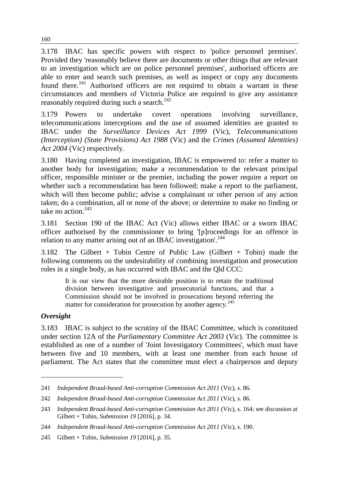3.178 IBAC has specific powers with respect to 'police personnel premises'. Provided they 'reasonably believe there are documents or other things that are relevant to an investigation which are on police personnel premises', authorised officers are able to enter and search such premises, as well as inspect or copy any documents found there.<sup>241</sup> Authorised officers are not required to obtain a warrant in these circumstances and members of Victoria Police are required to give any assistance reasonably required during such a search.<sup>242</sup>

3.179 Powers to undertake covert operations involving surveillance, telecommunications interceptions and the use of assumed identities are granted to IBAC under the *Surveillance Devices Act 1999* (Vic), *Telecommunications (Interception) (State Provisions) Act 1988* (Vic) and the *Crimes (Assumed Identities) Act 2004* (Vic) respectively.

3.180 Having completed an investigation, IBAC is empowered to: refer a matter to another body for investigation; make a recommendation to the relevant principal officer, responsible minister or the premier, including the power require a report on whether such a recommendation has been followed; make a report to the parliament, which will then become public; advise a complainant or other person of any action taken; do a combination, all or none of the above; or determine to make no finding or take no action  $243$ 

3.181 Section 190 of the IBAC Act (Vic) allows either IBAC or a sworn IBAC officer authorised by the commissioner to bring '[p]roceedings for an offence in relation to any matter arising out of an IBAC investigation'.<sup>244</sup>

3.182 The Gilbert + Tobin Centre of Public Law (Gilbert + Tobin) made the following comments on the undesirability of combining investigation and prosecution roles in a single body, as has occurred with IBAC and the Qld CCC:

It is our view that the more desirable position is to retain the traditional division between investigative and prosecutorial functions, and that a Commission should not be involved in prosecutions beyond referring the matter for consideration for prosecution by another agency.<sup>245</sup>

## *Oversight*

 $\overline{a}$ 

3.183 IBAC is subject to the scrutiny of the IBAC Committee, which is constituted under section 12A of the *Parliamentary Committee Act 2003* (Vic). The committee is established as one of a number of 'Joint Investigatory Committees', which must have between five and 10 members, with at least one member from each house of parliament. The Act states that the committee must elect a chairperson and deputy

<sup>241</sup> *Independent Broad-based Anti-corruption Commission Act 2011* (Vic), s. 86.

<sup>242</sup> *Independent Broad-based Anti-corruption Commission Act 2011* (Vic), s. 86.

<sup>243</sup> *Independent Broad-based Anti-corruption Commission Act 2011* (Vic), s. 164; see discussion at Gilbert + Tobin, *Submission 19* [2016], p. 34.

<sup>244</sup> *Independent Broad-based Anti-corruption Commission Act 2011* (Vic), s. 190.

<sup>245</sup> Gilbert + Tobin, *Submission 19* [2016], p. 35.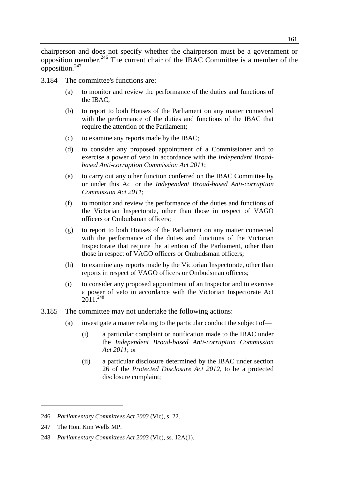chairperson and does not specify whether the chairperson must be a government or opposition member.<sup>246</sup> The current chair of the IBAC Committee is a member of the opposition.<sup>247</sup>

- 3.184 The committee's functions are:
	- (a) to monitor and review the performance of the duties and functions of the IBAC;
	- (b) to report to both Houses of the Parliament on any matter connected with the performance of the duties and functions of the IBAC that require the attention of the Parliament;
	- (c) to examine any reports made by the IBAC;
	- (d) to consider any proposed appointment of a Commissioner and to exercise a power of veto in accordance with the *Independent Broadbased Anti-corruption Commission Act 2011*;
	- (e) to carry out any other function conferred on the IBAC Committee by or under this Act or the *Independent Broad-based Anti-corruption Commission Act 2011*;
	- (f) to monitor and review the performance of the duties and functions of the Victorian Inspectorate, other than those in respect of VAGO officers or Ombudsman officers;
	- (g) to report to both Houses of the Parliament on any matter connected with the performance of the duties and functions of the Victorian Inspectorate that require the attention of the Parliament, other than those in respect of VAGO officers or Ombudsman officers;
	- (h) to examine any reports made by the Victorian Inspectorate, other than reports in respect of VAGO officers or Ombudsman officers;
	- (i) to consider any proposed appointment of an Inspector and to exercise a power of veto in accordance with the Victorian Inspectorate Act  $2011^{248}$
- 3.185 The committee may not undertake the following actions:
	- (a) investigate a matter relating to the particular conduct the subject of—
		- (i) a particular complaint or notification made to the IBAC under the *Independent Broad-based Anti-corruption Commission Act 2011*; or
		- (ii) a particular disclosure determined by the IBAC under section 26 of the *Protected Disclosure Act 2012*, to be a protected disclosure complaint;

<sup>246</sup> *Parliamentary Committees Act 2003* (Vic), s. 22.

<sup>247</sup> The Hon. Kim Wells MP.

<sup>248</sup> *Parliamentary Committees Act 2003* (Vic), ss. 12A(1).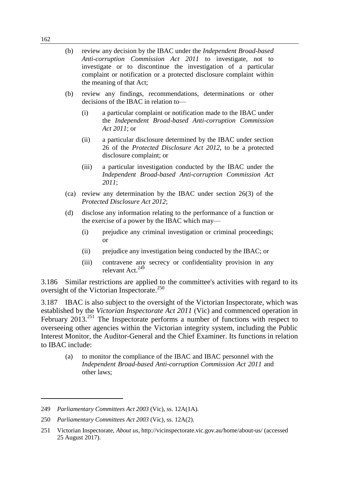- (b) review any decision by the IBAC under the *Independent Broad-based Anti-corruption Commission Act 2011* to investigate, not to investigate or to discontinue the investigation of a particular complaint or notification or a protected disclosure complaint within the meaning of that Act;
- (b) review any findings, recommendations, determinations or other decisions of the IBAC in relation to—
	- (i) a particular complaint or notification made to the IBAC under the *Independent Broad-based Anti-corruption Commission Act 2011*; or
	- (ii) a particular disclosure determined by the IBAC under section 26 of the *Protected Disclosure Act 2012*, to be a protected disclosure complaint; or
	- (iii) a particular investigation conducted by the IBAC under the *Independent Broad-based Anti-corruption Commission Act 2011*;
- (ca) review any determination by the IBAC under section 26(3) of the *Protected Disclosure Act 2012*;
- (d) disclose any information relating to the performance of a function or the exercise of a power by the IBAC which may—
	- (i) prejudice any criminal investigation or criminal proceedings; or
	- (ii) prejudice any investigation being conducted by the IBAC; or
	- (iii) contravene any secrecy or confidentiality provision in any relevant Act.<sup>249</sup>

3.186 Similar restrictions are applied to the committee's activities with regard to its oversight of the Victorian Inspectorate.<sup>250</sup>

3.187 IBAC is also subject to the oversight of the Victorian Inspectorate, which was established by the *Victorian Inspectorate Act 2011* (Vic) and commenced operation in February 2013.<sup>251</sup> The Inspectorate performs a number of functions with respect to overseeing other agencies within the Victorian integrity system, including the Public Interest Monitor, the Auditor-General and the Chief Examiner. Its functions in relation to IBAC include:

(a) to monitor the compliance of the IBAC and IBAC personnel with the *Independent Broad-based Anti-corruption Commission Act 2011* and other laws;

<sup>249</sup> *Parliamentary Committees Act 2003* (Vic), ss. 12A(1A).

<sup>250</sup> *Parliamentary Committees Act 2003* (Vic), ss. 12A(2).

<sup>251</sup> Victorian Inspectorate, *About us*, http://vicinspectorate.vic.gov.au/home/about-us/ (accessed 25 August 2017).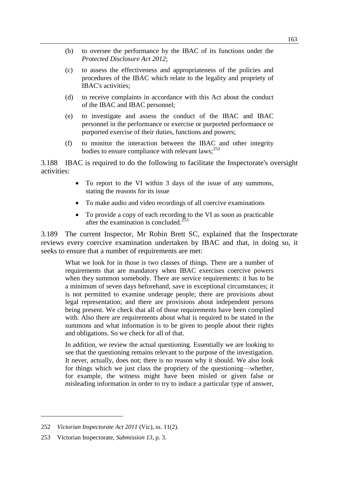- (b) to oversee the performance by the IBAC of its functions under the *Protected Disclosure Act 2012*;
- (c) to assess the effectiveness and appropriateness of the policies and procedures of the IBAC which relate to the legality and propriety of IBAC's activities;
- (d) to receive complaints in accordance with this Act about the conduct of the IBAC and IBAC personnel;
- (e) to investigate and assess the conduct of the IBAC and IBAC personnel in the performance or exercise or purported performance or purported exercise of their duties, functions and powers;
- (f) to monitor the interaction between the IBAC and other integrity bodies to ensure compliance with relevant laws; $^{252}$

3.188 IBAC is required to do the following to facilitate the Inspectorate's oversight activities:

- To report to the VI within 3 days of the issue of any summons, stating the reasons for its issue
- To make audio and video recordings of all coercive examinations
- To provide a copy of each recording to the VI as soon as practicable after the examination is concluded.<sup>253</sup>

3.189 The current Inspector, Mr Robin Brett SC, explained that the Inspectorate reviews every coercive examination undertaken by IBAC and that, in doing so, it seeks to ensure that a number of requirements are met:

What we look for in those is two classes of things. There are a number of requirements that are mandatory when IBAC exercises coercive powers when they summon somebody. There are service requirements: it has to be a minimum of seven days beforehand, save in exceptional circumstances; it is not permitted to examine underage people; there are provisions about legal representation; and there are provisions about independent persons being present. We check that all of those requirements have been complied with. Also there are requirements about what is required to be stated in the summons and what information is to be given to people about their rights and obligations. So we check for all of that.

In addition, we review the actual questioning. Essentially we are looking to see that the questioning remains relevant to the purpose of the investigation. It never, actually, does not; there is no reason why it should. We also look for things which we just class the propriety of the questioning—whether, for example, the witness might have been misled or given false or misleading information in order to try to induce a particular type of answer,

<sup>252</sup> *Victorian Inspectorate Act 2011* (Vic), ss. 11(2).

<sup>253</sup> Victorian Inspectorate, *Submission 13*, p. 3.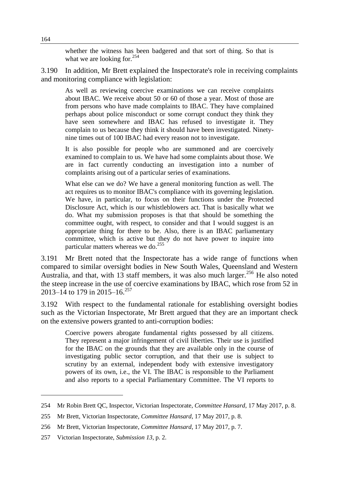whether the witness has been badgered and that sort of thing. So that is what we are looking for. $^{254}$ 

3.190 In addition, Mr Brett explained the Inspectorate's role in receiving complaints and monitoring compliance with legislation:

As well as reviewing coercive examinations we can receive complaints about IBAC. We receive about 50 or 60 of those a year. Most of those are from persons who have made complaints to IBAC. They have complained perhaps about police misconduct or some corrupt conduct they think they have seen somewhere and IBAC has refused to investigate it. They complain to us because they think it should have been investigated. Ninetynine times out of 100 IBAC had every reason not to investigate.

It is also possible for people who are summoned and are coercively examined to complain to us. We have had some complaints about those. We are in fact currently conducting an investigation into a number of complaints arising out of a particular series of examinations.

What else can we do? We have a general monitoring function as well. The act requires us to monitor IBAC's compliance with its governing legislation. We have, in particular, to focus on their functions under the Protected Disclosure Act, which is our whistleblowers act. That is basically what we do. What my submission proposes is that that should be something the committee ought, with respect, to consider and that I would suggest is an appropriate thing for there to be. Also, there is an IBAC parliamentary committee, which is active but they do not have power to inquire into particular matters whereas we do. $^{255}$ 

3.191 Mr Brett noted that the Inspectorate has a wide range of functions when compared to similar oversight bodies in New South Wales, Queensland and Western Australia, and that, with  $13$  staff members, it was also much larger.<sup>256</sup> He also noted the steep increase in the use of coercive examinations by IBAC, which rose from 52 in 2013–14 to 179 in 2015–16.<sup>257</sup>

3.192 With respect to the fundamental rationale for establishing oversight bodies such as the Victorian Inspectorate, Mr Brett argued that they are an important check on the extensive powers granted to anti-corruption bodies:

Coercive powers abrogate fundamental rights possessed by all citizens. They represent a major infringement of civil liberties. Their use is justified for the IBAC on the grounds that they are available only in the course of investigating public sector corruption, and that their use is subject to scrutiny by an external, independent body with extensive investigatory powers of its own, i.e., the VI. The IBAC is responsible to the Parliament and also reports to a special Parliamentary Committee. The VI reports to

<sup>254</sup> Mr Robin Brett QC, Inspector, Victorian Inspectorate, *Committee Hansard*, 17 May 2017, p. 8.

<sup>255</sup> Mr Brett, Victorian Inspectorate, *Committee Hansard*, 17 May 2017, p. 8.

<sup>256</sup> Mr Brett, Victorian Inspectorate, *Committee Hansard*, 17 May 2017, p. 7.

<sup>257</sup> Victorian Inspectorate, *Submission 13*, p. 2.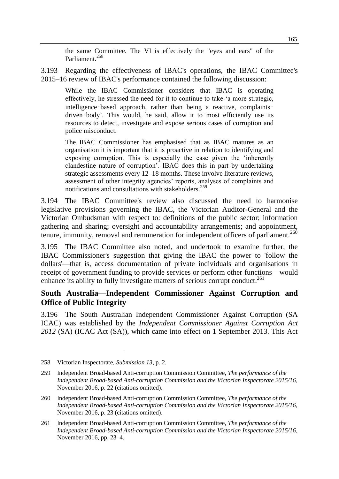the same Committee. The VI is effectively the "eyes and ears" of the Parliament.<sup>258</sup>

3.193 Regarding the effectiveness of IBAC's operations, the IBAC Committee's 2015–16 review of IBAC's performance contained the following discussion:

While the IBAC Commissioner considers that IBAC is operating effectively, he stressed the need for it to continue to take 'a more strategic, intelligence–based approach, rather than being a reactive, complaints– driven body'. This would, he said, allow it to most efficiently use its resources to detect, investigate and expose serious cases of corruption and police misconduct.

The IBAC Commissioner has emphasised that as IBAC matures as an organisation it is important that it is proactive in relation to identifying and exposing corruption. This is especially the case given the 'inherently clandestine nature of corruption'. IBAC does this in part by undertaking strategic assessments every 12–18 months. These involve literature reviews, assessment of other integrity agencies' reports, analyses of complaints and notifications and consultations with stakeholders.<sup>259</sup>

3.194 The IBAC Committee's review also discussed the need to harmonise legislative provisions governing the IBAC, the Victorian Auditor-General and the Victorian Ombudsman with respect to: definitions of the public sector; information gathering and sharing; oversight and accountability arrangements; and appointment, tenure, immunity, removal and remuneration for independent officers of parliament.<sup>260</sup>

3.195 The IBAC Committee also noted, and undertook to examine further, the IBAC Commissioner's suggestion that giving the IBAC the power to 'follow the dollars'—that is, access documentation of private individuals and organisations in receipt of government funding to provide services or perform other functions—would enhance its ability to fully investigate matters of serious corrupt conduct.<sup>261</sup>

## **South Australia—Independent Commissioner Against Corruption and Office of Public Integrity**

3.196 The South Australian Independent Commissioner Against Corruption (SA ICAC) was established by the *Independent Commissioner Against Corruption Act 2012* (SA) (ICAC Act (SA)), which came into effect on 1 September 2013. This Act

<sup>258</sup> Victorian Inspectorate, *Submission 13*, p. 2.

<sup>259</sup> Independent Broad-based Anti-corruption Commission Committee, *The performance of the Independent Broad-based Anti-corruption Commission and the Victorian Inspectorate 2015/16*, November 2016, p. 22 (citations omitted).

<sup>260</sup> Independent Broad-based Anti-corruption Commission Committee, *The performance of the Independent Broad-based Anti-corruption Commission and the Victorian Inspectorate 2015/16*, November 2016, p. 23 (citations omitted).

<sup>261</sup> Independent Broad-based Anti-corruption Commission Committee, *The performance of the Independent Broad-based Anti-corruption Commission and the Victorian Inspectorate 2015/16*, November 2016, pp. 23–4.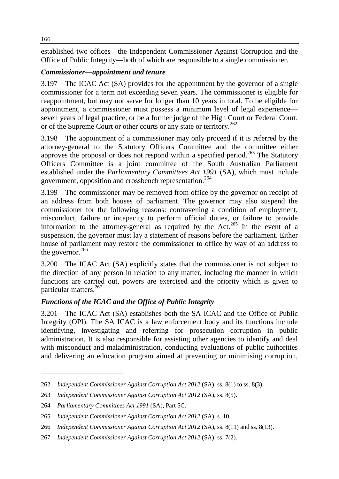established two offices—the Independent Commissioner Against Corruption and the Office of Public Integrity—both of which are responsible to a single commissioner.

# *Commissioner—appointment and tenure*

3.197 The ICAC Act (SA) provides for the appointment by the governor of a single commissioner for a term not exceeding seven years. The commissioner is eligible for reappointment, but may not serve for longer than 10 years in total. To be eligible for appointment, a commissioner must possess a minimum level of legal experience seven years of legal practice, or be a former judge of the High Court or Federal Court, or of the Supreme Court or other courts or any state or territory.<sup>262</sup>

3.198 The appointment of a commissioner may only proceed if it is referred by the attorney-general to the Statutory Officers Committee and the committee either approves the proposal or does not respond within a specified period.<sup>263</sup> The Statutory Officers Committee is a joint committee of the South Australian Parliament established under the *Parliamentary Committees Act 1991* (SA), which must include government, opposition and crossbench representation.<sup>264</sup>

3.199 The commissioner may be removed from office by the governor on receipt of an address from both houses of parliament. The governor may also suspend the commissioner for the following reasons: contravening a condition of employment, misconduct, failure or incapacity to perform official duties, or failure to provide information to the attorney-general as required by the Act.<sup>265</sup> In the event of a suspension, the governor must lay a statement of reasons before the parliament. Either house of parliament may restore the commissioner to office by way of an address to the governor.<sup>266</sup>

3.200 The ICAC Act (SA) explicitly states that the commissioner is not subject to the direction of any person in relation to any matter, including the manner in which functions are carried out, powers are exercised and the priority which is given to particular matters.<sup>267</sup>

# *Functions of the ICAC and the Office of Public Integrity*

3.201 The ICAC Act (SA) establishes both the SA ICAC and the Office of Public Integrity (OPI). The SA ICAC is a law enforcement body and its functions include identifying, investigating and referring for prosecution corruption in public administration. It is also responsible for assisting other agencies to identify and deal with misconduct and maladministration, conducting evaluations of public authorities and delivering an education program aimed at preventing or minimising corruption,

<sup>262</sup> *Independent Commissioner Against Corruption Act 2012* (SA), ss. 8(1) to ss. 8(3).

<sup>263</sup> *Independent Commissioner Against Corruption Act 2012* (SA), ss. 8(5).

<sup>264</sup> *Parliamentary Committees Act 1991* (SA), Part 5C.

<sup>265</sup> *Independent Commissioner Against Corruption Act 2012* (SA), s. 10.

<sup>266</sup> *Independent Commissioner Against Corruption Act 2012* (SA), ss. 8(11) and ss. 8(13).

<sup>267</sup> *Independent Commissioner Against Corruption Act 2012* (SA), ss. 7(2).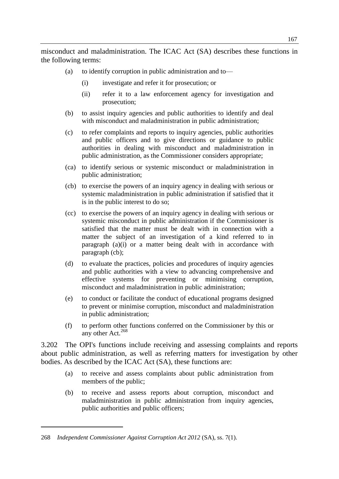misconduct and maladministration. The ICAC Act (SA) describes these functions in the following terms:

- (a) to identify corruption in public administration and to—
	- (i) investigate and refer it for prosecution; or
	- (ii) refer it to a law enforcement agency for investigation and prosecution;
- (b) to assist inquiry agencies and public authorities to identify and deal with misconduct and maladministration in public administration;
- (c) to refer complaints and reports to inquiry agencies, public authorities and public officers and to give directions or guidance to public authorities in dealing with misconduct and maladministration in public administration, as the Commissioner considers appropriate;
- (ca) to identify serious or systemic misconduct or maladministration in public administration;
- (cb) to exercise the powers of an inquiry agency in dealing with serious or systemic maladministration in public administration if satisfied that it is in the public interest to do so;
- (cc) to exercise the powers of an inquiry agency in dealing with serious or systemic misconduct in public administration if the Commissioner is satisfied that the matter must be dealt with in connection with a matter the subject of an investigation of a kind referred to in paragraph (a)(i) or a matter being dealt with in accordance with paragraph (cb);
- (d) to evaluate the practices, policies and procedures of inquiry agencies and public authorities with a view to advancing comprehensive and effective systems for preventing or minimising corruption, misconduct and maladministration in public administration;
- (e) to conduct or facilitate the conduct of educational programs designed to prevent or minimise corruption, misconduct and maladministration in public administration;
- (f) to perform other functions conferred on the Commissioner by this or any other Act. $268$

3.202 The OPI's functions include receiving and assessing complaints and reports about public administration, as well as referring matters for investigation by other bodies. As described by the ICAC Act (SA), these functions are:

- (a) to receive and assess complaints about public administration from members of the public;
- (b) to receive and assess reports about corruption, misconduct and maladministration in public administration from inquiry agencies, public authorities and public officers;

<sup>268</sup> *Independent Commissioner Against Corruption Act 2012* (SA), ss. 7(1).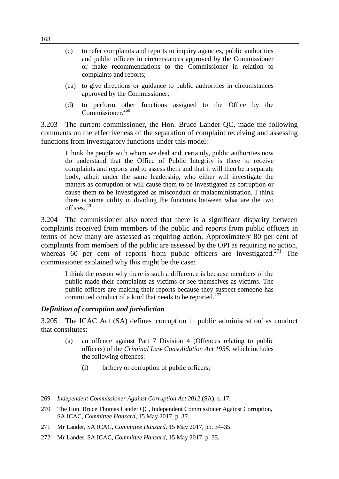- (c) to refer complaints and reports to inquiry agencies, public authorities and public officers in circumstances approved by the Commissioner or make recommendations to the Commissioner in relation to complaints and reports;
- (ca) to give directions or guidance to public authorities in circumstances approved by the Commissioner;
- (d) to perform other functions assigned to the Office by the Commissioner.<sup>269</sup>

3.203 The current commissioner, the Hon. Bruce Lander QC, made the following comments on the effectiveness of the separation of complaint receiving and assessing functions from investigatory functions under this model:

I think the people with whom we deal and, certainly, public authorities now do understand that the Office of Public Integrity is there to receive complaints and reports and to assess them and that it will then be a separate body, albeit under the same leadership, who either will investigate the matters as corruption or will cause them to be investigated as corruption or cause them to be investigated as misconduct or maladministration. I think there is some utility in dividing the functions between what are the two offices.<sup>270</sup>

3.204 The commissioner also noted that there is a significant disparity between complaints received from members of the public and reports from public officers in terms of how many are assessed as requiring action. Approximately 80 per cent of complaints from members of the public are assessed by the OPI as requiring no action, whereas 60 per cent of reports from public officers are investigated.<sup>271</sup> The commissioner explained why this might be the case:

I think the reason why there is such a difference is because members of the public made their complaints as victims or see themselves as victims. The public officers are making their reports because they suspect someone has committed conduct of a kind that needs to be reported.<sup>272</sup>

#### *Definition of corruption and jurisdiction*

3.205 The ICAC Act (SA) defines 'corruption in public administration' as conduct that constitutes:

- (a) an offence against Part 7 Division 4 (Offences relating to public officers) of the *Criminal Law Consolidation Act 1935*, which includes the following offences:
	- (i) bribery or corruption of public officers;

<sup>269</sup> *Independent Commissioner Against Corruption Act 2012* (SA), s. 17.

<sup>270</sup> The Hon. Bruce Thomas Lander QC, Independent Commissioner Against Corruption, SA ICAC, *Committee Hansard*, 15 May 2017, p. 37.

<sup>271</sup> Mr Lander, SA ICAC, *Committee Hansard*, 15 May 2017, pp. 34–35.

<sup>272</sup> Mr Lander, SA ICAC, *Committee Hansard*, 15 May 2017, p. 35.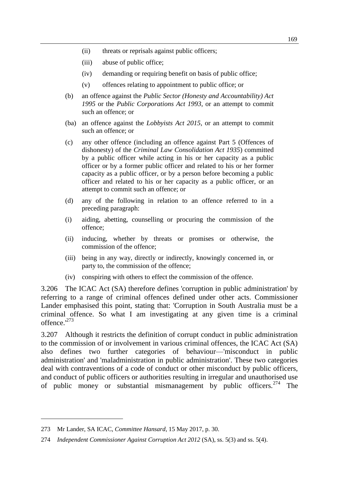- (ii) threats or reprisals against public officers;
- (iii) abuse of public office;
- (iv) demanding or requiring benefit on basis of public office;
- (v) offences relating to appointment to public office; or
- (b) an offence against the *Public Sector (Honesty and Accountability) Act 1995* or the *Public Corporations Act 1993*, or an attempt to commit such an offence; or
- (ba) an offence against the *Lobbyists Act 2015*, or an attempt to commit such an offence; or
- (c) any other offence (including an offence against Part 5 (Offences of dishonesty) of the *Criminal Law Consolidation Act 1935*) committed by a public officer while acting in his or her capacity as a public officer or by a former public officer and related to his or her former capacity as a public officer, or by a person before becoming a public officer and related to his or her capacity as a public officer, or an attempt to commit such an offence; or
- (d) any of the following in relation to an offence referred to in a preceding paragraph:
- (i) aiding, abetting, counselling or procuring the commission of the offence;
- (ii) inducing, whether by threats or promises or otherwise, the commission of the offence;
- (iii) being in any way, directly or indirectly, knowingly concerned in, or party to, the commission of the offence;
- (iv) conspiring with others to effect the commission of the offence.

3.206 The ICAC Act (SA) therefore defines 'corruption in public administration' by referring to a range of criminal offences defined under other acts. Commissioner Lander emphasised this point, stating that: 'Corruption in South Australia must be a criminal offence. So what I am investigating at any given time is a criminal offence.'<sup>273</sup>

3.207 Although it restricts the definition of corrupt conduct in public administration to the commission of or involvement in various criminal offences, the ICAC Act (SA) also defines two further categories of behaviour—'misconduct in public administration' and 'maladministration in public administration'. These two categories deal with contraventions of a code of conduct or other misconduct by public officers, and conduct of public officers or authorities resulting in irregular and unauthorised use of public money or substantial mismanagement by public officers.<sup>274</sup> The

<sup>273</sup> Mr Lander, SA ICAC, *Committee Hansard*, 15 May 2017, p. 30.

<sup>274</sup> *Independent Commissioner Against Corruption Act 2012* (SA), ss. 5(3) and ss. 5(4).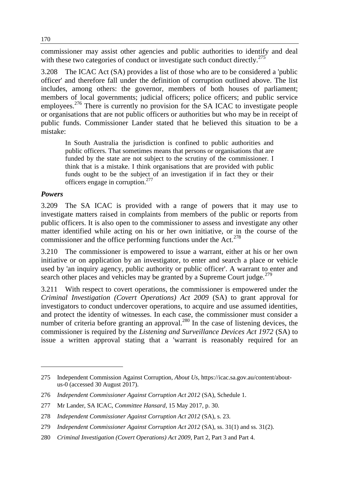commissioner may assist other agencies and public authorities to identify and deal with these two categories of conduct or investigate such conduct directly.<sup>275</sup>

3.208 The ICAC Act (SA) provides a list of those who are to be considered a 'public officer' and therefore fall under the definition of corruption outlined above. The list includes, among others: the governor, members of both houses of parliament; members of local governments; judicial officers; police officers; and public service employees.<sup>276</sup> There is currently no provision for the SA ICAC to investigate people or organisations that are not public officers or authorities but who may be in receipt of public funds. Commissioner Lander stated that he believed this situation to be a mistake:

In South Australia the jurisdiction is confined to public authorities and public officers. That sometimes means that persons or organisations that are funded by the state are not subject to the scrutiny of the commissioner. I think that is a mistake. I think organisations that are provided with public funds ought to be the subject of an investigation if in fact they or their officers engage in corruption.<sup>277</sup>

#### *Powers*

 $\overline{a}$ 

3.209 The SA ICAC is provided with a range of powers that it may use to investigate matters raised in complaints from members of the public or reports from public officers. It is also open to the commissioner to assess and investigate any other matter identified while acting on his or her own initiative, or in the course of the commissioner and the office performing functions under the Act.<sup>278</sup>

3.210 The commissioner is empowered to issue a warrant, either at his or her own initiative or on application by an investigator, to enter and search a place or vehicle used by 'an inquiry agency, public authority or public officer'. A warrant to enter and search other places and vehicles may be granted by a Supreme Court judge.<sup>279</sup>

3.211 With respect to covert operations, the commissioner is empowered under the *Criminal Investigation (Covert Operations) Act 2009* (SA) to grant approval for investigators to conduct undercover operations, to acquire and use assumed identities, and protect the identity of witnesses. In each case, the commissioner must consider a number of criteria before granting an approval.<sup>280</sup> In the case of listening devices, the commissioner is required by the *Listening and Surveillance Devices Act 1972* (SA) to issue a written approval stating that a 'warrant is reasonably required for an

<sup>275</sup> Independent Commission Against Corruption, *About Us*, https://icac.sa.gov.au/content/aboutus-0 (accessed 30 August 2017).

<sup>276</sup> *Independent Commissioner Against Corruption Act 2012* (SA), Schedule 1.

<sup>277</sup> Mr Lander, SA ICAC, *Committee Hansard*, 15 May 2017, p. 30.

<sup>278</sup> *Independent Commissioner Against Corruption Act 2012* (SA), s. 23.

<sup>279</sup> *Independent Commissioner Against Corruption Act 2012* (SA), ss. 31(1) and ss. 31(2).

<sup>280</sup> *Criminal Investigation (Covert Operations) Act 2009*, Part 2, Part 3 and Part 4.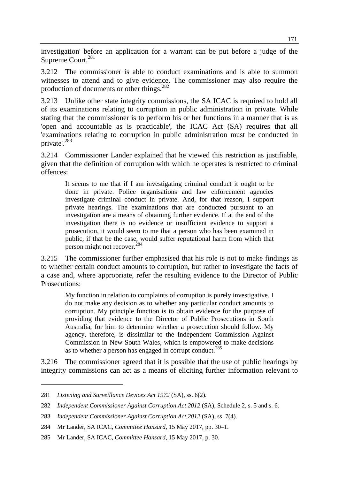investigation' before an application for a warrant can be put before a judge of the Supreme Court.<sup>281</sup>

3.212 The commissioner is able to conduct examinations and is able to summon witnesses to attend and to give evidence. The commissioner may also require the production of documents or other things.<sup>282</sup>

3.213 Unlike other state integrity commissions, the SA ICAC is required to hold all of its examinations relating to corruption in public administration in private. While stating that the commissioner is to perform his or her functions in a manner that is as 'open and accountable as is practicable', the ICAC Act (SA) requires that all 'examinations relating to corruption in public administration must be conducted in private'.<sup>283</sup>

3.214 Commissioner Lander explained that he viewed this restriction as justifiable, given that the definition of corruption with which he operates is restricted to criminal offences:

It seems to me that if I am investigating criminal conduct it ought to be done in private. Police organisations and law enforcement agencies investigate criminal conduct in private. And, for that reason, I support private hearings. The examinations that are conducted pursuant to an investigation are a means of obtaining further evidence. If at the end of the investigation there is no evidence or insufficient evidence to support a prosecution, it would seem to me that a person who has been examined in public, if that be the case, would suffer reputational harm from which that person might not recover.<sup>284</sup>

3.215 The commissioner further emphasised that his role is not to make findings as to whether certain conduct amounts to corruption, but rather to investigate the facts of a case and, where appropriate, refer the resulting evidence to the Director of Public Prosecutions:

My function in relation to complaints of corruption is purely investigative. I do not make any decision as to whether any particular conduct amounts to corruption. My principle function is to obtain evidence for the purpose of providing that evidence to the Director of Public Prosecutions in South Australia, for him to determine whether a prosecution should follow. My agency, therefore, is dissimilar to the Independent Commission Against Commission in New South Wales, which is empowered to make decisions as to whether a person has engaged in corrupt conduct.<sup>285</sup>

3.216 The commissioner agreed that it is possible that the use of public hearings by integrity commissions can act as a means of eliciting further information relevant to

<sup>281</sup> *Listening and Surveillance Devices Act 1972* (SA), ss. 6(2).

<sup>282</sup> *Independent Commissioner Against Corruption Act 2012* (SA), Schedule 2, s. 5 and s. 6.

<sup>283</sup> *Independent Commissioner Against Corruption Act 2012* (SA), ss. 7(4).

<sup>284</sup> Mr Lander, SA ICAC, *Committee Hansard*, 15 May 2017, pp. 30–1.

<sup>285</sup> Mr Lander, SA ICAC, *Committee Hansard*, 15 May 2017, p. 30.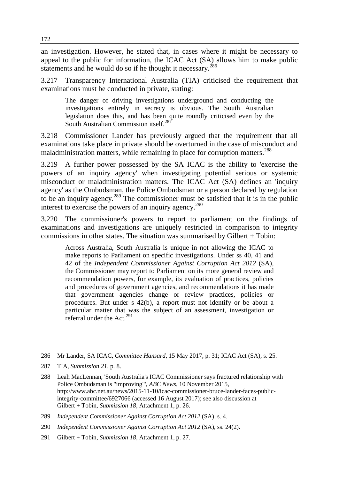an investigation. However, he stated that, in cases where it might be necessary to appeal to the public for information, the ICAC Act (SA) allows him to make public statements and he would do so if he thought it necessary.<sup>286</sup>

3.217 Transparency International Australia (TIA) criticised the requirement that examinations must be conducted in private, stating:

The danger of driving investigations underground and conducting the investigations entirely in secrecy is obvious. The South Australian legislation does this, and has been quite roundly criticised even by the South Australian Commission itself.<sup>287</sup>

3.218 Commissioner Lander has previously argued that the requirement that all examinations take place in private should be overturned in the case of misconduct and maladministration matters, while remaining in place for corruption matters.<sup>288</sup>

3.219 A further power possessed by the SA ICAC is the ability to 'exercise the powers of an inquiry agency' when investigating potential serious or systemic misconduct or maladministration matters. The ICAC Act (SA) defines an 'inquiry agency' as the Ombudsman, the Police Ombudsman or a person declared by regulation to be an inquiry agency.<sup>289</sup> The commissioner must be satisfied that it is in the public interest to exercise the powers of an inquiry agency.<sup>290</sup>

3.220 The commissioner's powers to report to parliament on the findings of examinations and investigations are uniquely restricted in comparison to integrity commissions in other states. The situation was summarised by Gilbert + Tobin:

Across Australia, South Australia is unique in not allowing the ICAC to make reports to Parliament on specific investigations. Under ss 40, 41 and 42 of the *Independent Commissioner Against Corruption Act 2012* (SA), the Commissioner may report to Parliament on its more general review and recommendation powers, for example, its evaluation of practices, policies and procedures of government agencies, and recommendations it has made that government agencies change or review practices, policies or procedures. But under s 42(b), a report must not identify or be about a particular matter that was the subject of an assessment, investigation or referral under the Act.<sup>291</sup>

<sup>286</sup> Mr Lander, SA ICAC, *Committee Hansard*, 15 May 2017, p. 31; ICAC Act (SA), s. 25.

<sup>287</sup> TIA, *Submission 21*, p. 8.

<sup>288</sup> Leah MacLennan, 'South Australia's ICAC Commissioner says fractured relationship with Police Ombudsman is "improving"', *ABC News*, 10 November 2015, http://www.abc.net.au/news/2015-11-10/icac-commissioner-bruce-lander-faces-publicintegrity-committee/6927066 (accessed 16 August 2017); see also discussion at Gilbert + Tobin, *Submission 18*, Attachment 1, p. 26.

<sup>289</sup> *Independent Commissioner Against Corruption Act 2012* (SA), s. 4.

<sup>290</sup> *Independent Commissioner Against Corruption Act 2012* (SA), ss. 24(2).

<sup>291</sup> Gilbert + Tobin, *Submission 18*, Attachment 1, p. 27.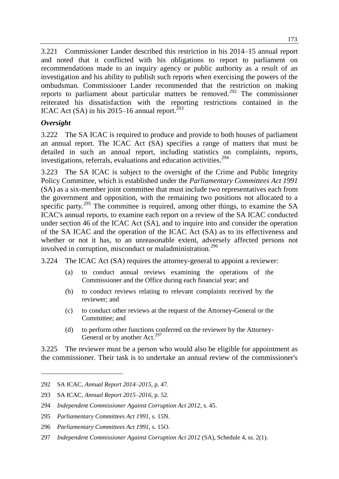3.221 Commissioner Lander described this restriction in his 2014–15 annual report and noted that it conflicted with his obligations to report to parliament on recommendations made to an inquiry agency or public authority as a result of an investigation and his ability to publish such reports when exercising the powers of the ombudsman. Commissioner Lander recommended that the restriction on making reports to parliament about particular matters be removed.<sup>292</sup> The commissioner reiterated his dissatisfaction with the reporting restrictions contained in the ICAC Act (SA) in his 2015–16 annual report.<sup>293</sup>

## *Oversight*

 $\overline{a}$ 

3.222 The SA ICAC is required to produce and provide to both houses of parliament an annual report. The ICAC Act (SA) specifies a range of matters that must be detailed in such an annual report, including statistics on complaints, reports, investigations, referrals, evaluations and education activities.<sup>294</sup>

3.223 The SA ICAC is subject to the oversight of the Crime and Public Integrity Policy Committee, which is established under the *Parliamentary Committees Act 1991* (SA) as a six-member joint committee that must include two representatives each from the government and opposition, with the remaining two positions not allocated to a specific party.<sup>295</sup> The committee is required, among other things, to examine the SA ICAC's annual reports, to examine each report on a review of the SA ICAC conducted under section 46 of the ICAC Act (SA), and to inquire into and consider the operation of the SA ICAC and the operation of the ICAC Act (SA) as to its effectiveness and whether or not it has, to an unreasonable extent, adversely affected persons not involved in corruption, misconduct or maladministration.<sup>296</sup>

3.224 The ICAC Act (SA) requires the attorney-general to appoint a reviewer:

- (a) to conduct annual reviews examining the operations of the Commissioner and the Office during each financial year; and
- (b) to conduct reviews relating to relevant complaints received by the reviewer; and
- (c) to conduct other reviews at the request of the Attorney-General or the Committee; and
- (d) to perform other functions conferred on the reviewer by the Attorney-General or by another Act.<sup>297</sup>

3.225 The reviewer must be a person who would also be eligible for appointment as the commissioner. Their task is to undertake an annual review of the commissioner's

<sup>292</sup> SA ICAC, *Annual Report 2014*–*2015*, p. 47.

<sup>293</sup> SA ICAC, *Annual Report 2015*–*2016*, p. 52.

<sup>294</sup> *Independent Commissioner Against Corruption Act 2012*, s. 45.

<sup>295</sup> *Parliamentary Committees Act 1991*, s. 15N.

<sup>296</sup> *Parliamentary Committees Act 1991*, s. 15O.

<sup>297</sup> *Independent Commissioner Against Corruption Act 2012* (SA), Schedule 4, ss. 2(1).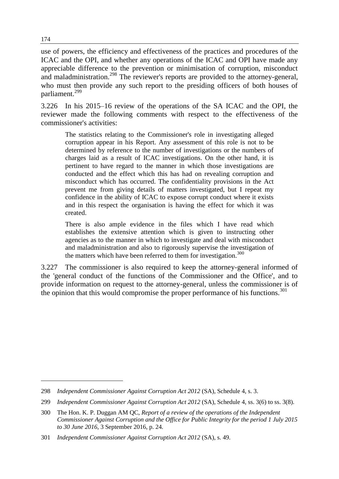use of powers, the efficiency and effectiveness of the practices and procedures of the ICAC and the OPI, and whether any operations of the ICAC and OPI have made any appreciable difference to the prevention or minimisation of corruption, misconduct and maladministration.<sup>298</sup> The reviewer's reports are provided to the attorney-general, who must then provide any such report to the presiding officers of both houses of parliament.<sup>299</sup>

3.226 In his 2015–16 review of the operations of the SA ICAC and the OPI, the reviewer made the following comments with respect to the effectiveness of the commissioner's activities:

The statistics relating to the Commissioner's role in investigating alleged corruption appear in his Report. Any assessment of this role is not to be determined by reference to the number of investigations or the numbers of charges laid as a result of ICAC investigations. On the other hand, it is pertinent to have regard to the manner in which those investigations are conducted and the effect which this has had on revealing corruption and misconduct which has occurred. The confidentiality provisions in the Act prevent me from giving details of matters investigated, but I repeat my confidence in the ability of ICAC to expose corrupt conduct where it exists and in this respect the organisation is having the effect for which it was created.

There is also ample evidence in the files which I have read which establishes the extensive attention which is given to instructing other agencies as to the manner in which to investigate and deal with misconduct and maladministration and also to rigorously supervise the investigation of the matters which have been referred to them for investigation.<sup>300</sup>

3.227 The commissioner is also required to keep the attorney-general informed of the 'general conduct of the functions of the Commissioner and the Office', and to provide information on request to the attorney-general, unless the commissioner is of the opinion that this would compromise the proper performance of his functions. $301$ 

<sup>298</sup> *Independent Commissioner Against Corruption Act 2012* (SA), Schedule 4, s. 3.

<sup>299</sup> *Independent Commissioner Against Corruption Act 2012* (SA), Schedule 4, ss. 3(6) to ss. 3(8).

<sup>300</sup> The Hon. K. P. Duggan AM QC, *Report of a review of the operations of the Independent Commissioner Against Corruption and the Office for Public Integrity for the period 1 July 2015 to 30 June 2016*, 3 September 2016, p. 24.

<sup>301</sup> *Independent Commissioner Against Corruption Act 2012* (SA), s. 49.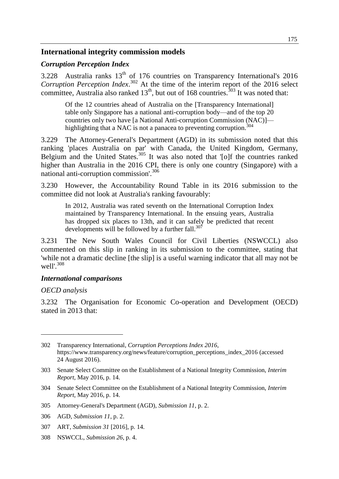#### **International integrity commission models**

#### *Corruption Perception Index*

3.228 Australia ranks  $13<sup>th</sup>$  of 176 countries on Transparency International's 2016 *Corruption Perception Index*. <sup>302</sup> At the time of the interim report of the 2016 select committee. Australia also ranked  $13<sup>th</sup>$ , but out of 168 countries.<sup>303</sup> It was noted that:

Of the 12 countries ahead of Australia on the [Transparency International] table only Singapore has a national anti-corruption body—and of the top 20 countries only two have [a National Anti-corruption Commission (NAC)] highlighting that a NAC is not a panacea to preventing corruption.<sup>304</sup>

3.229 The Attorney-General's Department (AGD) in its submission noted that this ranking 'places Australia on par' with Canada, the United Kingdom, Germany, Belgium and the United States.<sup>305</sup> It was also noted that '[o]f the countries ranked higher than Australia in the 2016 CPI, there is only one country (Singapore) with a national anti-corruption commission'.<sup>306</sup>

3.230 However, the Accountability Round Table in its 2016 submission to the committee did not look at Australia's ranking favourably:

In 2012, Australia was rated seventh on the International Corruption Index maintained by Transparency International. In the ensuing years, Australia has dropped six places to 13th, and it can safely be predicted that recent developments will be followed by a further fall. $307$ 

3.231 The New South Wales Council for Civil Liberties (NSWCCL) also commented on this slip in ranking in its submission to the committee, stating that 'while not a dramatic decline [the slip] is a useful warning indicator that all may not be well'.<sup>308</sup>

#### *International comparisons*

#### *OECD analysis*

 $\overline{a}$ 

3.232 The Organisation for Economic Co-operation and Development (OECD) stated in 2013 that:

308 NSWCCL, *Submission 26*, p. 4.

<sup>302</sup> Transparency International, *Corruption Perceptions Index 2016*, https://www.transparency.org/news/feature/corruption\_perceptions\_index\_2016 (accessed 24 August 2016).

<sup>303</sup> Senate Select Committee on the Establishment of a National Integrity Commission, *Interim Report*, May 2016, p. 14.

<sup>304</sup> Senate Select Committee on the Establishment of a National Integrity Commission, *Interim Report*, May 2016, p. 14.

<sup>305</sup> Attorney-General's Department (AGD), *Submission 11*, p. 2.

<sup>306</sup> AGD, *Submission 11*, p. 2.

<sup>307</sup> ART, *Submission 31* [2016], p. 14.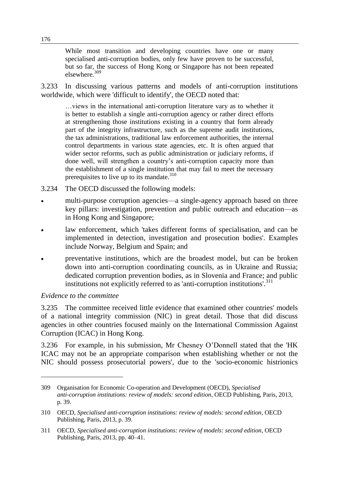While most transition and developing countries have one or many specialised anti-corruption bodies, only few have proven to be successful, but so far, the success of Hong Kong or Singapore has not been repeated elsewhere.<sup>309</sup>

3.233 In discussing various patterns and models of anti-corruption institutions worldwide, which were 'difficult to identify', the OECD noted that:

…views in the international anti-corruption literature vary as to whether it is better to establish a single anti-corruption agency or rather direct efforts at strengthening those institutions existing in a country that form already part of the integrity infrastructure, such as the supreme audit institutions, the tax administrations, traditional law enforcement authorities, the internal control departments in various state agencies, etc. It is often argued that wider sector reforms, such as public administration or judiciary reforms, if done well, will strengthen a country's anti-corruption capacity more than the establishment of a single institution that may fail to meet the necessary prerequisites to live up to its mandate. $310$ 

- 3.234 The OECD discussed the following models:
- multi-purpose corruption agencies—a single-agency approach based on three key pillars: investigation, prevention and public outreach and education—as in Hong Kong and Singapore;
- law enforcement, which 'takes different forms of specialisation, and can be implemented in detection, investigation and prosecution bodies'. Examples include Norway, Belgium and Spain; and
- preventative institutions, which are the broadest model, but can be broken down into anti-corruption coordinating councils, as in Ukraine and Russia; dedicated corruption prevention bodies, as in Slovenia and France; and public institutions not explicitly referred to as 'anti-corruption institutions'.<sup>311</sup>

#### *Evidence to the committee*

 $\overline{a}$ 

3.235 The committee received little evidence that examined other countries' models of a national integrity commission (NIC) in great detail. Those that did discuss agencies in other countries focused mainly on the International Commission Against Corruption (ICAC) in Hong Kong.

3.236 For example, in his submission, Mr Chesney O'Donnell stated that the 'HK ICAC may not be an appropriate comparison when establishing whether or not the NIC should possess prosecutorial powers', due to the 'socio-economic histrionics

<sup>309</sup> Organisation for Economic Co-operation and Development (OECD), *Specialised anti-corruption institutions: review of models: second edition*, OECD Publishing, Paris, 2013, p. 39.

<sup>310</sup> OECD, *Specialised anti-corruption institutions: review of models: second edition*, OECD Publishing, Paris, 2013, p. 39.

<sup>311</sup> OECD, *Specialised anti-corruption institutions: review of models: second edition*, OECD Publishing, Paris, 2013, pp. 40–41.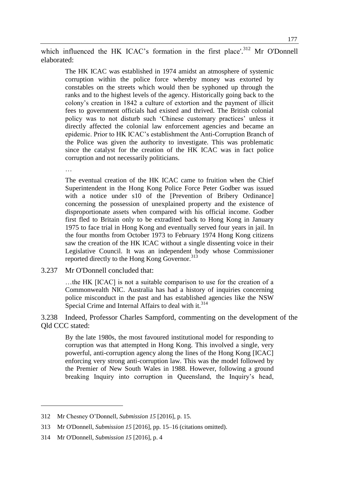which influenced the HK ICAC's formation in the first place'.<sup>312</sup> Mr O'Donnell elaborated:

The HK ICAC was established in 1974 amidst an atmosphere of systemic corruption within the police force whereby money was extorted by constables on the streets which would then be syphoned up through the ranks and to the highest levels of the agency. Historically going back to the colony's creation in 1842 a culture of extortion and the payment of illicit fees to government officials had existed and thrived. The British colonial policy was to not disturb such 'Chinese customary practices' unless it directly affected the colonial law enforcement agencies and became an epidemic. Prior to HK ICAC's establishment the Anti-Corruption Branch of the Police was given the authority to investigate. This was problematic since the catalyst for the creation of the HK ICAC was in fact police corruption and not necessarily politicians.

…

The eventual creation of the HK ICAC came to fruition when the Chief Superintendent in the Hong Kong Police Force Peter Godber was issued with a notice under s10 of the [Prevention of Bribery Ordinance] concerning the possession of unexplained property and the existence of disproportionate assets when compared with his official income. Godber first fled to Britain only to be extradited back to Hong Kong in January 1975 to face trial in Hong Kong and eventually served four years in jail. In the four months from October 1973 to February 1974 Hong Kong citizens saw the creation of the HK ICAC without a single dissenting voice in their Legislative Council. It was an independent body whose Commissioner reported directly to the Hong Kong Governor.<sup>313</sup>

3.237 Mr O'Donnell concluded that:

…the HK [ICAC] is not a suitable comparison to use for the creation of a Commonwealth NIC. Australia has had a history of inquiries concerning police misconduct in the past and has established agencies like the NSW Special Crime and Internal Affairs to deal with it.<sup>314</sup>

3.238 Indeed, Professor Charles Sampford, commenting on the development of the Qld CCC stated:

By the late 1980s, the most favoured institutional model for responding to corruption was that attempted in Hong Kong. This involved a single, very powerful, anti-corruption agency along the lines of the Hong Kong [ICAC] enforcing very strong anti-corruption law. This was the model followed by the Premier of New South Wales in 1988. However, following a ground breaking Inquiry into corruption in Queensland, the Inquiry's head,

 $\overline{a}$ 

<sup>312</sup> Mr Chesney O'Donnell, *Submission 15* [2016], p. 15.

<sup>313</sup> Mr O'Donnell, *Submission 15* [2016], pp. 15–16 (citations omitted).

<sup>314</sup> Mr O'Donnell, *Submission 15* [2016], p. 4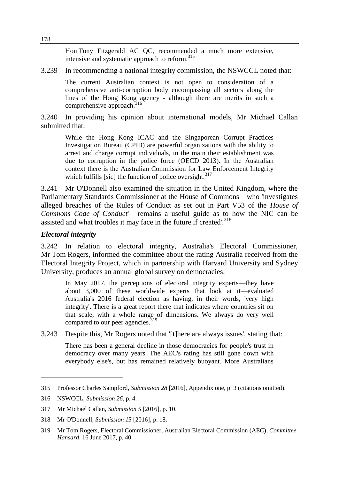Hon Tony Fitzgerald AC QC, recommended a much more extensive, intensive and systematic approach to reform.<sup>315</sup>

3.239 In recommending a national integrity commission, the NSWCCL noted that:

The current Australian context is not open to consideration of a comprehensive anti-corruption body encompassing all sectors along the lines of the Hong Kong agency - although there are merits in such a comprehensive approach. $316$ 

3.240 In providing his opinion about international models, Mr Michael Callan submitted that:

While the Hong Kong ICAC and the Singaporean Corrupt Practices Investigation Bureau (CPIB) are powerful organizations with the ability to arrest and charge corrupt individuals, in the main their establishment was due to corruption in the police force (OECD 2013). In the Australian context there is the Australian Commission for Law Enforcement Integrity which fulfills [sic] the function of police oversight. $317$ 

3.241 Mr O'Donnell also examined the situation in the United Kingdom, where the Parliamentary Standards Commissioner at the House of Commons—who 'investigates alleged breaches of the Rules of Conduct as set out in Part V53 of the *House of Commons Code of Conduct*'—'remains a useful guide as to how the NIC can be assisted and what troubles it may face in the future if created'.<sup>318</sup>

## *Electoral integrity*

3.242 In relation to electoral integrity, Australia's Electoral Commissioner, Mr Tom Rogers, informed the committee about the rating Australia received from the Electoral Integrity Project, which in partnership with Harvard University and Sydney University, produces an annual global survey on democracies:

In May 2017, the perceptions of electoral integrity experts—they have about 3,000 of these worldwide experts that look at it—evaluated Australia's 2016 federal election as having, in their words, 'very high integrity'. There is a great report there that indicates where countries sit on that scale, with a whole range of dimensions. We always do very well compared to our peer agencies.<sup>319</sup>

3.243 Despite this, Mr Rogers noted that '[t]here are always issues', stating that:

There has been a general decline in those democracies for people's trust in democracy over many years. The AEC's rating has still gone down with everybody else's, but has remained relatively buoyant. More Australians

 $\overline{a}$ 

<sup>315</sup> Professor Charles Sampford, *Submission 28* [2016], Appendix one, p. 3 (citations omitted).

<sup>316</sup> NSWCCL, *Submission 26*, p. 4.

<sup>317</sup> Mr Michael Callan, *Submission 5* [2016], p. 10.

<sup>318</sup> Mr O'Donnell, *Submission 15* [2016], p. 18.

<sup>319</sup> Mr Tom Rogers, Electoral Commissioner, Australian Electoral Commission (AEC), *Committee Hansard*, 16 June 2017, p. 40.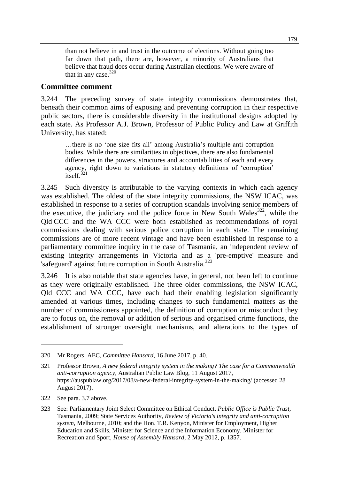than not believe in and trust in the outcome of elections. Without going too far down that path, there are, however, a minority of Australians that believe that fraud does occur during Australian elections. We were aware of that in any case. $320$ 

## **Committee comment**

3.244 The preceding survey of state integrity commissions demonstrates that, beneath their common aims of exposing and preventing corruption in their respective public sectors, there is considerable diversity in the institutional designs adopted by each state. As Professor A.J. Brown, Professor of Public Policy and Law at Griffith University, has stated:

…there is no 'one size fits all' among Australia's multiple anti-corruption bodies. While there are similarities in objectives, there are also fundamental differences in the powers, structures and accountabilities of each and every agency, right down to variations in statutory definitions of 'corruption' itself. $321$ 

3.245 Such diversity is attributable to the varying contexts in which each agency was established. The oldest of the state integrity commissions, the NSW ICAC, was established in response to a series of corruption scandals involving senior members of the executive, the judiciary and the police force in New South Wales<sup>322</sup>, while the Qld CCC and the WA CCC were both established as recommendations of royal commissions dealing with serious police corruption in each state. The remaining commissions are of more recent vintage and have been established in response to a parliamentary committee inquiry in the case of Tasmania, an independent review of existing integrity arrangements in Victoria and as a 'pre-emptive' measure and 'safeguard' against future corruption in South Australia.<sup>323</sup>

3.246 It is also notable that state agencies have, in general, not been left to continue as they were originally established. The three older commissions, the NSW ICAC, Qld CCC and WA CCC, have each had their enabling legislation significantly amended at various times, including changes to such fundamental matters as the number of commissioners appointed, the definition of corruption or misconduct they are to focus on, the removal or addition of serious and organised crime functions, the establishment of stronger oversight mechanisms, and alterations to the types of

 $\overline{a}$ 

<sup>320</sup> Mr Rogers, AEC, *Committee Hansard*, 16 June 2017, p. 40.

<sup>321</sup> Professor Brown, *A new federal integrity system in the making? The case for a Commonwealth anti-corruption agency*, Australian Public Law Blog, 11 August 2017, https://auspublaw.org/2017/08/a-new-federal-integrity-system-in-the-making/ (accessed 28 August 2017).

<sup>322</sup> See para. 3.7 above.

<sup>323</sup> See: Parliamentary Joint Select Committee on Ethical Conduct, *Public Office is Public Trust,*  Tasmania, 2009; State Services Authority, *Review of Victoria's integrity and anti-corruption system*, Melbourne, 2010; and the Hon. T.R. Kenyon, Minister for Employment, Higher Education and Skills, Minister for Science and the Information Economy, Minister for Recreation and Sport, *House of Assembly Hansard*, 2 May 2012, p. 1357.